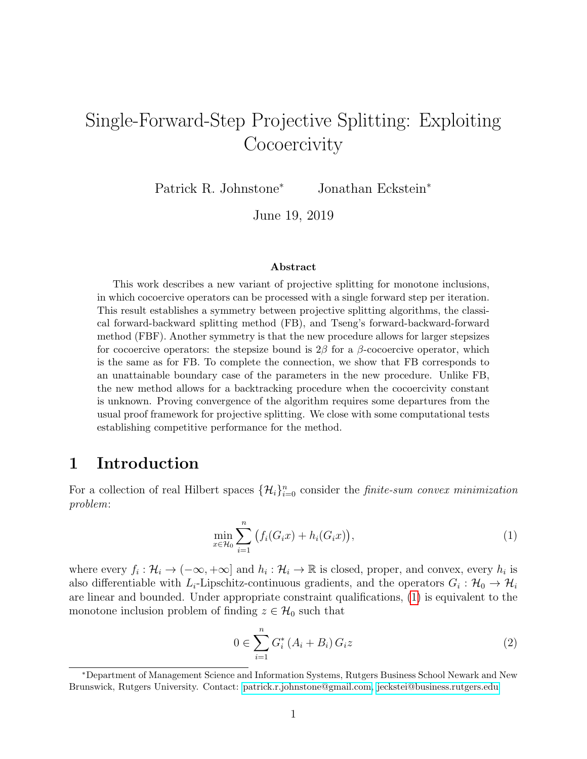# Single-Forward-Step Projective Splitting: Exploiting **Cocoercivity**

Patrick R. Johnstone<sup>∗</sup> Jonathan Eckstein<sup>∗</sup>

June 19, 2019

#### Abstract

This work describes a new variant of projective splitting for monotone inclusions, in which cocoercive operators can be processed with a single forward step per iteration. This result establishes a symmetry between projective splitting algorithms, the classical forward-backward splitting method (FB), and Tseng's forward-backward-forward method (FBF). Another symmetry is that the new procedure allows for larger stepsizes for cocoercive operators: the stepsize bound is  $2\beta$  for a  $\beta$ -cocoercive operator, which is the same as for FB. To complete the connection, we show that FB corresponds to an unattainable boundary case of the parameters in the new procedure. Unlike FB, the new method allows for a backtracking procedure when the cocoercivity constant is unknown. Proving convergence of the algorithm requires some departures from the usual proof framework for projective splitting. We close with some computational tests establishing competitive performance for the method.

### 1 Introduction

For a collection of real Hilbert spaces  $\{\mathcal{H}_i\}_{i=0}^n$  consider the finite-sum convex minimization problem:

<span id="page-0-0"></span>
$$
\min_{x \in \mathcal{H}_0} \sum_{i=1}^n (f_i(G_i x) + h_i(G_i x)),
$$
\n(1)

where every  $f_i: \mathcal{H}_i \to (-\infty, +\infty]$  and  $h_i: \mathcal{H}_i \to \mathbb{R}$  is closed, proper, and convex, every  $h_i$  is also differentiable with  $L_i$ -Lipschitz-continuous gradients, and the operators  $G_i: \mathcal{H}_0 \to \mathcal{H}_i$ are linear and bounded. Under appropriate constraint qualifications, [\(1\)](#page-0-0) is equivalent to the monotone inclusion problem of finding  $z \in \mathcal{H}_0$  such that

<span id="page-0-1"></span>
$$
0 \in \sum_{i=1}^{n} G_i^* \left( A_i + B_i \right) G_i z \tag{2}
$$

<sup>∗</sup>Department of Management Science and Information Systems, Rutgers Business School Newark and New Brunswick, Rutgers University. Contact: [patrick.r.johnstone@gmail.com,](mailto::patrick.r.johnstone@gmail.com) [jeckstei@business.rutgers.edu](mailto::jeckstei@business.rutgers.edu)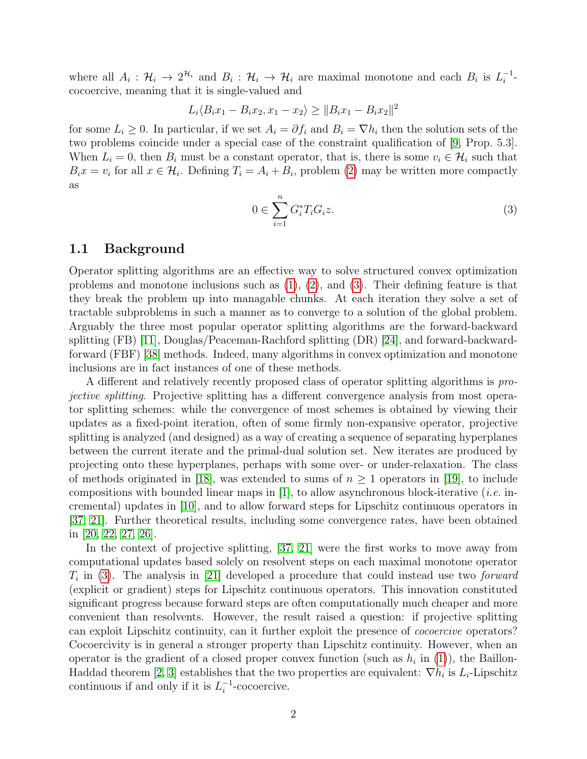where all  $A_i: \mathcal{H}_i \to 2^{\mathcal{H}_i}$  and  $B_i: \mathcal{H}_i \to \mathcal{H}_i$  are maximal monotone and each  $B_i$  is  $L_i^{-1}$  $\frac{-1}{i}$ cocoercive, meaning that it is single-valued and

$$
L_i \langle B_i x_1 - B_i x_2, x_1 - x_2 \rangle \ge ||B_i x_1 - B_i x_2||^2
$$

for some  $L_i \geq 0$ . In particular, if we set  $A_i = \partial f_i$  and  $B_i = \nabla h_i$  then the solution sets of the two problems coincide under a special case of the constraint qualification of [\[9,](#page-37-0) Prop. 5.3]. When  $L_i = 0$ , then  $B_i$  must be a constant operator, that is, there is some  $v_i \in \mathcal{H}_i$  such that  $B_i x = v_i$  for all  $x \in \mathcal{H}_i$ . Defining  $T_i = A_i + B_i$ , problem [\(2\)](#page-0-1) may be written more compactly as

<span id="page-1-0"></span>
$$
0 \in \sum_{i=1}^{n} G_i^* T_i G_i z. \tag{3}
$$

#### 1.1 Background

Operator splitting algorithms are an effective way to solve structured convex optimization problems and monotone inclusions such as  $(1)$ ,  $(2)$ , and  $(3)$ . Their defining feature is that they break the problem up into managable chunks. At each iteration they solve a set of tractable subproblems in such a manner as to converge to a solution of the global problem. Arguably the three most popular operator splitting algorithms are the forward-backward splitting (FB) [\[11\]](#page-37-1), Douglas/Peaceman-Rachford splitting (DR) [\[24\]](#page-38-0), and forward-backwardforward (FBF) [\[38\]](#page-39-0) methods. Indeed, many algorithms in convex optimization and monotone inclusions are in fact instances of one of these methods.

A different and relatively recently proposed class of operator splitting algorithms is projective splitting. Projective splitting has a different convergence analysis from most operator splitting schemes: while the convergence of most schemes is obtained by viewing their updates as a fixed-point iteration, often of some firmly non-expansive operator, projective splitting is analyzed (and designed) as a way of creating a sequence of separating hyperplanes between the current iterate and the primal-dual solution set. New iterates are produced by projecting onto these hyperplanes, perhaps with some over- or under-relaxation. The class of methods originated in [\[18\]](#page-38-1), was extended to sums of  $n \geq 1$  operators in [\[19\]](#page-38-2), to include compositions with bounded linear maps in [\[1\]](#page-37-2), to allow asynchronous block-iterative (*i.e.* incremental) updates in [\[10\]](#page-37-3), and to allow forward steps for Lipschitz continuous operators in [\[37,](#page-39-1) [21\]](#page-38-3). Further theoretical results, including some convergence rates, have been obtained in [\[20,](#page-38-4) [22,](#page-38-5) [27,](#page-38-6) [26\]](#page-38-7).

In the context of projective splitting, [\[37,](#page-39-1) [21\]](#page-38-3) were the first works to move away from computational updates based solely on resolvent steps on each maximal monotone operator  $T_i$  in [\(3\)](#page-1-0). The analysis in [\[21\]](#page-38-3) developed a procedure that could instead use two *forward* (explicit or gradient) steps for Lipschitz continuous operators. This innovation constituted significant progress because forward steps are often computationally much cheaper and more convenient than resolvents. However, the result raised a question: if projective splitting can exploit Lipschitz continuity, can it further exploit the presence of cocoercive operators? Cocoercivity is in general a stronger property than Lipschitz continuity. However, when an operator is the gradient of a closed proper convex function (such as  $h_i$  in [\(1\)](#page-0-0)), the Baillon-Haddad theorem [\[2,](#page-37-4) [3\]](#page-37-5) establishes that the two properties are equivalent:  $\nabla h_i$  is  $L_i$ -Lipschitz continuous if and only if it is  $L_i^{-1}$  $i^{-1}$ -cocoercive.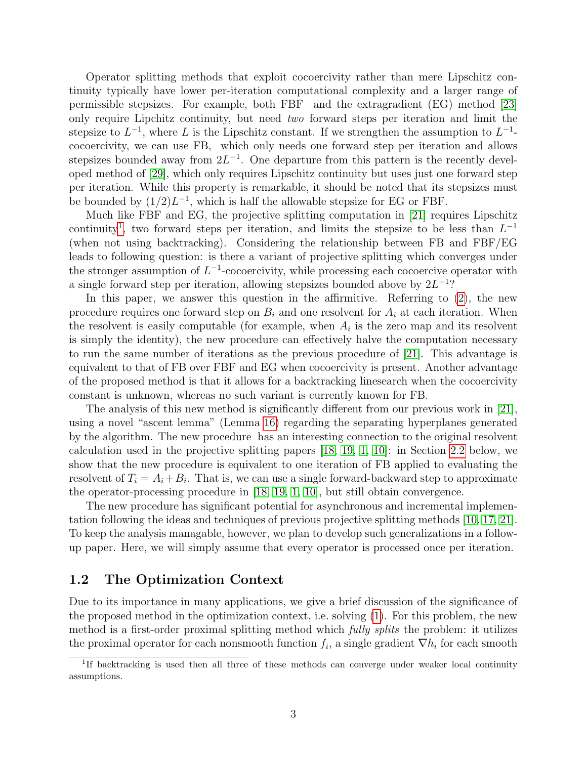Operator splitting methods that exploit cocoercivity rather than mere Lipschitz continuity typically have lower per-iteration computational complexity and a larger range of permissible stepsizes. For example, both FBF and the extragradient (EG) method [\[23\]](#page-38-8) only require Lipchitz continuity, but need two forward steps per iteration and limit the stepsize to  $L^{-1}$ , where L is the Lipschitz constant. If we strengthen the assumption to  $L^{-1}$ cocoercivity, we can use FB, which only needs one forward step per iteration and allows stepsizes bounded away from  $2L^{-1}$ . One departure from this pattern is the recently developed method of [\[29\]](#page-39-2), which only requires Lipschitz continuity but uses just one forward step per iteration. While this property is remarkable, it should be noted that its stepsizes must be bounded by  $(1/2)L^{-1}$ , which is half the allowable stepsize for EG or FBF.

Much like FBF and EG, the projective splitting computation in [\[21\]](#page-38-3) requires Lipschitz continuity<sup>[1](#page-2-0)</sup>, two forward steps per iteration, and limits the stepsize to be less than  $L^{-1}$ (when not using backtracking). Considering the relationship between FB and FBF/EG leads to following question: is there a variant of projective splitting which converges under the stronger assumption of  $L^{-1}$ -cocoercivity, while processing each cocoercive operator with a single forward step per iteration, allowing stepsizes bounded above by  $2L^{-1}$ ?

In this paper, we answer this question in the affirmitive. Referring to [\(2\)](#page-0-1), the new procedure requires one forward step on  $B_i$  and one resolvent for  $A_i$  at each iteration. When the resolvent is easily computable (for example, when  $A_i$  is the zero map and its resolvent is simply the identity), the new procedure can effectively halve the computation necessary to run the same number of iterations as the previous procedure of [\[21\]](#page-38-3). This advantage is equivalent to that of FB over FBF and EG when cocoercivity is present. Another advantage of the proposed method is that it allows for a backtracking linesearch when the cocoercivity constant is unknown, whereas no such variant is currently known for FB.

The analysis of this new method is significantly different from our previous work in [\[21\]](#page-38-3), using a novel "ascent lemma" (Lemma [16\)](#page-22-0) regarding the separating hyperplanes generated by the algorithm. The new procedure has an interesting connection to the original resolvent calculation used in the projective splitting papers [\[18,](#page-38-1) [19,](#page-38-2) [1,](#page-37-2) [10\]](#page-37-3): in Section [2.2](#page-6-0) below, we show that the new procedure is equivalent to one iteration of FB applied to evaluating the resolvent of  $T_i = A_i + B_i$ . That is, we can use a single forward-backward step to approximate the operator-processing procedure in [\[18,](#page-38-1) [19,](#page-38-2) [1,](#page-37-2) [10\]](#page-37-3), but still obtain convergence.

The new procedure has significant potential for asynchronous and incremental implementation following the ideas and techniques of previous projective splitting methods [\[10,](#page-37-3) [17,](#page-38-9) [21\]](#page-38-3). To keep the analysis managable, however, we plan to develop such generalizations in a followup paper. Here, we will simply assume that every operator is processed once per iteration.

#### 1.2 The Optimization Context

Due to its importance in many applications, we give a brief discussion of the significance of the proposed method in the optimization context, i.e. solving [\(1\)](#page-0-0). For this problem, the new method is a first-order proximal splitting method which *fully splits* the problem: it utilizes the proximal operator for each nonsmooth function  $f_i$ , a single gradient  $\nabla h_i$  for each smooth

<span id="page-2-0"></span><sup>&</sup>lt;sup>1</sup>If backtracking is used then all three of these methods can converge under weaker local continuity assumptions.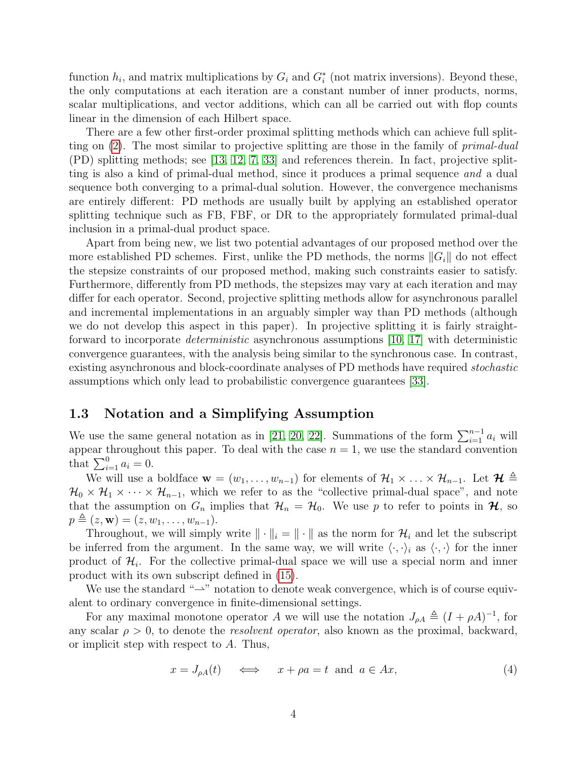function  $h_i$ , and matrix multiplications by  $G_i$  and  $G_i^*$  (not matrix inversions). Beyond these, the only computations at each iteration are a constant number of inner products, norms, scalar multiplications, and vector additions, which can all be carried out with flop counts linear in the dimension of each Hilbert space.

There are a few other first-order proximal splitting methods which can achieve full split-ting on [\(2\)](#page-0-1). The most similar to projective splitting are those in the family of *primal-dual* (PD) splitting methods; see [\[13,](#page-37-6) [12,](#page-37-7) [7,](#page-37-8) [33\]](#page-39-3) and references therein. In fact, projective splitting is also a kind of primal-dual method, since it produces a primal sequence and a dual sequence both converging to a primal-dual solution. However, the convergence mechanisms are entirely different: PD methods are usually built by applying an established operator splitting technique such as FB, FBF, or DR to the appropriately formulated primal-dual inclusion in a primal-dual product space.

Apart from being new, we list two potential advantages of our proposed method over the more established PD schemes. First, unlike the PD methods, the norms  $||G_i||$  do not effect the stepsize constraints of our proposed method, making such constraints easier to satisfy. Furthermore, differently from PD methods, the stepsizes may vary at each iteration and may differ for each operator. Second, projective splitting methods allow for asynchronous parallel and incremental implementations in an arguably simpler way than PD methods (although we do not develop this aspect in this paper). In projective splitting it is fairly straightforward to incorporate deterministic asynchronous assumptions [\[10,](#page-37-3) [17\]](#page-38-9) with deterministic convergence guarantees, with the analysis being similar to the synchronous case. In contrast, existing asynchronous and block-coordinate analyses of PD methods have required stochastic assumptions which only lead to probabilistic convergence guarantees [\[33\]](#page-39-3).

#### 1.3 Notation and a Simplifying Assumption

We use the same general notation as in [\[21,](#page-38-3) [20,](#page-38-4) [22\]](#page-38-5). Summations of the form  $\sum_{i=1}^{n-1} a_i$  will appear throughout this paper. To deal with the case  $n = 1$ , we use the standard convention that  $\sum_{i=1}^{0} a_i = 0$ .

We will use a boldface  $\mathbf{w} = (w_1, \ldots, w_{n-1})$  for elements of  $\mathcal{H}_1 \times \ldots \times \mathcal{H}_{n-1}$ . Let  $\mathcal{H} \triangleq$  $\mathcal{H}_0 \times \mathcal{H}_1 \times \cdots \times \mathcal{H}_{n-1}$ , which we refer to as the "collective primal-dual space", and note that the assumption on  $G_n$  implies that  $\mathcal{H}_n = \mathcal{H}_0$ . We use p to refer to points in  $\mathcal{H}$ , so  $p \triangleq (z, \mathbf{w}) = (z, w_1, \dots, w_{n-1}).$ 

Throughout, we will simply write  $\|\cdot\|_i = \|\cdot\|$  as the norm for  $\mathcal{H}_i$  and let the subscript be inferred from the argument. In the same way, we will write  $\langle \cdot, \cdot \rangle_i$  as  $\langle \cdot, \cdot \rangle$  for the inner product of  $\mathcal{H}_i$ . For the collective primal-dual space we will use a special norm and inner product with its own subscript defined in [\(15\)](#page-8-0).

We use the standard " $\rightarrow$ " notation to denote weak convergence, which is of course equivalent to ordinary convergence in finite-dimensional settings.

For any maximal monotone operator A we will use the notation  $J_{\rho A} \triangleq (I + \rho A)^{-1}$ , for any scalar  $\rho > 0$ , to denote the *resolvent operator*, also known as the proximal, backward, or implicit step with respect to A. Thus,

<span id="page-3-0"></span>
$$
x = J_{\rho A}(t) \qquad \Longleftrightarrow \qquad x + \rho a = t \quad \text{and} \quad a \in Ax,\tag{4}
$$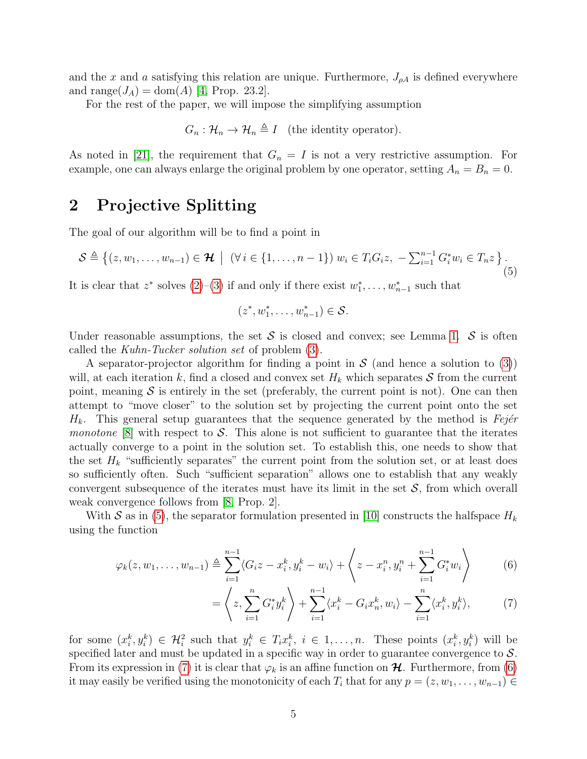and the x and a satisfying this relation are unique. Furthermore,  $J_{\rho A}$  is defined everywhere and range( $J_A$ ) = dom(A) [\[4,](#page-37-9) Prop. 23.2].

For the rest of the paper, we will impose the simplifying assumption

 $G_n : \mathcal{H}_n \to \mathcal{H}_n \triangleq I$  (the identity operator).

As noted in [\[21\]](#page-38-3), the requirement that  $G_n = I$  is not a very restrictive assumption. For example, one can always enlarge the original problem by one operator, setting  $A_n = B_n = 0$ .

### 2 Projective Splitting

The goal of our algorithm will be to find a point in

<span id="page-4-0"></span>
$$
S \triangleq \{(z, w_1, \dots, w_{n-1}) \in \mathcal{H} \mid (\forall i \in \{1, \dots, n-1\}) w_i \in T_i G_i z, -\sum_{i=1}^{n-1} G_i^* w_i \in T_n z \}.
$$
\n(5)

It is clear that  $z^*$  solves  $(2)-(3)$  $(2)-(3)$  $(2)-(3)$  if and only if there exist  $w_1^*, \ldots, w_{n-1}^*$  such that

$$
(z^*, w_1^*, \ldots, w_{n-1}^*) \in \mathcal{S}.
$$

Under reasonable assumptions, the set  $S$  is closed and convex; see Lemma [1.](#page-8-1)  $S$  is often called the Kuhn-Tucker solution set of problem [\(3\)](#page-1-0).

A separator-projector algorithm for finding a point in S (and hence a solution to [\(3\)](#page-1-0)) will, at each iteration k, find a closed and convex set  $H_k$  which separates S from the current point, meaning  $S$  is entirely in the set (preferably, the current point is not). One can then attempt to "move closer" to the solution set by projecting the current point onto the set  $H_k$ . This general setup guarantees that the sequence generated by the method is Fejér *monotone* [\[8\]](#page-37-10) with respect to S. This alone is not sufficient to guarantee that the iterates actually converge to a point in the solution set. To establish this, one needs to show that the set  $H_k$  "sufficiently separates" the current point from the solution set, or at least does so sufficiently often. Such "sufficient separation" allows one to establish that any weakly convergent subsequence of the iterates must have its limit in the set  $S$ , from which overall weak convergence follows from [\[8,](#page-37-10) Prop. 2].

With S as in [\(5\)](#page-4-0), the separator formulation presented in [\[10\]](#page-37-3) constructs the halfspace  $H_k$ using the function

$$
\varphi_k(z, w_1, \dots, w_{n-1}) \triangleq \sum_{i=1}^{n-1} \langle G_i z - x_i^k, y_i^k - w_i \rangle + \left\langle z - x_i^n, y_i^n + \sum_{i=1}^{n-1} G_i^* w_i \right\rangle \tag{6}
$$

<span id="page-4-2"></span><span id="page-4-1"></span>
$$
= \left\langle z, \sum_{i=1}^n G_i^* y_i^k \right\rangle + \sum_{i=1}^{n-1} \langle x_i^k - G_i x_n^k, w_i \rangle - \sum_{i=1}^n \langle x_i^k, y_i^k \rangle, \tag{7}
$$

for some  $(x_i^k, y_i^k) \in \mathcal{H}_i^2$  such that  $y_i^k \in T_i x_i^k$ ,  $i \in 1, \ldots, n$ . These points  $(x_i^k, y_i^k)$  will be specified later and must be updated in a specific way in order to guarantee convergence to  $S$ . From its expression in [\(7\)](#page-4-1) it is clear that  $\varphi_k$  is an affine function on  $\mathcal H$ . Furthermore, from [\(6\)](#page-4-2) it may easily be verified using the monotonicity of each  $T_i$  that for any  $p = (z, w_1, \ldots, w_{n-1}) \in$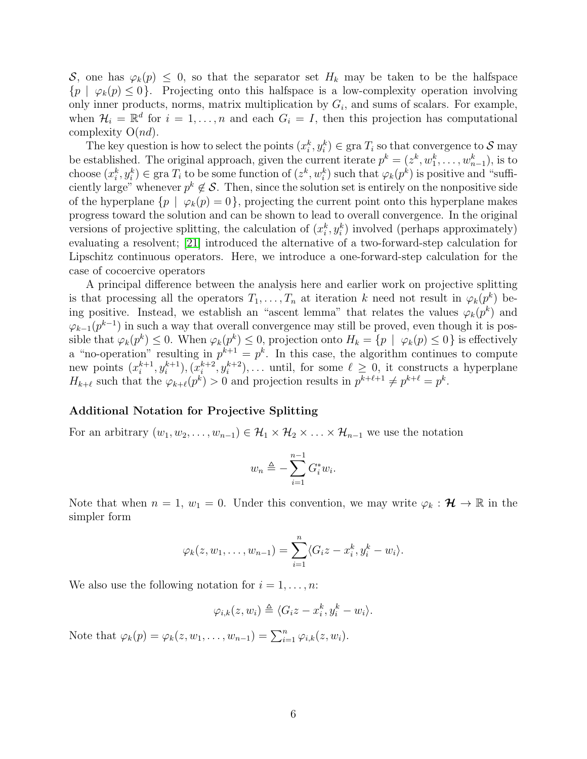S, one has  $\varphi_k(p) \leq 0$ , so that the separator set  $H_k$  may be taken to be the halfspace  $\{p \mid \varphi_k(p) \leq 0\}$ . Projecting onto this halfspace is a low-complexity operation involving only inner products, norms, matrix multiplication by  $G_i$ , and sums of scalars. For example, when  $\mathcal{H}_i = \mathbb{R}^d$  for  $i = 1, \ldots, n$  and each  $G_i = I$ , then this projection has computational complexity  $O(nd)$ .

The key question is how to select the points  $(x_i^k, y_i^k) \in \text{gra } T_i$  so that convergence to S may be established. The original approach, given the current iterate  $p^k = (z^k, w_1^k, \ldots, w_{n-1}^k)$ , is to choose  $(x_i^k, y_i^k) \in \text{gra } T_i$  to be some function of  $(z^k, w_i^k)$  such that  $\varphi_k(p^k)$  is positive and "sufficiently large" whenever  $p^k \notin \mathcal{S}$ . Then, since the solution set is entirely on the nonpositive side of the hyperplane  $\{p \mid \varphi_k(p) = 0\}$ , projecting the current point onto this hyperplane makes progress toward the solution and can be shown to lead to overall convergence. In the original versions of projective splitting, the calculation of  $(x_i^k, y_i^k)$  involved (perhaps approximately) evaluating a resolvent; [\[21\]](#page-38-3) introduced the alternative of a two-forward-step calculation for Lipschitz continuous operators. Here, we introduce a one-forward-step calculation for the case of cocoercive operators

A principal difference between the analysis here and earlier work on projective splitting is that processing all the operators  $T_1, \ldots, T_n$  at iteration k need not result in  $\varphi_k(p^k)$  being positive. Instead, we establish an "ascent lemma" that relates the values  $\varphi_k(p^k)$  and  $\varphi_{k-1}(p^{k-1})$  in such a way that overall convergence may still be proved, even though it is possible that  $\varphi_k(p^k) \leq 0$ . When  $\varphi_k(p^k) \leq 0$ , projection onto  $H_k = \{p \mid \varphi_k(p) \leq 0\}$  is effectively a "no-operation" resulting in  $p^{k+1} = p^k$ . In this case, the algorithm continues to compute new points  $(x_i^{k+1})$  $\binom{k+1}{i}, \binom{k+1}{i}, \binom{k+2}{i}$  $i^{k+2}, y_i^{k+2}, \ldots$  until, for some  $\ell \geq 0$ , it constructs a hyperplane  $H_{k+\ell}$  such that the  $\varphi_{k+\ell}(p^k) > 0$  and projection results in  $p^{k+\ell+1} \neq p^{k+\ell} = p^k$ .

#### Additional Notation for Projective Splitting

For an arbitrary  $(w_1, w_2, \ldots, w_{n-1}) \in \mathcal{H}_1 \times \mathcal{H}_2 \times \ldots \times \mathcal{H}_{n-1}$  we use the notation

$$
w_n \triangleq -\sum_{i=1}^{n-1} G_i^* w_i.
$$

Note that when  $n = 1, w_1 = 0$ . Under this convention, we may write  $\varphi_k : \mathcal{H} \to \mathbb{R}$  in the simpler form

$$
\varphi_k(z, w_1, \dots, w_{n-1}) = \sum_{i=1}^n \langle G_i z - x_i^k, y_i^k - w_i \rangle.
$$

We also use the following notation for  $i = 1, \ldots, n$ :

$$
\varphi_{i,k}(z,w_i) \triangleq \langle G_i z - x_i^k, y_i^k - w_i \rangle.
$$

Note that  $\varphi_k(p) = \varphi_k(z, w_1, \dots, w_{n-1}) = \sum_{i=1}^n \varphi_{i,k}(z, w_i)$ .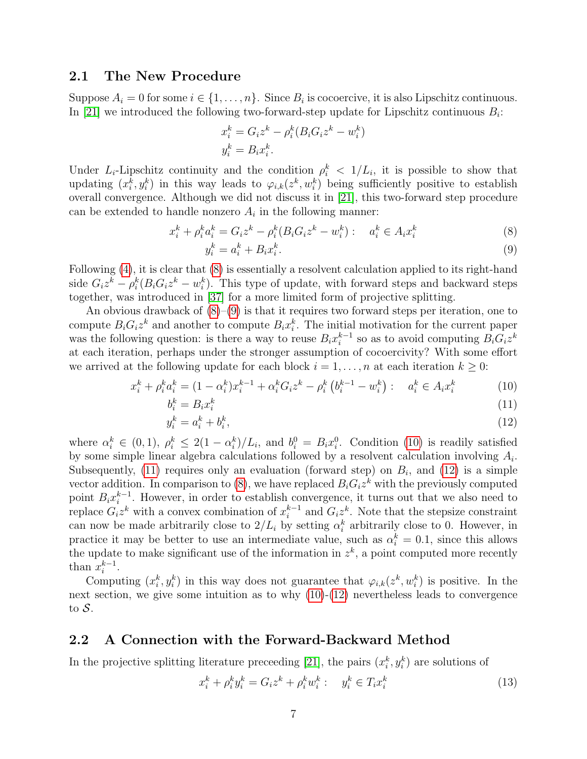#### 2.1 The New Procedure

Suppose  $A_i = 0$  for some  $i \in \{1, ..., n\}$ . Since  $B_i$  is cocoercive, it is also Lipschitz continuous. In [\[21\]](#page-38-3) we introduced the following two-forward-step update for Lipschitz continuous  $B_i$ :

<span id="page-6-1"></span>
$$
x_i^k = G_i z^k - \rho_i^k (B_i G_i z^k - w_i^k)
$$
  

$$
y_i^k = B_i x_i^k.
$$

Under  $L_i$ -Lipschitz continuity and the condition  $\rho_i^k < 1/L_i$ , it is possible to show that updating  $(x_i^k, y_i^k)$  in this way leads to  $\varphi_{i,k}(z^k, w_i^k)$  being sufficiently positive to establish overall convergence. Although we did not discuss it in [\[21\]](#page-38-3), this two-forward step procedure can be extended to handle nonzero  $A_i$  in the following manner:

$$
x_i^k + \rho_i^k a_i^k = G_i z^k - \rho_i^k (B_i G_i z^k - w_i^k) : a_i^k \in A_i x_i^k
$$
 (8)

<span id="page-6-4"></span><span id="page-6-3"></span><span id="page-6-2"></span>
$$
y_i^k = a_i^k + B_i x_i^k. \tag{9}
$$

Following [\(4\)](#page-3-0), it is clear that [\(8\)](#page-6-1) is essentially a resolvent calculation applied to its right-hand side  $G_i z^k - \rho_i^k (B_i G_i z^k - w_i^k)$ . This type of update, with forward steps and backward steps together, was introduced in [\[37\]](#page-39-1) for a more limited form of projective splitting.

An obvious drawback of  $(8)-(9)$  $(8)-(9)$  $(8)-(9)$  is that it requires two forward steps per iteration, one to compute  $B_i G_i z^k$  and another to compute  $B_i x_i^k$ . The initial motivation for the current paper was the following question: is there a way to reuse  $B_i x_i^{k-1}$  $i^{k-1}$  so as to avoid computing  $B_i G_i z^k$ at each iteration, perhaps under the stronger assumption of cocoercivity? With some effort we arrived at the following update for each block  $i = 1, \ldots, n$  at each iteration  $k \geq 0$ :

$$
x_i^k + \rho_i^k a_i^k = (1 - \alpha_i^k) x_i^{k-1} + \alpha_i^k G_i z^k - \rho_i^k \left( b_i^{k-1} - w_i^k \right) : a_i^k \in A_i x_i^k \tag{10}
$$

$$
b_i^k = B_i x_i^k \tag{11}
$$

<span id="page-6-5"></span>
$$
y_i^k = a_i^k + b_i^k,\tag{12}
$$

where  $\alpha_i^k \in (0,1)$ ,  $\rho_i^k \leq 2(1-\alpha_i^k)/L_i$ , and  $b_i^0 = B_i x_i^0$ . Condition [\(10\)](#page-6-3) is readily satisfied by some simple linear algebra calculations followed by a resolvent calculation involving  $A_i$ . Subsequently, [\(11\)](#page-6-4) requires only an evaluation (forward step) on  $B_i$ , and [\(12\)](#page-6-5) is a simple vector addition. In comparison to  $(8)$ , we have replaced  $B_i G_i z^k$  with the previously computed point  $B_i x_i^{k-1}$  $i<sup>k-1</sup>$ . However, in order to establish convergence, it turns out that we also need to replace  $G_i z^k$  with a convex combination of  $x_i^{k-1}$  $i^{k-1}$  and  $G_i z^k$ . Note that the stepsize constraint can now be made arbitrarily close to  $2/L_i$  by setting  $\alpha_i^k$  arbitrarily close to 0. However, in practice it may be better to use an intermediate value, such as  $\alpha_i^k = 0.1$ , since this allows the update to make significant use of the information in  $z<sup>k</sup>$ , a point computed more recently than  $x_i^{k-1}$  $i^{k-1}$ .

Computing  $(x_i^k, y_i^k)$  in this way does not guarantee that  $\varphi_{i,k}(z^k, w_i^k)$  is positive. In the next section, we give some intuition as to why  $(10)-(12)$  $(10)-(12)$  $(10)-(12)$  nevertheless leads to convergence to  $S$ .

### <span id="page-6-0"></span>2.2 A Connection with the Forward-Backward Method

In the projective splitting literature preceeding [\[21\]](#page-38-3), the pairs  $(x_i^k, y_i^k)$  are solutions of

<span id="page-6-6"></span>
$$
x_i^k + \rho_i^k y_i^k = G_i z^k + \rho_i^k w_i^k : y_i^k \in T_i x_i^k
$$
\n(13)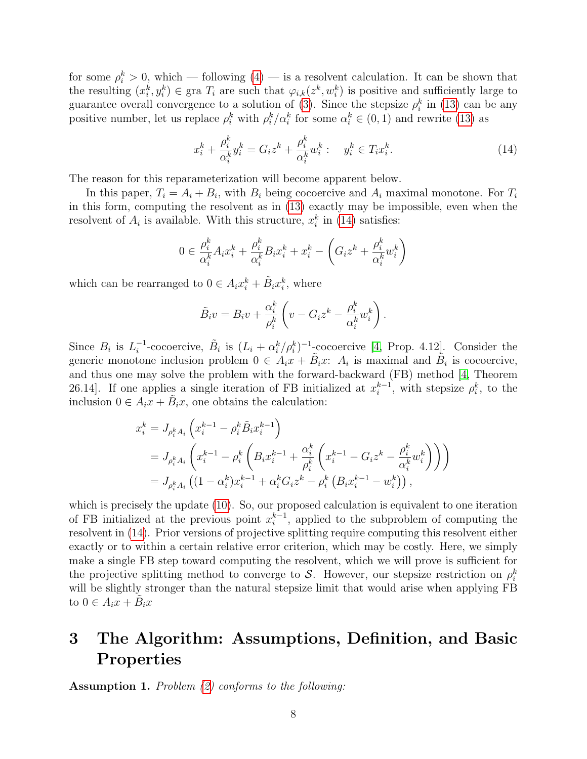for some  $\rho_i^k > 0$ , which — following  $(4)$  — is a resolvent calculation. It can be shown that the resulting  $(x_i^k, y_i^k) \in \text{gra } T_i$  are such that  $\varphi_{i,k}(z^k, w_i^k)$  is positive and sufficiently large to guarantee overall convergence to a solution of [\(3\)](#page-1-0). Since the stepsize  $\rho_i^k$  in [\(13\)](#page-6-6) can be any positive number, let us replace  $\rho_i^k$  with  $\rho_i^k/\alpha_i^k$  for some  $\alpha_i^k \in (0,1)$  and rewrite [\(13\)](#page-6-6) as

<span id="page-7-0"></span>
$$
x_i^k + \frac{\rho_i^k}{\alpha_i^k} y_i^k = G_i z^k + \frac{\rho_i^k}{\alpha_i^k} w_i^k : \quad y_i^k \in T_i x_i^k. \tag{14}
$$

The reason for this reparameterization will become apparent below.

In this paper,  $T_i = A_i + B_i$ , with  $B_i$  being cocoercive and  $A_i$  maximal monotone. For  $T_i$ in this form, computing the resolvent as in [\(13\)](#page-6-6) exactly may be impossible, even when the resolvent of  $A_i$  is available. With this structure,  $x_i^k$  in [\(14\)](#page-7-0) satisfies:

$$
0 \in \frac{\rho_i^k}{\alpha_i^k} A_i x_i^k + \frac{\rho_i^k}{\alpha_i^k} B_i x_i^k + x_i^k - \left( G_i z^k + \frac{\rho_i^k}{\alpha_i^k} w_i^k \right)
$$

which can be rearranged to  $0 \in A_i x_i^k + \tilde{B}_i x_i^k$ , where

$$
\tilde{B}_i v = B_i v + \frac{\alpha_i^k}{\rho_i^k} \left( v - G_i z^k - \frac{\rho_i^k}{\alpha_i^k} w_i^k \right).
$$

Since  $B_i$  is  $L_i^{-1}$ <sup>-1</sup>-cocoercive,  $\tilde{B}_i$  is  $(L_i + \alpha_i^k/\rho_i^k)^{-1}$ -cocoercive [\[4,](#page-37-9) Prop. 4.12]. Consider the generic monotone inclusion problem  $0 \in A_i x + \tilde{B}_i x$ :  $A_i$  is maximal and  $\tilde{B}_i$  is cocoercive, and thus one may solve the problem with the forward-backward (FB) method [\[4,](#page-37-9) Theorem 26.14]. If one applies a single iteration of FB initialized at  $x_i^{k-1}$  $i^{k-1}$ , with stepsize  $\rho_i^k$ , to the inclusion  $0 \in A_i x + \tilde{B}_i x$ , one obtains the calculation:

$$
x_i^k = J_{\rho_i^k A_i} \left( x_i^{k-1} - \rho_i^k \tilde{B}_i x_i^{k-1} \right)
$$
  
=  $J_{\rho_i^k A_i} \left( x_i^{k-1} - \rho_i^k \left( B_i x_i^{k-1} + \frac{\alpha_i^k}{\rho_i^k} \left( x_i^{k-1} - G_i z^k - \frac{\rho_i^k}{\alpha_i^k} w_i^k \right) \right) \right)$   
=  $J_{\rho_i^k A_i} \left( (1 - \alpha_i^k) x_i^{k-1} + \alpha_i^k G_i z^k - \rho_i^k \left( B_i x_i^{k-1} - w_i^k \right) \right),$ 

which is precisely the update [\(10\)](#page-6-3). So, our proposed calculation is equivalent to one iteration of FB initialized at the previous point  $x_i^{k-1}$  $i^{k-1}$ , applied to the subproblem of computing the resolvent in [\(14\)](#page-7-0). Prior versions of projective splitting require computing this resolvent either exactly or to within a certain relative error criterion, which may be costly. Here, we simply make a single FB step toward computing the resolvent, which we will prove is sufficient for the projective splitting method to converge to S. However, our stepsize restriction on  $\rho_i^k$ will be slightly stronger than the natural stepsize limit that would arise when applying FB to  $0 \in A_i \tilde{x} + \tilde{B}_i x$ 

# 3 The Algorithm: Assumptions, Definition, and Basic Properties

<span id="page-7-1"></span>Assumption 1. Problem [\(2\)](#page-0-1) conforms to the following: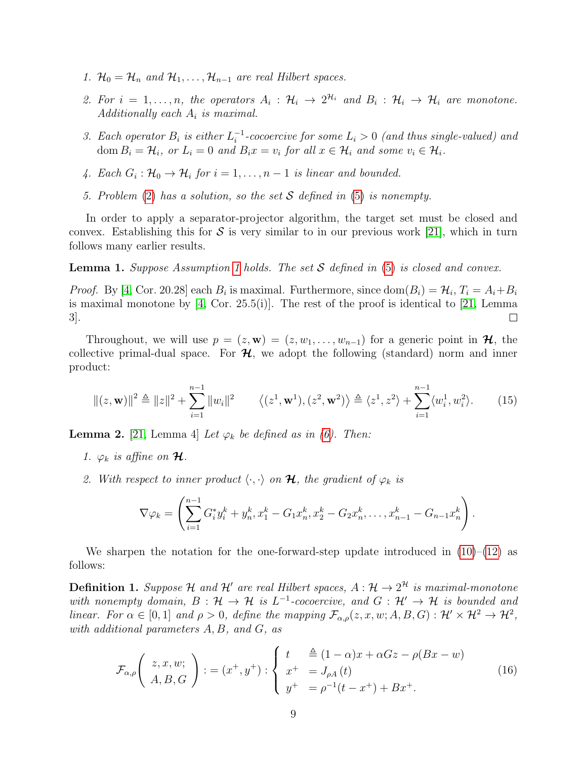- 1.  $\mathcal{H}_0 = \mathcal{H}_n$  and  $\mathcal{H}_1, \ldots, \mathcal{H}_{n-1}$  are real Hilbert spaces.
- 2. For  $i = 1, ..., n$ , the operators  $A_i : \mathcal{H}_i \to 2^{\mathcal{H}_i}$  and  $B_i : \mathcal{H}_i \to \mathcal{H}_i$  are monotone. Additionally each  $A_i$  is maximal.
- 3. Each operator  $B_i$  is either  $L_i^{-1}$  $i^{-1}$ -cocoercive for some  $L_i > 0$  (and thus single-valued) and dom  $B_i = \mathcal{H}_i$ , or  $L_i = 0$  and  $B_i x = v_i$  for all  $x \in \mathcal{H}_i$  and some  $v_i \in \mathcal{H}_i$ .
- 4. Each  $G_i: \mathcal{H}_0 \to \mathcal{H}_i$  for  $i = 1, \ldots, n-1$  is linear and bounded.
- 5. Problem [\(2\)](#page-0-1) has a solution, so the set  $S$  defined in [\(5\)](#page-4-0) is nonempty.

In order to apply a separator-projector algorithm, the target set must be closed and convex. Establishing this for S is very similar to in our previous work [\[21\]](#page-38-3), which in turn follows many earlier results.

<span id="page-8-1"></span>**Lemma [1](#page-7-1).** Suppose Assumption 1 holds. The set  $S$  defined in  $(5)$  is closed and convex.

*Proof.* By [\[4,](#page-37-9) Cor. 20.28] each  $B_i$  is maximal. Furthermore, since  $dom(B_i) = \mathcal{H}_i$ ,  $T_i = A_i + B_i$ is maximal monotone by  $[4, \text{Cor. } 25.5(i)]$  $[4, \text{Cor. } 25.5(i)]$ . The rest of the proof is identical to  $[21, \text{Lemma } 25.5(i)]$  $[21, \text{Lemma } 25.5(i)]$ 3].  $\Box$ 

Throughout, we will use  $p = (z, \mathbf{w}) = (z, w_1, \dots, w_{n-1})$  for a generic point in  $\mathcal{H}$ , the collective primal-dual space. For  $\mathcal{H}$ , we adopt the following (standard) norm and inner product:

$$
||(z, \mathbf{w})||^2 \triangleq ||z||^2 + \sum_{i=1}^{n-1} ||w_i||^2 \qquad \langle (z^1, \mathbf{w}^1), (z^2, \mathbf{w}^2) \rangle \triangleq \langle z^1, z^2 \rangle + \sum_{i=1}^{n-1} \langle w_i^1, w_i^2 \rangle. \tag{15}
$$

<span id="page-8-4"></span>**Lemma 2.** [\[21,](#page-38-3) Lemma 4] Let  $\varphi_k$  be defined as in [\(6\)](#page-4-2). Then:

- 1.  $\varphi_k$  is affine on **H**.
- 2. With respect to inner product  $\langle \cdot, \cdot \rangle$  on  $\mathcal{H}$ , the gradient of  $\varphi_k$  is

<span id="page-8-0"></span>
$$
\nabla \varphi_k = \left( \sum_{i=1}^{n-1} G_i^* y_i^k + y_n^k, x_1^k - G_1 x_n^k, x_2^k - G_2 x_n^k, \dots, x_{n-1}^k - G_{n-1} x_n^k \right).
$$

We sharpen the notation for the one-forward-step update introduced in  $(10)$ – $(12)$  as follows:

<span id="page-8-3"></span>**Definition 1.** Suppose H and H' are real Hilbert spaces,  $A: \mathcal{H} \to 2^{\mathcal{H}}$  is maximal-monotone with nonempty domain,  $B: \mathcal{H} \to \mathcal{H}$  is  $L^{-1}$ -cocoercive, and  $G: \mathcal{H}' \to \mathcal{H}$  is bounded and linear. For  $\alpha \in [0,1]$  and  $\rho > 0$ , define the mapping  $\mathcal{F}_{\alpha,\rho}(z,x,w;A,B,G) : \mathcal{H}' \times \mathcal{H}^2 \to \mathcal{H}^2$ , with additional parameters A, B, and G, as

<span id="page-8-2"></span>
$$
\mathcal{F}_{\alpha,\rho}\left(\begin{array}{c} z,x,w; \\ A,B,G \end{array}\right) := (x^+,y^+) : \begin{cases} t & \triangleq (1-\alpha)x + \alpha Gz - \rho(Bx-w) \\ x^+ & = J_{\rho A}(t) \\ y^+ & = \rho^{-1}(t-x^+) + Bx^+. \end{cases} (16)
$$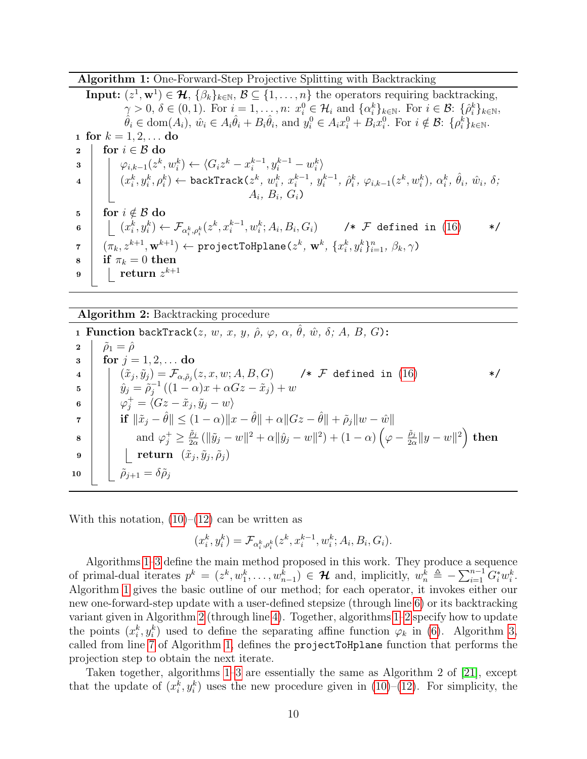Algorithm 1: One-Forward-Step Projective Splitting with Backtracking

<span id="page-9-2"></span>Input:  $(z^1, \mathbf{w}^1) \in \mathcal{H}, \{\beta_k\}_{k \in \mathbb{N}}, \mathcal{B} \subseteq \{1, \ldots, n\}$  the operators requiring backtracking,  $\gamma > 0, \, \delta \in (0,1)$ . For  $i = 1, \ldots, n$ :  $x_i^0 \in \mathcal{H}_i$  and  $\{\alpha_i^k\}_{k \in \mathbb{N}}$ . For  $i \in \mathcal{B}$ :  $\{\hat{\rho}_i^k\}_{k \in \mathbb{N}}$ ,  $\hat{\theta}_i \in \text{dom}(A_i), \ \hat{w}_i \in A_i \hat{\theta}_i + B_i \hat{\theta}_i, \text{ and } y_i^0 \in A_i x_i^0 + B_i x_i^0. \text{ For } i \notin \mathcal{B}:\ \{\rho_i^k\}_{k \in \mathbb{N}}.$ 1 for  $k = 1, 2, ...$  do 2 for  $i \in \mathcal{B}$  do  $\begin{array}{l} \mathbf{3} \end{array} \left| \begin{array}{l} \end{array} \right. \left| \begin{array}{l} \varphi_{i,k-1}(z^k,w_i^k) \leftarrow \langle G_iz^k-x_i^{k-1},y_i^{k-1}-w_i^k \end{array} \right| \end{array}$  $\lambda_i^k$   $\leftarrow \langle G_i z^k - x_i^{k-1}, y_i^{k-1} - w_i^k \rangle$  $\left. \begin{array}{c} \mathbf{1} \end{array} \right| \quad \left( x_i^k, y_i^k, \rho_i^k \right) \leftarrow \texttt{backTrack}(z^k,\, w_i^k,\, x_i^{k-1})$  $\binom{k-1}{i}, y_i^{k-1}$  $i^{k-1}, \ \hat{\rho}^k_i, \ \varphi_{i,k-1}(z^k, w^k_i), \ \alpha^k_i, \ \hat{\theta}_i, \ \hat{w}_i, \ \delta;$  $A_i, B_i, G_i$ 5 for  $i \notin \mathcal{B}$  do  $\quad \ \, \mathfrak{s} \quad \Big| \quad \ \big\lfloor \ (x_i^k, y_i^k) \leftarrow \mathcal{F}_{\alpha_i^k, \rho_i^k}(z^k, x_i^{k-1}, w_i^k; A_i, B_i, G_i) \qquad \ \ \texttt{\#} \ \mathcal{F} \ \texttt{defined in} \ \ (16) \qquad \ \ \texttt{\#} \texttt{\#} \texttt{\#} \texttt{\#} \texttt{\#} \texttt{\#} \texttt{\#} \texttt{\#} \texttt{\#} \texttt{\#} \texttt{\#} \texttt{\#} \texttt{\#} \texttt{\#} \texttt{\#} \texttt{\#$  $\quad \ \, \mathfrak{s} \quad \Big| \quad \ \big\lfloor \ (x_i^k, y_i^k) \leftarrow \mathcal{F}_{\alpha_i^k, \rho_i^k}(z^k, x_i^{k-1}, w_i^k; A_i, B_i, G_i) \qquad \ \ \texttt{\#} \ \mathcal{F} \ \texttt{defined in} \ \ (16) \qquad \ \ \texttt{\#} \texttt{\#} \texttt{\#} \texttt{\#} \texttt{\#} \texttt{\#} \texttt{\#} \texttt{\#} \texttt{\#} \texttt{\#} \texttt{\#} \texttt{\#} \texttt{\#} \texttt{\#} \texttt{\#} \texttt{\#$  $\quad \ \, \mathfrak{s} \quad \Big| \quad \ \big\lfloor \ (x_i^k, y_i^k) \leftarrow \mathcal{F}_{\alpha_i^k, \rho_i^k}(z^k, x_i^{k-1}, w_i^k; A_i, B_i, G_i) \qquad \ \ \texttt{\#} \ \mathcal{F} \ \texttt{defined in} \ \ (16) \qquad \ \ \texttt{\#} \texttt{\#} \texttt{\#} \texttt{\#} \texttt{\#} \texttt{\#} \texttt{\#} \texttt{\#} \texttt{\#} \texttt{\#} \texttt{\#} \texttt{\#} \texttt{\#} \texttt{\#} \texttt{\#} \texttt{\#$  $\tau \quad | \quad (\pi_k, z^{k+1}, \mathbf{w}^{k+1}) \leftarrow \texttt{projectToHplane}(z^k, \, \mathbf{w}^k, \, \{x_i^k, y_i^k\}_{i=1}^n, \, \beta_k, \gamma)$  $\mathbf{s}$  | if  $\pi_k = 0$  then  $\mathsf{9} \quad | \quad | \quad \mathbf{return} \; z^{k+1}$ 

<span id="page-9-7"></span><span id="page-9-3"></span><span id="page-9-1"></span>Algorithm 2: Backtracking procedure

<span id="page-9-6"></span><span id="page-9-4"></span>1 Function backTrack( $z,\,w,\,x,\,y,\,\hat{\rho},\,\varphi,\,\alpha,\,\hat{\theta},\,\hat{w},\,\delta;\,A,\,B,\,G$ ): 2  $\hat{\rho}_1 = \hat{\rho}$ 3 for  $j = 1, 2, ...$  do <sup>4</sup> (˜x<sup>j</sup> , y˜<sup>j</sup> ) = Fα,ρ˜<sup>j</sup> (z, x, w; A, B, G) /\* F defined in [\(16\)](#page-8-2) \*/ 5  $\hat{y}_j = \tilde{\rho}_i^{-1}$  $j^{-1}((1-\alpha)x+\alpha Gz-\tilde x_j)+w$  $\mathfrak{g} \quad \Big\vert \quad \Big\vert \quad \varphi^+_j = \langle Gz - \tilde{x}_j, \tilde{y}_j - w \rangle$ 7  $\left|\begin{array}{c} \end{array}\right| \text{ if } \|\tilde{x}_j - \hat{\theta}\| \leq (1 - \alpha)\|x - \hat{\theta}\| + \alpha\|Gz - \hat{\theta}\| + \tilde{\rho}_j\|w - \hat{w}\|$  $\begin{array}{c|c} \mathbf{s} & \end{array}$  and  $\varphi_j^+ \geq \frac{\tilde{\rho}_j}{2\alpha}$  $\frac{\tilde{\rho}_j}{2\alpha}\left(\|\tilde{y}_j - w\|^2 + \alpha \|\hat{y}_j - w\|^2\right) + (1 - \alpha)\left(\varphi - \frac{\tilde{\rho}_j}{2\alpha}\right)$  $\frac{\tilde{\rho}_j}{2\alpha} \|y-w\|^2 \Big) \,\, {\rm then}$  $\quad \quad \ \ \, \mathfrak{g} \quad \mid \quad \mid \quad \ \ \textbf{return} \;\;(\tilde{x}_j,\tilde{y}_j,\tilde{\rho}_j)$ 10  $\hat{\rho}_{j+1} = \delta \tilde{\rho}_j$ 

<span id="page-9-9"></span><span id="page-9-8"></span><span id="page-9-5"></span>With this notation,  $(10)$ – $(12)$  can be written as

$$
(x_i^k, y_i^k) = \mathcal{F}_{\alpha_i^k, \rho_i^k}(z^k, x_i^{k-1}, w_i^k; A_i, B_i, G_i).
$$

<span id="page-9-0"></span>Algorithms [1–](#page-9-0)[3](#page-10-0) define the main method proposed in this work. They produce a sequence of primal-dual iterates  $p^k = (z^k, w_1^k, \ldots, w_{n-1}^k) \in \mathcal{H}$  and, implicitly,  $w_n^k \triangleq -\sum_{i=1}^{n-1} G_i^* w_i^k$ . Algorithm [1](#page-9-0) gives the basic outline of our method; for each operator, it invokes either our new one-forward-step update with a user-defined stepsize (through line [6\)](#page-9-1) or its backtracking variant given in Algorithm [2](#page-9-0) (through line [4\)](#page-9-2). Together, algorithms [1–2](#page-9-0) specify how to update the points  $(x_i^k, y_i^k)$  used to define the separating affine function  $\varphi_k$  in [\(6\)](#page-4-2). Algorithm [3,](#page-10-0) called from line [7](#page-9-3) of Algorithm [1,](#page-9-0) defines the projectToHplane function that performs the projection step to obtain the next iterate.

Taken together, algorithms [1–](#page-9-0)[3](#page-10-0) are essentially the same as Algorithm 2 of [\[21\]](#page-38-3), except that the update of  $(x_i^k, y_i^k)$  uses the new procedure given in [\(10\)](#page-6-3)–[\(12\)](#page-6-5). For simplicity, the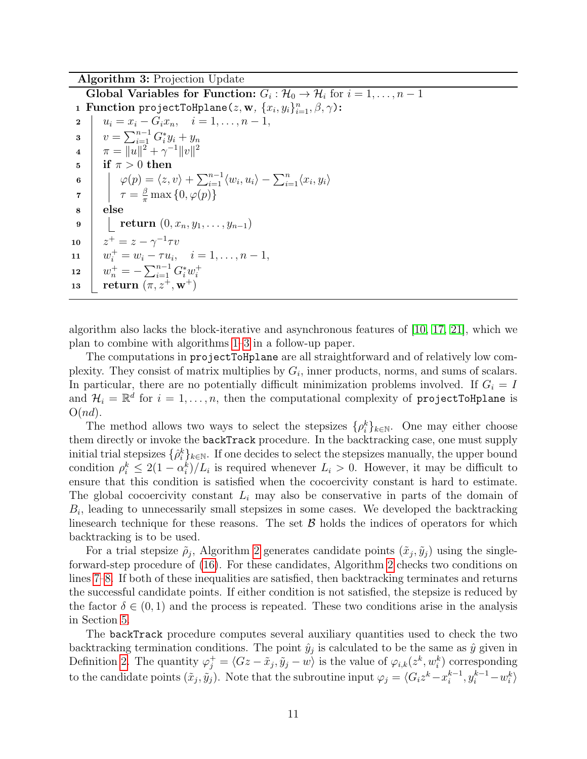Algorithm 3: Projection Update

Global Variables for Function:  $G_i: \mathcal{H}_0 \to \mathcal{H}_i$  for  $i = 1, \ldots, n - 1$ **1 Function** projectToHplane( $z$ , **w**,  $\{x_i, y_i\}_{i=1}^n$ ,  $\beta$ ,  $\gamma$ ): 2  $u_i = x_i - G_i x_n, \quad i = 1, \ldots, n-1,$ **3**  $v = \sum_{i=1}^{n-1} G_i^* y_i + y_n$  $\mu \quad | \quad \pi = \|u\|^2 + \gamma^{-1} \|v\|^2$  $\frac{1}{5}$  if  $\pi > 0$  then 6  $\phi(p) = \langle z, v \rangle + \sum_{i=1}^{n-1} \langle w_i, u_i \rangle - \sum_{i=1}^{n} \langle x_i, y_i \rangle$  $\tau = \frac{\beta}{\pi} \max\left\{0, \varphi(p)\right\}$ <sup>8</sup> else 9  $\left\vert \quad \right\vert _{\text{return }(0, x_n, y_1, \ldots, y_{n-1})}$ 10  $z^+ = z - \gamma^{-1} \tau v$ 11  $w_i^+ = w_i - \tau u_i, \quad i = 1, \ldots, n-1,$ 12  $w_n^+=-\sum_{i=1}^{n-1}G_i^*w_i^+$ i 13 **return**  $(\pi, z^+, \mathbf{w}^+)$ 

<span id="page-10-2"></span><span id="page-10-1"></span><span id="page-10-0"></span>algorithm also lacks the block-iterative and asynchronous features of [\[10,](#page-37-3) [17,](#page-38-9) [21\]](#page-38-3), which we plan to combine with algorithms [1–](#page-9-0)[3](#page-10-0) in a follow-up paper.

The computations in projectToHplane are all straightforward and of relatively low complexity. They consist of matrix multiplies by  $G_i$ , inner products, norms, and sums of scalars. In particular, there are no potentially difficult minimization problems involved. If  $G_i = I$ and  $\mathcal{H}_i = \mathbb{R}^d$  for  $i = 1, \ldots, n$ , then the computational complexity of projectToHplane is  $O(nd)$ .

The method allows two ways to select the stepsizes  $\{\rho_i^k\}_{k\in\mathbb{N}}$ . One may either choose them directly or invoke the backTrack procedure. In the backtracking case, one must supply initial trial stepsizes  $\{\hat{\rho}_i^k\}_{k\in\mathbb{N}}$ . If one decides to select the stepsizes manually, the upper bound condition  $\rho_i^k \leq 2(1 - \alpha_i^k)/L_i$  is required whenever  $L_i > 0$ . However, it may be difficult to ensure that this condition is satisfied when the cocoercivity constant is hard to estimate. The global cocoercivity constant  $L_i$  may also be conservative in parts of the domain of  $B_i$ , leading to unnecessarily small stepsizes in some cases. We developed the backtracking linesearch technique for these reasons. The set  $\beta$  holds the indices of operators for which backtracking is to be used.

For a trial stepsize  $\tilde{\rho}_j$ , Algorithm [2](#page-9-0) generates candidate points  $(\tilde{x}_j, \tilde{y}_j)$  using the singleforward-step procedure of [\(16\)](#page-8-2). For these candidates, Algorithm [2](#page-9-0) checks two conditions on lines [7–](#page-9-4)[8.](#page-9-5) If both of these inequalities are satisfied, then backtracking terminates and returns the successful candidate points. If either condition is not satisfied, the stepsize is reduced by the factor  $\delta \in (0,1)$  and the process is repeated. These two conditions arise in the analysis in Section [5.](#page-13-0)

The backTrack procedure computes several auxiliary quantities used to check the two backtracking termination conditions. The point  $\hat{y}_j$  is calculated to be the same as  $\hat{y}$  given in Definition [2.](#page-21-0) The quantity  $\varphi_j^+ = \langle Gz - \tilde{x}_j, \tilde{y}_j - w \rangle$  is the value of  $\varphi_{i,k}(z^k, w_i^k)$  corresponding to the candidate points  $(\tilde{x}_j, \tilde{y}_j)$ . Note that the subroutine input  $\varphi_j = \langle G_i z^k - x_i^{k-1} \rangle$  $x_i^{k-1}, y_i^{k-1} - w_i^k$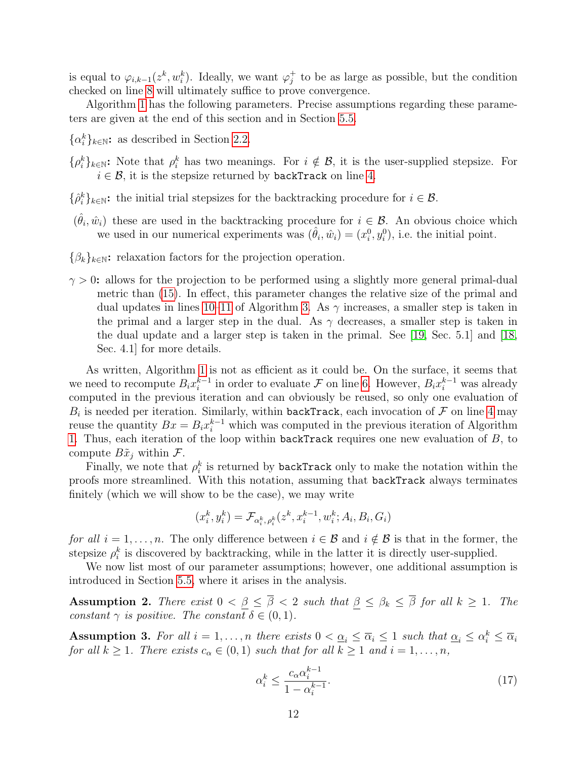is equal to  $\varphi_{i,k-1}(z^k, w_i^k)$ . Ideally, we want  $\varphi_j^+$  $j<sub>j</sub>$  to be as large as possible, but the condition checked on line [8](#page-9-5) will ultimately suffice to prove convergence.

Algorithm [1](#page-9-0) has the following parameters. Precise assumptions regarding these parameters are given at the end of this section and in Section [5.5.](#page-21-1)

- $\{\alpha_i^k\}_{k\in\mathbb{N}}$ : as described in Section [2.2.](#page-6-0)
- $\{\rho_i^k\}_{k\in\mathbb{N}}$ : Note that  $\rho_i^k$  has two meanings. For  $i \notin \mathcal{B}$ , it is the user-supplied stepsize. For  $i \in \mathcal{B}$ , it is the stepsize returned by backTrack on line [4.](#page-9-2)
- $\{\hat{\rho}_i^k\}_{k\in\mathbb{N}}$ : the initial trial stepsizes for the backtracking procedure for  $i \in \mathcal{B}$ .
- $(\hat{\theta}_i, \hat{w}_i)$  these are used in the backtracking procedure for  $i \in \mathcal{B}$ . An obvious choice which we used in our numerical experiments was  $(\hat{\theta}_i, \hat{w}_i) = (x_i^0, y_i^0)$ , i.e. the initial point.
- $\{\beta_k\}_{k\in\mathbb{N}}$ : relaxation factors for the projection operation.
- $\gamma > 0$ : allows for the projection to be performed using a slightly more general primal-dual metric than [\(15\)](#page-8-0). In effect, this parameter changes the relative size of the primal and dual updates in lines [10–](#page-10-1)[11](#page-10-2) of Algorithm [3.](#page-10-0) As  $\gamma$  increases, a smaller step is taken in the primal and a larger step in the dual. As  $\gamma$  decreases, a smaller step is taken in the dual update and a larger step is taken in the primal. See [\[19,](#page-38-2) Sec. 5.1] and [\[18,](#page-38-1) Sec. 4.1] for more details.

As written, Algorithm [1](#page-9-0) is not as efficient as it could be. On the surface, it seems that we need to recompute  $B_i x_i^{k-1}$  $i<sup>k-1</sup>$  in order to evaluate *F* on line [6.](#page-9-1) However,  $B_i x_i^{k-1}$  was already computed in the previous iteration and can obviously be reused, so only one evaluation of  $B_i$  is needed per iteration. Similarly, within backTrack, each invocation of  $\mathcal F$  on line [4](#page-9-6) may reuse the quantity  $Bx = B_i x_i^{k-1}$  which was computed in the previous iteration of Algorithm [1.](#page-9-0) Thus, each iteration of the loop within backTrack requires one new evaluation of  $B$ , to compute  $B\tilde{x}_j$  within  $\mathcal{F}$ .

Finally, we note that  $\rho_i^k$  is returned by **backTrack** only to make the notation within the proofs more streamlined. With this notation, assuming that backTrack always terminates finitely (which we will show to be the case), we may write

$$
(x_i^k, y_i^k) = \mathcal{F}_{\alpha_i^k, \rho_i^k}(z^k, x_i^{k-1}, w_i^k; A_i, B_i, G_i)
$$

for all  $i = 1, \ldots, n$ . The only difference between  $i \in \mathcal{B}$  and  $i \notin \mathcal{B}$  is that in the former, the stepsize  $\rho_i^k$  is discovered by backtracking, while in the latter it is directly user-supplied.

We now list most of our parameter assumptions; however, one additional assumption is introduced in Section [5.5,](#page-21-1) where it arises in the analysis.

<span id="page-11-1"></span>**Assumption 2.** There exist  $0 < \beta \leq \overline{\beta} < 2$  such that  $\beta \leq \beta_k \leq \overline{\beta}$  for all  $k \geq 1$ . The constant  $\gamma$  is positive. The constant  $\delta \in (0,1)$ .

**Assumption 3.** For all  $i = 1, ..., n$  there exists  $0 < \underline{\alpha}_i \leq \overline{\alpha}_i \leq 1$  such that  $\underline{\alpha}_i \leq \alpha_i^k \leq \overline{\alpha}_i$ for all  $k \geq 1$ . There exists  $c_{\alpha} \in (0,1)$  such that for all  $k \geq 1$  and  $i = 1, \ldots, n$ ,

<span id="page-11-0"></span>
$$
\alpha_i^k \le \frac{c_\alpha \alpha_i^{k-1}}{1 - \alpha_i^{k-1}}.\tag{17}
$$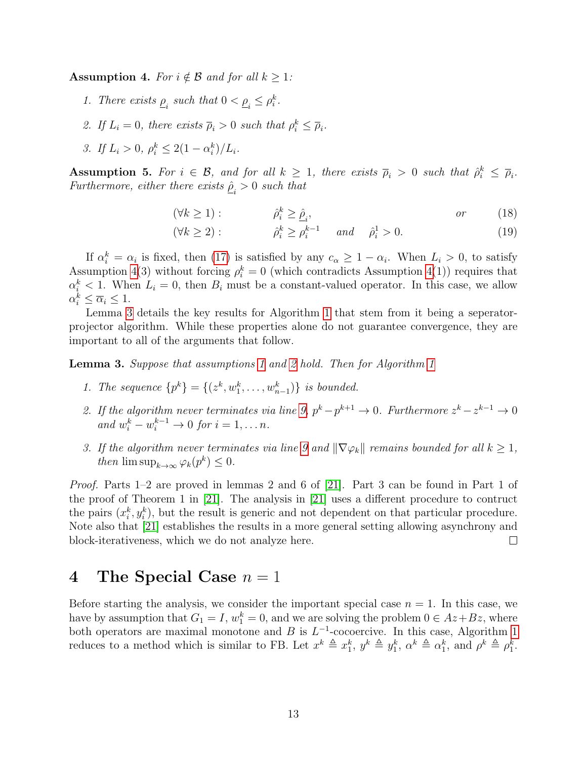<span id="page-12-0"></span>**Assumption 4.** For  $i \notin \mathcal{B}$  and for all  $k \geq 1$ :

- 1. There exists  $\underline{\rho}_i$  such that  $0 < \underline{\rho}_i \leq \rho_i^k$ .
- 2. If  $L_i = 0$ , there exists  $\overline{\rho}_i > 0$  such that  $\rho_i^k \leq \overline{\rho}_i$ .
- 3. If  $L_i > 0$ ,  $\rho_i^k \leq 2(1 \alpha_i^k)/L_i$ .

<span id="page-12-2"></span>**Assumption 5.** For  $i \in \mathcal{B}$ , and for all  $k \geq 1$ , there exists  $\overline{\rho}_i > 0$  such that  $\hat{\rho}_i^k \leq \overline{\rho}_i$ . Furthermore, either there exists  $\underline{\hat{\rho}}_i > 0$  such that

<span id="page-12-3"></span>
$$
(\forall k \ge 1): \qquad \qquad \hat{\rho}_i^k \ge \hat{\underline{\rho}}_i,\qquad \qquad or \qquad (18)
$$

<span id="page-12-4"></span>
$$
(\forall k \ge 2): \qquad \hat{\rho}_i^k \ge \rho_i^{k-1} \qquad and \qquad \hat{\rho}_i^1 > 0. \tag{19}
$$

If  $\alpha_i^k = \alpha_i$  is fixed, then [\(17\)](#page-11-0) is satisfied by any  $c_{\alpha} \geq 1 - \alpha_i$ . When  $L_i > 0$ , to satisfy Assumption [4\(](#page-12-0)3) without forcing  $\rho_i^k = 0$  (which contradicts Assumption 4(1)) requires that  $\alpha_i^k$  < 1. When  $L_i = 0$ , then  $B_i$  must be a constant-valued operator. In this case, we allow  $\alpha_i^k \leq \overline{\alpha}_i \leq 1.$ 

Lemma [3](#page-12-1) details the key results for Algorithm [1](#page-9-0) that stem from it being a seperatorprojector algorithm. While these properties alone do not guarantee convergence, they are important to all of the arguments that follow.

<span id="page-12-1"></span>**Lemma 3.** Suppose that assumptions [1](#page-9-0) and [2](#page-11-1) hold. Then for Algorithm 1

- 1. The sequence  $\{p^k\} = \{(z^k, w_1^k, \ldots, w_{n-1}^k)\}\$ is bounded.
- 2. If the algorithm never terminates via line [9,](#page-9-7)  $p^k p^{k+1} \to 0$ . Furthermore  $z^k z^{k-1} \to 0$ and  $w_i^k - w_i^{k-1} \to 0$  for  $i = 1, \ldots n$ .
- 3. If the algorithm never terminates via line [9](#page-9-7) and  $\|\nabla \varphi_k\|$  remains bounded for all  $k \geq 1$ , then  $\limsup_{k\to\infty} \varphi_k(p^k) \leq 0.$

Proof. Parts 1–2 are proved in lemmas 2 and 6 of [\[21\]](#page-38-3). Part 3 can be found in Part 1 of the proof of Theorem 1 in [\[21\]](#page-38-3). The analysis in [\[21\]](#page-38-3) uses a different procedure to contruct the pairs  $(x_i^k, y_i^k)$ , but the result is generic and not dependent on that particular procedure. Note also that [\[21\]](#page-38-3) establishes the results in a more general setting allowing asynchrony and block-iterativeness, which we do not analyze here.  $\Box$ 

## 4 The Special Case  $n = 1$

Before starting the analysis, we consider the important special case  $n = 1$ . In this case, we have by assumption that  $G_1 = I$ ,  $w_1^k = 0$ , and we are solving the problem  $0 \in Az + Bz$ , where both operators are maximal monotone and B is  $L^{-1}$ -cocoercive. In this case, Algorithm [1](#page-9-0) reduces to a method which is similar to FB. Let  $x^k \triangleq x_1^k$ ,  $y^k \triangleq y_1^k$ ,  $\alpha^k \triangleq \alpha_1^k$ , and  $\rho^k \triangleq \rho_1^k$ .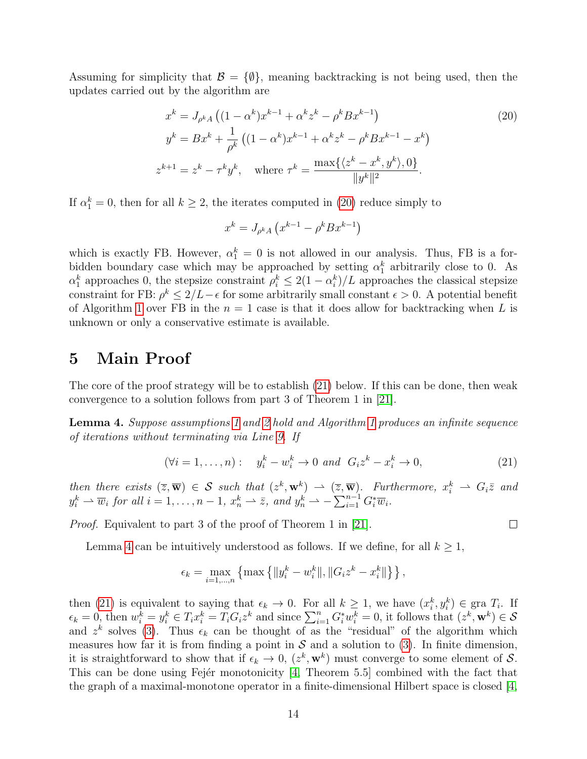Assuming for simplicity that  $\mathcal{B} = \{\emptyset\}$ , meaning backtracking is not being used, then the updates carried out by the algorithm are

$$
x^{k} = J_{\rho^{k} A} ((1 - \alpha^{k}) x^{k-1} + \alpha^{k} z^{k} - \rho^{k} B x^{k-1})
$$
\n
$$
y^{k} = B x^{k} + \frac{1}{\rho^{k}} ((1 - \alpha^{k}) x^{k-1} + \alpha^{k} z^{k} - \rho^{k} B x^{k-1} - x^{k})
$$
\n
$$
z^{k+1} = z^{k} - \tau^{k} y^{k}, \text{ where } \tau^{k} = \frac{\max\{\langle z^{k} - x^{k}, y^{k}\rangle, 0\}}{\|y^{k}\|^{2}}.
$$
\n(20)

If  $\alpha_1^k = 0$ , then for all  $k \geq 2$ , the iterates computed in [\(20\)](#page-13-1) reduce simply to

<span id="page-13-1"></span>
$$
x^{k} = J_{\rho^{k} A} \left( x^{k-1} - \rho^{k} B x^{k-1} \right)
$$

which is exactly FB. However,  $\alpha_1^k = 0$  is not allowed in our analysis. Thus, FB is a forbidden boundary case which may be approached by setting  $\alpha_1^k$  arbitrarily close to 0. As  $\alpha_1^k$  approaches 0, the stepsize constraint  $\rho_i^k \leq 2(1 - \alpha_i^k)/L$  approaches the classical stepsize constraint for FB:  $\rho^k \leq 2/L - \epsilon$  for some arbitrarily small constant  $\epsilon > 0$ . A potential benefit of Algorithm [1](#page-9-0) over FB in the  $n = 1$  case is that it does allow for backtracking when L is unknown or only a conservative estimate is available.

### <span id="page-13-0"></span>5 Main Proof

The core of the proof strategy will be to establish [\(21\)](#page-13-2) below. If this can be done, then weak convergence to a solution follows from part 3 of Theorem 1 in [\[21\]](#page-38-3).

<span id="page-13-3"></span>Lemma 4. Suppose assumptions [1](#page-9-0) and [2](#page-11-1) hold and Algorithm 1 produces an infinite sequence of iterations without terminating via Line [9.](#page-9-7) If

$$
(\forall i = 1, \dots, n): \quad y_i^k - w_i^k \to 0 \quad \text{and} \quad G_i z^k - x_i^k \to 0,\tag{21}
$$

<span id="page-13-2"></span> $\Box$ 

then there exists  $(\overline{z}, \overline{\mathbf{w}}) \in S$  such that  $(z^k, \mathbf{w}^k) \rightarrow (\overline{z}, \overline{\mathbf{w}})$ . Furthermore,  $x_i^k \rightarrow G_i \overline{z}$  and  $y_i^k \rightharpoonup \overline{w}_i$  for all  $i = 1, \ldots, n - 1, x_n^k \rightharpoonup \overline{z}$ , and  $y_n^k \rightharpoonup \sum_{i=1}^{n-1} G_i^* \overline{w}_i$ .

*Proof.* Equivalent to part 3 of the proof of Theorem 1 in [\[21\]](#page-38-3).

Lemma [4](#page-13-3) can be intuitively understood as follows. If we define, for all  $k \geq 1$ ,

$$
\epsilon_k = \max_{i=1,\dots,n} \left\{ \max \left\{ ||y_i^k - w_i^k||, ||G_i z^k - x_i^k|| \right\} \right\},\
$$

then [\(21\)](#page-13-2) is equivalent to saying that  $\epsilon_k \to 0$ . For all  $k \geq 1$ , we have  $(x_i^k, y_i^k) \in \text{gra } T_i$ . If  $\epsilon_k = 0$ , then  $w_i^{\overline{k}} = y_i^k \in T_i x_i^k = T_i G_i z^k$  and since  $\sum_{i=1}^n G_i^* w_i^k = 0$ , it follows that  $(z^k, \mathbf{w}^k) \in \mathcal{S}$ and  $z^k$  solves [\(3\)](#page-1-0). Thus  $\epsilon_k$  can be thought of as the "residual" of the algorithm which measures how far it is from finding a point in  $S$  and a solution to [\(3\)](#page-1-0). In finite dimension, it is straightforward to show that if  $\epsilon_k \to 0$ ,  $(z^k, \mathbf{w}^k)$  must converge to some element of S. This can be done using Fejer monotonicity  $[4,$  Theorem 5.5] combined with the fact that the graph of a maximal-monotone operator in a finite-dimensional Hilbert space is closed [\[4,](#page-37-9)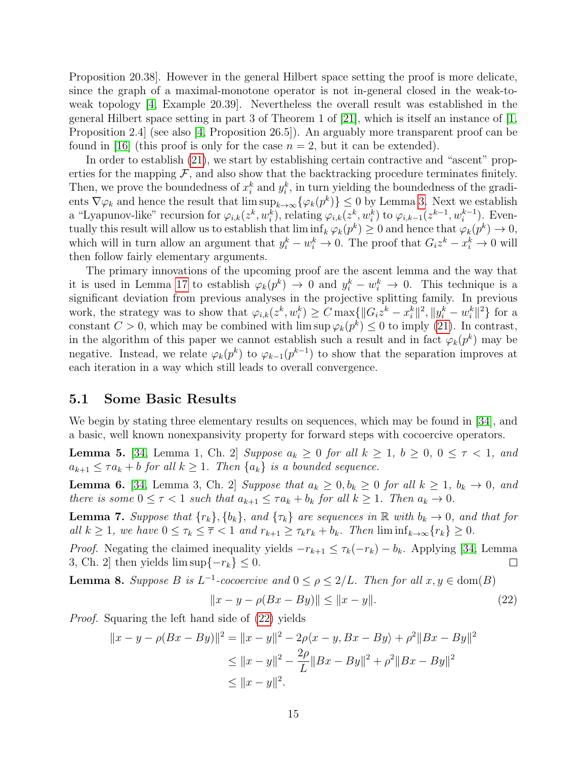Proposition 20.38]. However in the general Hilbert space setting the proof is more delicate, since the graph of a maximal-monotone operator is not in-general closed in the weak-toweak topology [\[4,](#page-37-9) Example 20.39]. Nevertheless the overall result was established in the general Hilbert space setting in part 3 of Theorem 1 of [\[21\]](#page-38-3), which is itself an instance of [\[1,](#page-37-2) Proposition 2.4] (see also [\[4,](#page-37-9) Proposition 26.5]). An arguably more transparent proof can be found in [\[16\]](#page-38-10) (this proof is only for the case  $n = 2$ , but it can be extended).

In order to establish [\(21\)](#page-13-2), we start by establishing certain contractive and "ascent" properties for the mapping  $\mathcal F$ , and also show that the backtracking procedure terminates finitely. Then, we prove the boundedness of  $x_i^k$  and  $y_i^k$ , in turn yielding the boundedness of the gradients  $\nabla \varphi_k$  and hence the result that  $\limsup_{k\to\infty} {\{\varphi_k(p^k)\}\leq 0}$  by Lemma [3.](#page-12-1) Next we establish a "Lyapunov-like" recursion for  $\varphi_{i,k}(z^k, w_i^k)$ , relating  $\varphi_{i,k}(z^k, w_i^k)$  to  $\varphi_{i,k-1}(z^{k-1}, w_i^{k-1})$ . Eventually this result will allow us to establish that  $\liminf_k \varphi_k(p^k) \ge 0$  and hence that  $\varphi_k(p^k) \to 0$ , which will in turn allow an argument that  $y_i^k - w_i^k \to 0$ . The proof that  $G_i z^k - x_i^k \to 0$  will then follow fairly elementary arguments.

The primary innovations of the upcoming proof are the ascent lemma and the way that it is used in Lemma [17](#page-23-0) to establish  $\varphi_k(p^k) \to 0$  and  $y_i^k - w_i^k \to 0$ . This technique is a significant deviation from previous analyses in the projective splitting family. In previous work, the strategy was to show that  $\varphi_{i,k}(z^k, w_i^k) \geq C \max\{\|G_i z^k - x_i^k\|^2, \|y_i^k - w_i^k\|^2\}$  for a constant  $C > 0$ , which may be combined with  $\limsup \varphi_k(p^k) \leq 0$  to imply [\(21\)](#page-13-2). In contrast, in the algorithm of this paper we cannot establish such a result and in fact  $\varphi_k(p^k)$  may be negative. Instead, we relate  $\varphi_k(p^k)$  to  $\varphi_{k-1}(p^{k-1})$  to show that the separation improves at each iteration in a way which still leads to overall convergence.

#### 5.1 Some Basic Results

We begin by stating three elementary results on sequences, which may be found in [\[34\]](#page-39-4), and a basic, well known nonexpansivity property for forward steps with cocoercive operators.

<span id="page-14-2"></span>**Lemma 5.** [\[34,](#page-39-4) Lemma 1, Ch. 2] Suppose  $a_k \geq 0$  for all  $k \geq 1$ ,  $b \geq 0$ ,  $0 \leq \tau < 1$ , and  $a_{k+1} \leq \tau a_k + b$  for all  $k \geq 1$ . Then  $\{a_k\}$  is a bounded sequence.

<span id="page-14-4"></span>**Lemma 6.** [\[34,](#page-39-4) Lemma 3, Ch. 2] Suppose that  $a_k \geq 0$ ,  $b_k \geq 0$  for all  $k \geq 1$ ,  $b_k \rightarrow 0$ , and there is some  $0 \leq \tau < 1$  such that  $a_{k+1} \leq \tau a_k + b_k$  for all  $k \geq 1$ . Then  $a_k \to 0$ .

<span id="page-14-3"></span>**Lemma 7.** Suppose that  $\{r_k\}, \{b_k\}$ , and  $\{\tau_k\}$  are sequences in  $\mathbb{R}$  with  $b_k \to 0$ , and that for all  $k \geq 1$ , we have  $0 \leq \tau_k \leq \overline{\tau} < 1$  and  $r_{k+1} \geq \tau_k r_k + b_k$ . Then  $\liminf_{k \to \infty} \{r_k\} \geq 0$ .

*Proof.* Negating the claimed inequality yields  $-r_{k+1} \leq \tau_k(-r_k) - b_k$ . Applying [\[34,](#page-39-4) Lemma 3, Ch. 2] then yields  $\limsup\{-r_k\} \leq 0$ .  $\Box$ 

<span id="page-14-1"></span>**Lemma 8.** Suppose B is  $L^{-1}$ -cocoercive and  $0 \le \rho \le 2/L$ . Then for all  $x, y \in \text{dom}(B)$ 

<span id="page-14-0"></span>
$$
||x - y - \rho(Bx - By)|| \le ||x - y||. \tag{22}
$$

Proof. Squaring the left hand side of [\(22\)](#page-14-0) yields

$$
||x - y - \rho(Bx - By)||^2 = ||x - y||^2 - 2\rho\langle x - y, Bx - By\rangle + \rho^2||Bx - By||^2
$$
  
\n
$$
\le ||x - y||^2 - \frac{2\rho}{L}||Bx - By||^2 + \rho^2||Bx - By||^2
$$
  
\n
$$
\le ||x - y||^2.
$$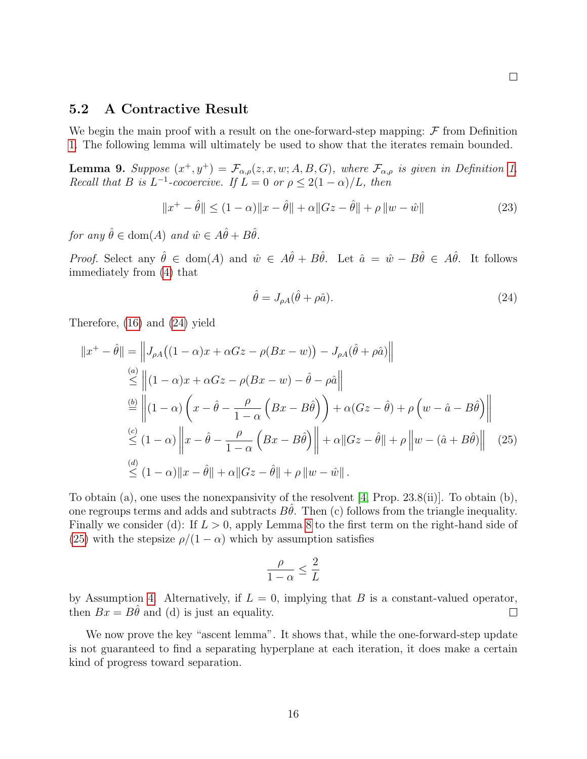#### 5.2 A Contractive Result

We begin the main proof with a result on the one-forward-step mapping:  $\mathcal F$  from Definition [1.](#page-8-3) The following lemma will ultimately be used to show that the iterates remain bounded.

<span id="page-15-3"></span>**Lemma 9.** Suppose  $(x^+, y^+) = \mathcal{F}_{\alpha,\rho}(z, x, w; A, B, G)$ , where  $\mathcal{F}_{\alpha,\rho}$  is given in Definition [1.](#page-8-3) Recall that B is  $L^{-1}$ -cocoercive. If  $L = 0$  or  $\rho \leq 2(1 - \alpha)/L$ , then

$$
||x^{+} - \hat{\theta}|| \le (1 - \alpha) ||x - \hat{\theta}|| + \alpha ||Gz - \hat{\theta}|| + \rho ||w - \hat{w}||
$$
\n(23)

for any  $\hat{\theta} \in \text{dom}(A)$  and  $\hat{w} \in A\hat{\theta} + B\hat{\theta}$ .

*Proof.* Select any  $\hat{\theta} \in \text{dom}(A)$  and  $\hat{w} \in \hat{A}\hat{\theta} + B\hat{\theta}$ . Let  $\hat{a} = \hat{w} - B\hat{\theta} \in \hat{A}\hat{\theta}$ . It follows immediately from [\(4\)](#page-3-0) that

<span id="page-15-2"></span><span id="page-15-0"></span>
$$
\hat{\theta} = J_{\rho A}(\hat{\theta} + \rho \hat{a}).\tag{24}
$$

Therefore, [\(16\)](#page-8-2) and [\(24\)](#page-15-0) yield

$$
||x^+ - \hat{\theta}|| = ||J_{\rho A}((1 - \alpha)x + \alpha Gz - \rho(Bx - w)) - J_{\rho A}(\hat{\theta} + \rho \hat{a})||
$$
  
\n
$$
\leq ||(1 - \alpha)x + \alpha Gz - \rho(Bx - w) - \hat{\theta} - \rho \hat{a}||
$$
  
\n
$$
\stackrel{(b)}{=} ||(1 - \alpha) \left(x - \hat{\theta} - \frac{\rho}{1 - \alpha} \left(Bx - B\hat{\theta}\right)\right) + \alpha(Gz - \hat{\theta}) + \rho \left(w - \hat{a} - B\hat{\theta}\right)||
$$
  
\n
$$
\leq (1 - \alpha) ||x - \hat{\theta} - \frac{\rho}{1 - \alpha} \left(Bx - B\hat{\theta}\right)|| + \alpha ||Gz - \hat{\theta}|| + \rho ||w - (\hat{a} + B\hat{\theta})|| \tag{25}
$$
  
\n
$$
\leq (1 - \alpha) ||x - \hat{\theta}|| + \alpha ||Gz - \hat{\theta}|| + \rho ||w - \hat{w}||.
$$

To obtain (a), one uses the nonexpansivity of the resolvent [\[4,](#page-37-9) Prop. 23.8(ii)]. To obtain (b), one regroups terms and adds and subtracts  $B\hat{\theta}$ . Then (c) follows from the triangle inequality. Finally we consider (d): If  $L > 0$ , apply Lemma [8](#page-14-1) to the first term on the right-hand side of [\(25\)](#page-15-1) with the stepsize  $\rho/(1-\alpha)$  which by assumption satisfies

<span id="page-15-1"></span>
$$
\frac{\rho}{1-\alpha} \le \frac{2}{L}
$$

by Assumption [4.](#page-12-0) Alternatively, if  $L = 0$ , implying that B is a constant-valued operator, then  $Bx = B\hat{\theta}$  and (d) is just an equality.  $\Box$ 

We now prove the key "ascent lemma". It shows that, while the one-forward-step update is not guaranteed to find a separating hyperplane at each iteration, it does make a certain kind of progress toward separation.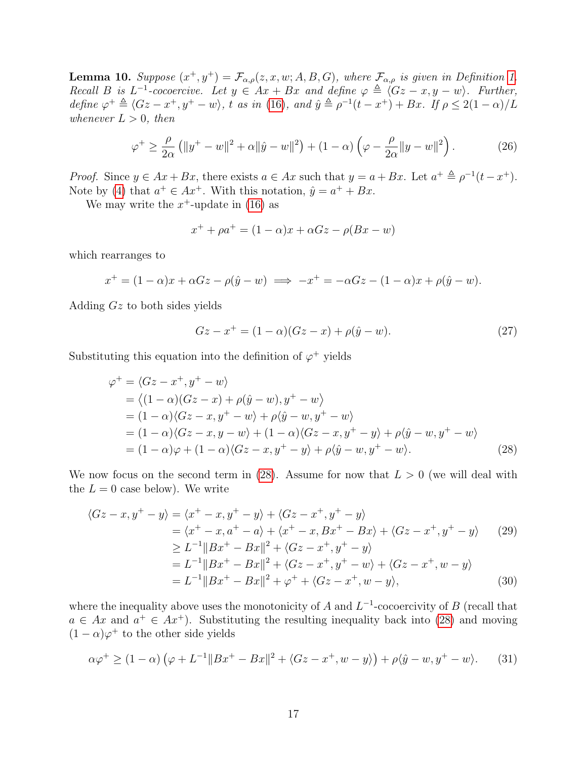<span id="page-16-6"></span>**Lemma 10.** Suppose  $(x^+, y^+) = \mathcal{F}_{\alpha,\rho}(z, x, w; A, B, G)$ , where  $\mathcal{F}_{\alpha,\rho}$  is given in Definition [1.](#page-8-3) Recall B is  $L^{-1}$ -cocoercive. Let  $y \in Ax + Bx$  and define  $\varphi \triangleq \langle Gz - x, y - w \rangle$ . Further, define  $\varphi^+ \triangleq \langle Gz - x^+, y^+ - w \rangle$ , t as in [\(16\)](#page-8-2), and  $\hat{y} \triangleq \rho^{-1}(t - x^+) + Bx$ . If  $\rho \leq 2(1 - \alpha)/L$ whenever  $L > 0$ , then

$$
\varphi^+ \ge \frac{\rho}{2\alpha} \left( \|y^+ - w\|^2 + \alpha \|\hat{y} - w\|^2 \right) + (1 - \alpha) \left( \varphi - \frac{\rho}{2\alpha} \|y - w\|^2 \right). \tag{26}
$$

*Proof.* Since  $y \in Ax + Bx$ , there exists  $a \in Ax$  such that  $y = a + Bx$ . Let  $a^+ \triangleq \rho^{-1}(t - x^+)$ . Note by [\(4\)](#page-3-0) that  $a^+ \in Ax^+$ . With this notation,  $\hat{y} = a^+ + Bx$ .

We may write the  $x^+$ -update in [\(16\)](#page-8-2) as

<span id="page-16-3"></span>
$$
x^{+} + \rho a^{+} = (1 - \alpha)x + \alpha Gz - \rho(Bx - w)
$$

which rearranges to

$$
x^+ = (1 - \alpha)x + \alpha Gz - \rho(\hat{y} - w) \implies -x^+ = -\alpha Gz - (1 - \alpha)x + \rho(\hat{y} - w).
$$

Adding Gz to both sides yields

<span id="page-16-5"></span><span id="page-16-4"></span><span id="page-16-1"></span><span id="page-16-0"></span>
$$
Gz - x^{+} = (1 - \alpha)(Gz - x) + \rho(\hat{y} - w).
$$
 (27)

Substituting this equation into the definition of  $\varphi^+$  yields

$$
\varphi^{+} = \langle Gz - x^{+}, y^{+} - w \rangle
$$
  
\n
$$
= \langle (1 - \alpha)(Gz - x) + \rho(\hat{y} - w), y^{+} - w \rangle
$$
  
\n
$$
= (1 - \alpha)\langle Gz - x, y^{+} - w \rangle + \rho \langle \hat{y} - w, y^{+} - w \rangle
$$
  
\n
$$
= (1 - \alpha)\langle Gz - x, y - w \rangle + (1 - \alpha)\langle Gz - x, y^{+} - y \rangle + \rho \langle \hat{y} - w, y^{+} - w \rangle
$$
  
\n
$$
= (1 - \alpha)\varphi + (1 - \alpha)\langle Gz - x, y^{+} - y \rangle + \rho \langle \hat{y} - w, y^{+} - w \rangle.
$$
 (28)

We now focus on the second term in  $(28)$ . Assume for now that  $L > 0$  (we will deal with the  $L = 0$  case below). We write

$$
\langle Gz - x, y^+ - y \rangle = \langle x^+ - x, y^+ - y \rangle + \langle Gz - x^+, y^+ - y \rangle
$$
  
=  $\langle x^+ - x, a^+ - a \rangle + \langle x^+ - x, Bx^+ - Bx \rangle + \langle Gz - x^+, y^+ - y \rangle$  (29)  
 $\geq L^{-1} ||Bx^+ - Bx||^2 + \langle Gz - x^+, y^+ - y \rangle$   
=  $L^{-1} ||Bx^+ - Bx||^2 + \langle Gz - x^+, y^+ - w \rangle + \langle Gz - x^+, w - y \rangle$   
=  $L^{-1} ||Bx^+ - Bx||^2 + \varphi^+ + \langle Gz - x^+, w - y \rangle,$  (30)

where the inequality above uses the monotonicity of A and  $L^{-1}$ -cocoercivity of B (recall that  $a \in Ax$  and  $a^+ \in Ax^+$ ). Substituting the resulting inequality back into [\(28\)](#page-16-0) and moving  $(1 - \alpha)\varphi^{+}$  to the other side yields

<span id="page-16-2"></span>
$$
\alpha \varphi^+ \ge (1 - \alpha) \left( \varphi + L^{-1} \|Bx^+ - Bx\|^2 + \langle Gz - x^+, w - y \rangle \right) + \rho \langle \hat{y} - w, y^+ - w \rangle. \tag{31}
$$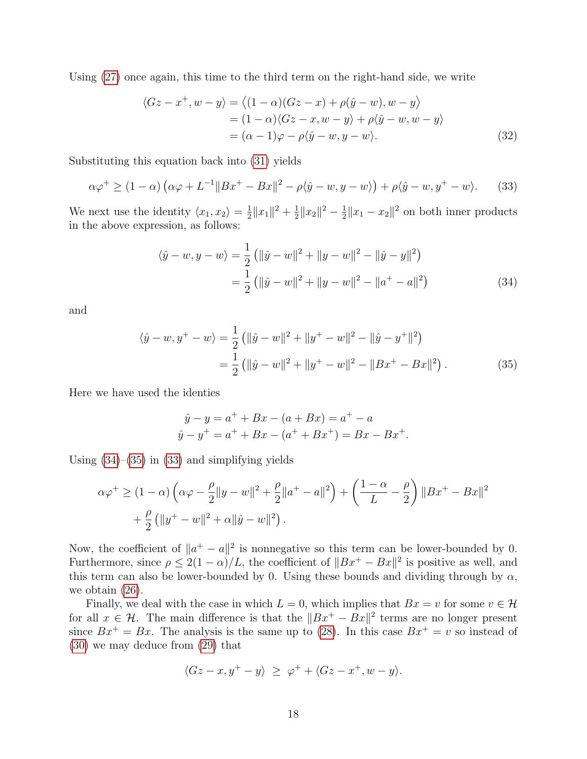Using [\(27\)](#page-16-1) once again, this time to the third term on the right-hand side, we write

<span id="page-17-3"></span>
$$
\langle Gz - x^+, w - y \rangle = \langle (1 - \alpha)(Gz - x) + \rho(\hat{y} - w), w - y \rangle
$$
  
=  $(1 - \alpha)\langle Gz - x, w - y \rangle + \rho \langle \hat{y} - w, w - y \rangle$   
=  $(\alpha - 1)\varphi - \rho \langle \hat{y} - w, y - w \rangle.$  (32)

Substituting this equation back into [\(31\)](#page-16-2) yields

$$
\alpha \varphi^+ \ge (1 - \alpha) \left( \alpha \varphi + L^{-1} \| Bx^+ - Bx \|^2 - \rho \langle \hat{y} - w, y - w \rangle \right) + \rho \langle \hat{y} - w, y^+ - w \rangle. \tag{33}
$$

We next use the identity  $\langle x_1, x_2 \rangle = \frac{1}{2}$  $\frac{1}{2}||x_1||^2 + \frac{1}{2}$  $\frac{1}{2}||x_2||^2 - \frac{1}{2}$  $\frac{1}{2}||x_1 - x_2||^2$  on both inner products in the above expression, as follows:

<span id="page-17-2"></span><span id="page-17-0"></span>
$$
\langle \hat{y} - w, y - w \rangle = \frac{1}{2} ( \| \hat{y} - w \|^2 + \| y - w \|^2 - \| \hat{y} - y \|^2 )
$$
  
= 
$$
\frac{1}{2} ( \| \hat{y} - w \|^2 + \| y - w \|^2 - \| a^+ - a \|^2 )
$$
(34)

and

$$
\langle \hat{y} - w, y^+ - w \rangle = \frac{1}{2} \left( \| \hat{y} - w \|^2 + \| y^+ - w \|^2 - \| \hat{y} - y^+ \|^2 \right)
$$
  
= 
$$
\frac{1}{2} \left( \| \hat{y} - w \|^2 + \| y^+ - w \|^2 - \| Bx^+ - Bx \|^2 \right).
$$
 (35)

Here we have used the identies

<span id="page-17-1"></span>
$$
\hat{y} - y = a^{+} + Bx - (a + Bx) = a^{+} - a
$$
  

$$
\hat{y} - y^{+} = a^{+} + Bx - (a^{+} + Bx^{+}) = Bx - Bx^{+}.
$$

Using  $(34)$ – $(35)$  in  $(33)$  and simplifying yields

$$
\alpha \varphi^+ \ge (1 - \alpha) \left( \alpha \varphi - \frac{\rho}{2} ||y - w||^2 + \frac{\rho}{2} ||a^+ - a||^2 \right) + \left( \frac{1 - \alpha}{L} - \frac{\rho}{2} \right) ||Bx^+ - Bx||^2
$$
  
+  $\frac{\rho}{2} (||y^+ - w||^2 + \alpha ||\hat{y} - w||^2).$ 

Now, the coefficient of  $||a^+ - a||^2$  is nonnegative so this term can be lower-bounded by 0. Furthermore, since  $\rho \leq 2(1-\alpha)/L$ , the coefficient of  $||Bx^+ - Bx||^2$  is positive as well, and this term can also be lower-bounded by 0. Using these bounds and dividing through by  $\alpha$ , we obtain [\(26\)](#page-16-3).

Finally, we deal with the case in which  $L = 0$ , which implies that  $Bx = v$  for some  $v \in \mathcal{H}$ for all  $x \in \mathcal{H}$ . The main difference is that the  $||Bx^+ - Bx||^2$  terms are no longer present since  $Bx^+ = Bx$ . The analysis is the same up to [\(28\)](#page-16-0). In this case  $Bx^+ = v$  so instead of [\(30\)](#page-16-4) we may deduce from [\(29\)](#page-16-5) that

$$
\langle Gz - x, y^+ - y \rangle \ge \varphi^+ + \langle Gz - x^+, w - y \rangle.
$$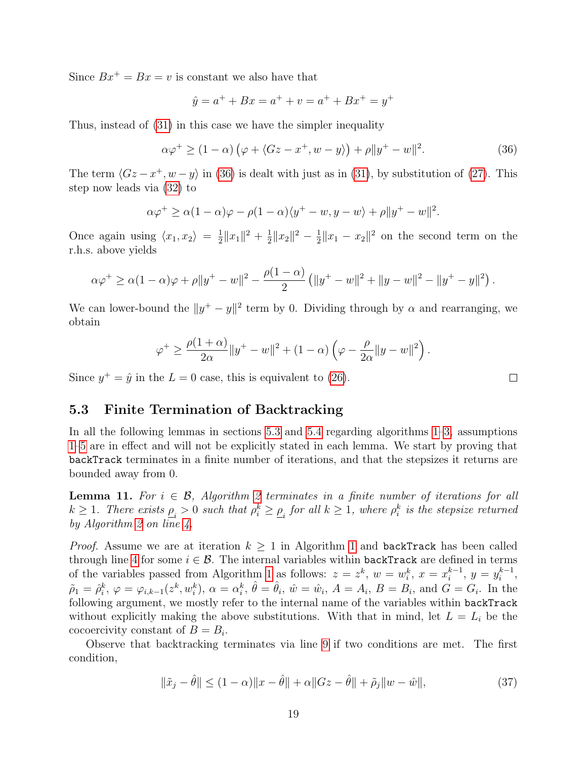Since  $Bx^+ = Bx = v$  is constant we also have that

$$
\hat{y} = a^+ + Bx = a^+ + v = a^+ + Bx^+ = y^+
$$

Thus, instead of [\(31\)](#page-16-2) in this case we have the simpler inequality

$$
\alpha \varphi^+ \ge (1 - \alpha) \left( \varphi + \langle Gz - x^+, w - y \rangle \right) + \rho \| y^+ - w \|^2. \tag{36}
$$

The term  $\langle Gz - x^+, w - y \rangle$  in [\(36\)](#page-18-0) is dealt with just as in [\(31\)](#page-16-2), by substitution of [\(27\)](#page-16-1). This step now leads via [\(32\)](#page-17-3) to

$$
\alpha \varphi^+ \ge \alpha (1 - \alpha) \varphi - \rho (1 - \alpha) \langle y^+ - w, y - w \rangle + \rho \| y^+ - w \|^2.
$$

Once again using  $\langle x_1, x_2 \rangle = \frac{1}{2}$  $\frac{1}{2}||x_1||^2 + \frac{1}{2}$  $\frac{1}{2}||x_2||^2 - \frac{1}{2}$  $\frac{1}{2}||x_1 - x_2||^2$  on the second term on the r.h.s. above yields

$$
\alpha \varphi^+ \ge \alpha (1-\alpha) \varphi + \rho \|y^+ - w\|^2 - \frac{\rho(1-\alpha)}{2} \left( \|y^+ - w\|^2 + \|y - w\|^2 - \|y^+ - y\|^2 \right).
$$

We can lower-bound the  $||y^+ - y||^2$  term by 0. Dividing through by  $\alpha$  and rearranging, we obtain

$$
\varphi^+ \ge \frac{\rho(1+\alpha)}{2\alpha} \|y^+ - w\|^2 + (1-\alpha) \left(\varphi - \frac{\rho}{2\alpha} \|y - w\|^2\right)
$$

Since  $y^+ = \hat{y}$  in the  $L = 0$  case, this is equivalent to [\(26\)](#page-16-3).

### <span id="page-18-1"></span>5.3 Finite Termination of Backtracking

In all the following lemmas in sections [5.3](#page-18-1) and [5.4](#page-20-0) regarding algorithms [1–](#page-9-0)[3,](#page-10-0) assumptions [1–](#page-7-1)[5](#page-12-2) are in effect and will not be explicitly stated in each lemma. We start by proving that backTrack terminates in a finite number of iterations, and that the stepsizes it returns are bounded away from 0.

<span id="page-18-3"></span>**Lemma 11.** For  $i \in \mathcal{B}$ , Algorithm [2](#page-9-0) terminates in a finite number of iterations for all  $k \geq 1$ . There exists  $\rho_i > 0$  such that  $\rho_i^k \geq \rho_i$  for all  $k \geq 1$ , where  $\rho_i^k$  is the stepsize returned by Algorithm [2](#page-9-0) on line [4.](#page-9-2)

*Proof.* Assume we are at iteration  $k \geq 1$  $k \geq 1$  in Algorithm 1 and backTrack has been called through line [4](#page-9-2) for some  $i \in \mathcal{B}$ . The internal variables within backTrack are defined in terms of the variables passed from Algorithm [1](#page-9-0) as follows:  $z = z^k$ ,  $w = w_i^k$ ,  $x = x_i^{k-1}$  $i^{k-1}, y = y_i^{k-1}$  $i^{k-1},$  $\tilde{\rho}_1 = \hat{\rho}_i^k, \varphi = \varphi_{i,k-1}(z^k, w_i^k), \ \alpha = \alpha_i^k, \ \hat{\theta} = \hat{\theta}_i, \ \hat{w} = \hat{w}_i, \ A = A_i, \ B = B_i, \text{ and } \ \hat{G} = G_i.$  In the following argument, we mostly refer to the internal name of the variables within backTrack without explicitly making the above substitutions. With that in mind, let  $L = L<sub>i</sub>$  be the cocoercivity constant of  $B = B_i$ .

Observe that backtracking terminates via line [9](#page-9-8) if two conditions are met. The first condition,

$$
\|\tilde{x}_j - \hat{\theta}\| \le (1 - \alpha) \|x - \hat{\theta}\| + \alpha \|Gz - \hat{\theta}\| + \tilde{\rho}_j \|w - \hat{w}\|,
$$
\n(37)

<span id="page-18-2"></span> $\Box$ 

<span id="page-18-0"></span>.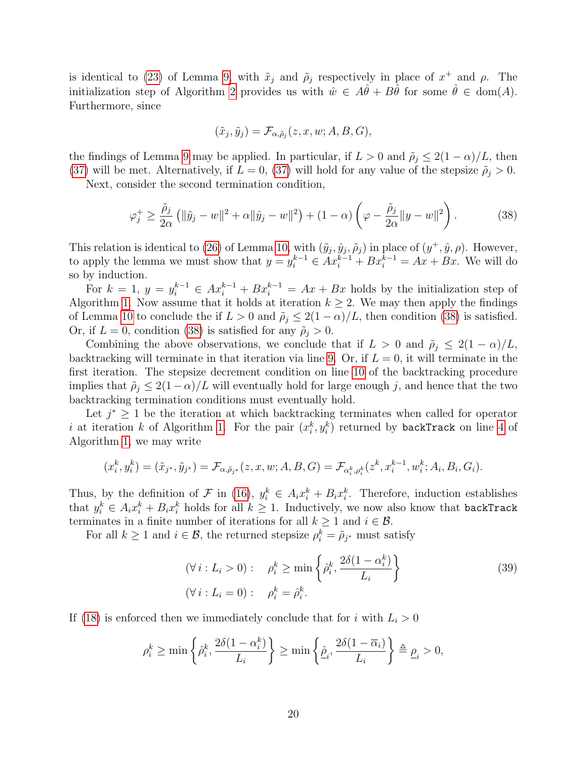is identical to [\(23\)](#page-15-2) of Lemma [9,](#page-15-3) with  $\tilde{x}_j$  and  $\tilde{\rho}_j$  respectively in place of  $x^+$  and  $\rho$ . The initialization step of Algorithm [2](#page-9-0) provides us with  $\hat{w} \in A\hat{\theta} + B\hat{\theta}$  for some  $\hat{\theta} \in \text{dom}(A)$ . Furthermore, since

<span id="page-19-0"></span>
$$
(\tilde{x}_j, \tilde{y}_j) = \mathcal{F}_{\alpha, \tilde{\rho}_j}(z, x, w; A, B, G),
$$

the findings of Lemma [9](#page-15-3) may be applied. In particular, if  $L > 0$  and  $\tilde{\rho}_j \leq 2(1 - \alpha)/L$ , then [\(37\)](#page-18-2) will be met. Alternatively, if  $L = 0$ , (37) will hold for any value of the stepsize  $\tilde{\rho}_j > 0$ .

Next, consider the second termination condition,

$$
\varphi_j^+ \ge \frac{\tilde{\rho}_j}{2\alpha} \left( \|\tilde{y}_j - w\|^2 + \alpha \|\hat{y}_j - w\|^2 \right) + (1 - \alpha) \left( \varphi - \frac{\tilde{\rho}_j}{2\alpha} \|y - w\|^2 \right). \tag{38}
$$

This relation is identical to [\(26\)](#page-16-3) of Lemma [10,](#page-16-6) with  $(\tilde{y}_j, \hat{y}_j, \tilde{\rho}_j)$  in place of  $(y^+, \hat{y}, \rho)$ . However, to apply the lemma we must show that  $y = y_i^{k-1} \in Ax_i^{k-1} + Bx_i^{k-1} = Ax + Bx$ . We will do so by induction.

For  $k = 1$ ,  $y = y_i^{k-1} \in Ax_i^{k-1} + Bx_i^{k-1} = Ax + Bx$  holds by the initialization step of Algorithm [1.](#page-9-0) Now assume that it holds at iteration  $k \geq 2$ . We may then apply the findings of Lemma [10](#page-16-6) to conclude the if  $L > 0$  and  $\tilde{\rho}_j \leq 2(1 - \alpha)/L$ , then condition [\(38\)](#page-19-0) is satisfied. Or, if  $L = 0$ , condition [\(38\)](#page-19-0) is satisfied for any  $\tilde{\rho}_j > 0$ .

Combining the above observations, we conclude that if  $L > 0$  and  $\tilde{\rho}_i \leq 2(1 - \alpha)/L$ , backtracking will terminate in that iteration via line [9.](#page-9-8) Or, if  $L = 0$ , it will terminate in the first iteration. The stepsize decrement condition on line [10](#page-9-9) of the backtracking procedure implies that  $\tilde{\rho}_j \leq 2(1-\alpha)/L$  will eventually hold for large enough j, and hence that the two backtracking termination conditions must eventually hold.

Let  $j^* \geq 1$  be the iteration at which backtracking terminates when called for operator i at iteration k of Algorithm [1.](#page-9-0) For the pair  $(x_i^k, y_i^k)$  returned by backTrack on line [4](#page-9-2) of Algorithm [1,](#page-9-0) we may write

$$
(x_i^k, y_i^k) = (\tilde{x}_{j^*}, \tilde{y}_{j^*}) = \mathcal{F}_{\alpha, \tilde{\rho}_{j^*}}(z, x, w; A, B, G) = \mathcal{F}_{\alpha_i^k, \rho_i^k}(z^k, x_i^{k-1}, w_i^k; A_i, B_i, G_i).
$$

Thus, by the definition of  $\mathcal F$  in [\(16\)](#page-8-2),  $y_i^k \in A_i x_i^k + B_i x_i^k$ . Therefore, induction establishes that  $y_i^k \in A_i x_i^k + B_i x_i^k$  holds for all  $k \ge 1$ . Inductively, we now also know that backTrack terminates in a finite number of iterations for all  $k \geq 1$  and  $i \in \mathcal{B}$ .

For all  $k \geq 1$  and  $i \in \mathcal{B}$ , the returned stepsize  $\rho_i^k = \tilde{\rho}_{j^*}$  must satisfy

<span id="page-19-1"></span>
$$
(\forall i: L_i > 0): \quad \rho_i^k \ge \min\left\{\hat{\rho}_i^k, \frac{2\delta(1 - \alpha_i^k)}{L_i}\right\}
$$
  

$$
(\forall i: L_i = 0): \quad \rho_i^k = \hat{\rho}_i^k.
$$
 (39)

If [\(18\)](#page-12-3) is enforced then we immediately conclude that for i with  $L_i > 0$ 

$$
\rho_i^k \ge \min\left\{\hat{\rho}_i^k, \frac{2\delta(1-\alpha_i^k)}{L_i}\right\} \ge \min\left\{\hat{\underline{\rho}}_i, \frac{2\delta(1-\overline{\alpha}_i)}{L_i}\right\} \triangleq \underline{\rho}_i > 0,
$$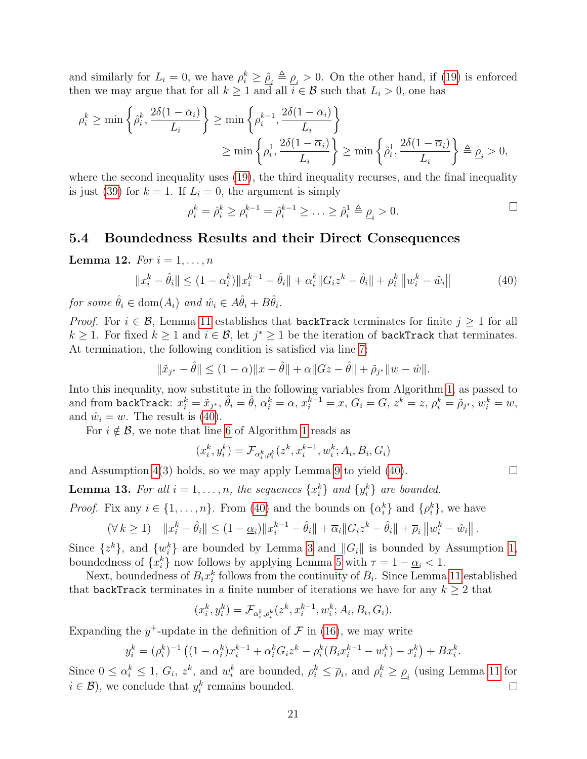and similarly for  $L_i = 0$ , we have  $\rho_i^k \geq \hat{\rho}_i \triangleq \rho_i > 0$ . On the other hand, if [\(19\)](#page-12-4) is enforced then we may argue that for all  $k \ge 1$  and all  $i \in \mathcal{B}$  such that  $L_i > 0$ , one has

$$
\rho_i^k \ge \min\left\{\hat{\rho}_i^k, \frac{2\delta(1-\overline{\alpha}_i)}{L_i}\right\} \ge \min\left\{\rho_i^{k-1}, \frac{2\delta(1-\overline{\alpha}_i)}{L_i}\right\}
$$

$$
\ge \min\left\{\rho_i^1, \frac{2\delta(1-\overline{\alpha}_i)}{L_i}\right\} \ge \min\left\{\hat{\rho}_i^1, \frac{2\delta(1-\overline{\alpha}_i)}{L_i}\right\} \triangleq \underline{\rho}_i > 0,
$$

where the second inequality uses [\(19\)](#page-12-4), the third inequality recurses, and the final inequality is just [\(39\)](#page-19-1) for  $k = 1$ . If  $L<sub>i</sub> = 0$ , the argument is simply

$$
\rho_i^k = \hat{\rho}_i^k \ge \rho_i^{k-1} = \hat{\rho}_i^{k-1} \ge \ldots \ge \hat{\rho}_i^1 \triangleq \underline{\rho}_i > 0.
$$

#### <span id="page-20-0"></span>5.4 Boundedness Results and their Direct Consequences

**Lemma 12.** For  $i = 1, \ldots, n$ 

$$
||x_i^k - \hat{\theta}_i|| \le (1 - \alpha_i^k) ||x_i^{k-1} - \hat{\theta}_i|| + \alpha_i^k ||G_i z^k - \hat{\theta}_i|| + \rho_i^k ||w_i^k - \hat{w}_i|| \tag{40}
$$

for some  $\hat{\theta}_i \in \text{dom}(A_i)$  and  $\hat{w}_i \in A\hat{\theta}_i + B\hat{\theta}_i$ .

*Proof.* For  $i \in \mathcal{B}$ , Lemma [11](#page-18-3) establishes that backTrack terminates for finite  $j \geq 1$  for all  $k \geq 1$ . For fixed  $k \geq 1$  and  $i \in \mathcal{B}$ , let  $j^* \geq 1$  be the iteration of **backTrack** that terminates. At termination, the following condition is satisfied via line [7:](#page-9-4)

$$
\|\tilde{x}_{j^*} - \hat{\theta}\| \le (1 - \alpha) \|x - \hat{\theta}\| + \alpha \|Gz - \hat{\theta}\| + \tilde{\rho}_{j^*} \|w - \hat{w}\|.
$$

Into this inequality, now substitute in the following variables from Algorithm [1,](#page-9-0) as passed to and from backTrack:  $x_i^k = \tilde{x}_{j^*}, \hat{\theta}_i = \hat{\theta}, \, \alpha_i^k = \alpha, \, x_i^{k-1} = x, \, G_i = G, \, z^k = z, \, \rho_i^k = \tilde{\rho}_{j^*}, \, w_i^k = w,$ and  $\hat{w}_i = w$ . The result is [\(40\)](#page-20-1).

For  $i \notin \mathcal{B}$ , we note that line [6](#page-9-1) of Algorithm [1](#page-9-0) reads as

$$
(x_i^k, y_i^k) = \mathcal{F}_{\alpha_i^k, \rho_i^k}(z^k, x_i^{k-1}, w_i^k; A_i, B_i, G_i)
$$

and Assumption [4\(](#page-12-0)3) holds, so we may apply Lemma [9](#page-15-3) to yield [\(40\)](#page-20-1).

<span id="page-20-2"></span>**Lemma 13.** For all  $i = 1, ..., n$ , the sequences  $\{x_i^k\}$  and  $\{y_i^k\}$  are bounded.

*Proof.* Fix any  $i \in \{1, ..., n\}$ . From [\(40\)](#page-20-1) and the bounds on  $\{\alpha_i^k\}$  and  $\{\rho_i^k\}$ , we have

$$
(\forall k \ge 1) \quad \|x_i^k - \hat{\theta}_i\| \le (1 - \underline{\alpha}_i) \|x_i^{k-1} - \hat{\theta}_i\| + \overline{\alpha}_i \|G_i z^k - \hat{\theta}_i\| + \overline{\rho}_i \|w_i^k - \hat{w}_i\|.
$$

Since  $\{z^k\}$ , and  $\{w_i^k\}$  are bounded by Lemma [3](#page-12-1) and  $||G_i||$  is bounded by Assumption [1,](#page-7-1) boundedness of  $\{x_i^k\}$  now follows by applying Lemma [5](#page-14-2) with  $\tau = 1 - \underline{\alpha}_i < 1$ .

Next, boundedness of  $B_i x_i^k$  follows from the continuity of  $B_i$ . Since Lemma [11](#page-18-3) established that backTrack terminates in a finite number of iterations we have for any  $k \geq 2$  that

$$
(x_i^k, y_i^k) = \mathcal{F}_{\alpha_i^k, \rho_i^k}(z^k, x_i^{k-1}, w_i^k; A_i, B_i, G_i).
$$

Expanding the  $y^+$ -update in the definition of  $\mathcal F$  in [\(16\)](#page-8-2), we may write

$$
y_i^k = (\rho_i^k)^{-1} \left( (1 - \alpha_i^k) x_i^{k-1} + \alpha_i^k G_i z^k - \rho_i^k (B_i x_i^{k-1} - w_i^k) - x_i^k \right) + B x_i^k.
$$

Since  $0 \le \alpha_i^k \le 1$ ,  $G_i$ ,  $z^k$ , and  $w_i^k$  are bounded,  $\rho_i^k \le \overline{\rho}_i$ , and  $\rho_i^k \ge \underline{\rho}_i$  (using Lemma [11](#page-18-3) for  $i \in \mathcal{B}$ , we conclude that  $y_i^k$  remains bounded.  $\Box$ 

<span id="page-20-1"></span> $\Box$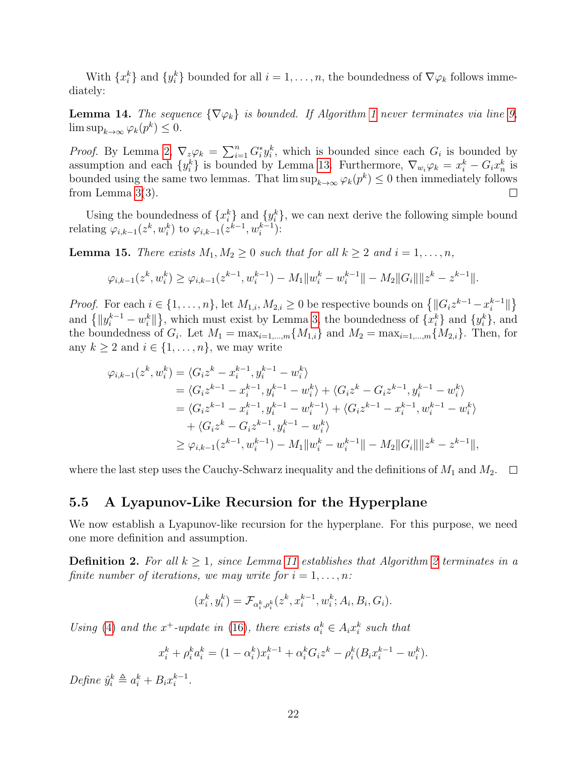With  $\{x_i^k\}$  and  $\{y_i^k\}$  bounded for all  $i = 1, \ldots, n$ , the boundedness of  $\nabla \varphi_k$  follows immediately:

<span id="page-21-3"></span>**Lemma [1](#page-9-0)4.** The sequence  $\{\nabla \varphi_k\}$  is bounded. If Algorithm 1 never terminates via line [9,](#page-9-7)  $\limsup_{k\to\infty}\varphi_k(p^k)\leq 0.$ 

*Proof.* By Lemma [2,](#page-8-4)  $\nabla_z \varphi_k = \sum_{i=1}^n G_i^* y_i^k$ , which is bounded since each  $G_i$  is bounded by assumption and each  $\{y_i^k\}$  is bounded by Lemma [13.](#page-20-2) Furthermore,  $\nabla_{w_i}\varphi_k = x_i^k - G_ix_n^k$  is bounded using the same two lemmas. That  $\limsup_{k\to\infty} \varphi_k(p^k) \leq 0$  then immediately follows from Lemma [3\(](#page-12-1)3). П

Using the boundedness of  $\{x_i^k\}$  and  $\{y_i^k\}$ , we can next derive the following simple bound relating  $\varphi_{i,k-1}(z^k, w_i^k)$  to  $\varphi_{i,k-1}(z^{k-1}, w_i^{k-1})$ :

<span id="page-21-2"></span>**Lemma 15.** There exists  $M_1, M_2 \geq 0$  such that for all  $k \geq 2$  and  $i = 1, \ldots, n$ ,

$$
\varphi_{i,k-1}(z^k, w_i^k) \geq \varphi_{i,k-1}(z^{k-1}, w_i^{k-1}) - M_1 \|w_i^k - w_i^{k-1}\| - M_2 \|G_i\| \|z^k - z^{k-1}\|.
$$

*Proof.* For each  $i \in \{1, ..., n\}$ , let  $M_{1,i}, M_{2,i} \geq 0$  be respective bounds on  $\{\|G_iz^{k-1} - x_i^{k-1}\|$  $_{i}^{k-1}$ || $\}$ and  $\{||y_i^{k-1} - w_i^k||\}$ , which must exist by Lemma [3,](#page-12-1) the boundedness of  $\{x_i^k\}$  and  $\{y_i^k\}$ , and the boundedness of  $G_i$ . Let  $M_1 = \max_{i=1,\dots,m} \{M_{1,i}\}\$ and  $M_2 = \max_{i=1,\dots,m} \{M_{2,i}\}\$ . Then, for any  $k \geq 2$  and  $i \in \{1, \ldots, n\}$ , we may write

$$
\varphi_{i,k-1}(z^k, w_i^k) = \langle G_i z^k - x_i^{k-1}, y_i^{k-1} - w_i^k \rangle
$$
  
\n
$$
= \langle G_i z^{k-1} - x_i^{k-1}, y_i^{k-1} - w_i^k \rangle + \langle G_i z^k - G_i z^{k-1}, y_i^{k-1} - w_i^k \rangle
$$
  
\n
$$
= \langle G_i z^{k-1} - x_i^{k-1}, y_i^{k-1} - w_i^{k-1} \rangle + \langle G_i z^{k-1} - x_i^{k-1}, w_i^{k-1} - w_i^k \rangle
$$
  
\n
$$
+ \langle G_i z^k - G_i z^{k-1}, y_i^{k-1} - w_i^k \rangle
$$
  
\n
$$
\geq \varphi_{i,k-1}(z^{k-1}, w_i^{k-1}) - M_1 \| w_i^k - w_i^{k-1} \| - M_2 \| G_i \| \| z^k - z^{k-1} \|,
$$

where the last step uses the Cauchy-Schwarz inequality and the definitions of  $M_1$  and  $M_2$ .  $\Box$ 

#### <span id="page-21-1"></span>5.5 A Lyapunov-Like Recursion for the Hyperplane

We now establish a Lyapunov-like recursion for the hyperplane. For this purpose, we need one more definition and assumption.

<span id="page-21-0"></span>**Definition [2](#page-9-0).** For all  $k \geq 1$ , since Lemma [11](#page-18-3) establishes that Algorithm 2 terminates in a finite number of iterations, we may write for  $i = 1, \ldots, n$ :

$$
(x_i^k, y_i^k) = \mathcal{F}_{\alpha_i^k, \rho_i^k}(z^k, x_i^{k-1}, w_i^k; A_i, B_i, G_i).
$$

Using [\(4\)](#page-3-0) and the x<sup>+</sup>-update in [\(16\)](#page-8-2), there exists  $a_i^k \in A_i x_i^k$  such that

$$
x_i^k + \rho_i^k a_i^k = (1 - \alpha_i^k) x_i^{k-1} + \alpha_i^k G_i z^k - \rho_i^k (B_i x_i^{k-1} - w_i^k).
$$

Define  $\hat{y}_i^k \triangleq a_i^k + B_i x_i^{k-1}$  $\frac{k-1}{i}$ .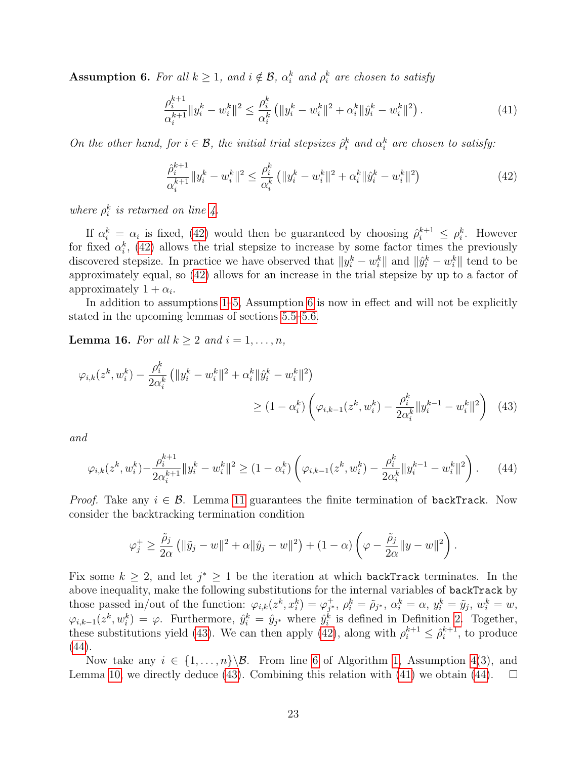<span id="page-22-2"></span>**Assumption 6.** For all  $k \geq 1$ , and  $i \notin \mathcal{B}$ ,  $\alpha_i^k$  and  $\rho_i^k$  are chosen to satisfy

<span id="page-22-5"></span>
$$
\frac{\rho_i^{k+1}}{\alpha_i^{k+1}} \|y_i^k - w_i^k\|^2 \le \frac{\rho_i^k}{\alpha_i^k} \left( \|y_i^k - w_i^k\|^2 + \alpha_i^k \|\hat{y}_i^k - w_i^k\|^2 \right). \tag{41}
$$

On the other hand, for  $i \in \mathcal{B}$ , the initial trial stepsizes  $\hat{\rho}_i^k$  and  $\alpha_i^k$  are chosen to satisfy:

<span id="page-22-1"></span>
$$
\frac{\hat{\rho}_i^{k+1}}{\alpha_i^{k+1}} \|y_i^k - w_i^k\|^2 \le \frac{\rho_i^k}{\alpha_i^k} \left( \|y_i^k - w_i^k\|^2 + \alpha_i^k \|\hat{y}_i^k - w_i^k\|^2 \right) \tag{42}
$$

where  $\rho_i^k$  is returned on line [4.](#page-9-2)

If  $\alpha_i^k = \alpha_i$  is fixed, [\(42\)](#page-22-1) would then be guaranteed by choosing  $\hat{\rho}_i^{k+1} \leq \rho_i^k$ . However for fixed  $\alpha_i^k$ , [\(42\)](#page-22-1) allows the trial stepsize to increase by some factor times the previously discovered stepsize. In practice we have observed that  $||y_i^k - w_i^k||$  and  $||\hat{y}_i^k - w_i^k||$  tend to be approximately equal, so [\(42\)](#page-22-1) allows for an increase in the trial stepsize by up to a factor of approximately  $1 + \alpha_i$ .

In addition to assumptions [1–](#page-7-1)[5,](#page-12-2) Assumption [6](#page-22-2) is now in effect and will not be explicitly stated in the upcoming lemmas of sections [5.5–](#page-21-1)[5.6.](#page-23-1)

<span id="page-22-0"></span>**Lemma 16.** For all  $k \geq 2$  and  $i = 1, \ldots, n$ ,

$$
\varphi_{i,k}(z^k, w_i^k) - \frac{\rho_i^k}{2\alpha_i^k} \left( \|y_i^k - w_i^k\|^2 + \alpha_i^k \|\hat{y}_i^k - w_i^k\|^2 \right) \ge (1 - \alpha_i^k) \left( \varphi_{i,k-1}(z^k, w_i^k) - \frac{\rho_i^k}{2\alpha_i^k} \|y_i^{k-1} - w_i^k\|^2 \right) \tag{43}
$$

and

$$
\varphi_{i,k}(z^k, w_i^k) - \frac{\rho_i^{k+1}}{2\alpha_i^{k+1}} \|y_i^k - w_i^k\|^2 \ge (1 - \alpha_i^k) \left(\varphi_{i,k-1}(z^k, w_i^k) - \frac{\rho_i^k}{2\alpha_i^k} \|y_i^{k-1} - w_i^k\|^2\right). \tag{44}
$$

*Proof.* Take any  $i \in \mathcal{B}$ . Lemma [11](#page-18-3) guarantees the finite termination of backTrack. Now consider the backtracking termination condition

<span id="page-22-4"></span><span id="page-22-3"></span>
$$
\varphi_j^+ \geq \frac{\tilde{\rho}_j}{2\alpha} \left( \|\tilde{y}_j - w\|^2 + \alpha \|\hat{y}_j - w\|^2 \right) + (1 - \alpha) \left( \varphi - \frac{\tilde{\rho}_j}{2\alpha} \|y - w\|^2 \right).
$$

Fix some  $k \geq 2$ , and let  $j^* \geq 1$  be the iteration at which backTrack terminates. In the above inequality, make the following substitutions for the internal variables of backTrack by those passed in/out of the function:  $\varphi_{i,k}(z^k, x_i^k) = \varphi_{j^*}^+$  $j^*,~\rho^k_i=\tilde{\rho}_{j^*},~\alpha^k_i=\alpha,~y^k_i=\tilde{y}_j,~w^k_i=w,$  $\varphi_{i,k-1}(z^k, w_i^k) = \varphi$ . Furthermore,  $\hat{y}_i^k = \hat{y}_{j^*}$  where  $\hat{y}_i^k$  is defined in Definition [2.](#page-21-0) Together, these substitutions yield [\(43\)](#page-22-3). We can then apply [\(42\)](#page-22-1), along with  $\rho_i^{k+1} \leq \hat{\rho}_i^{k+1}$  $i^{k+1}$ , to produce [\(44\)](#page-22-4).

Now take any  $i \in \{1, \ldots, n\} \setminus \mathcal{B}$ . From line [6](#page-9-1) of Algorithm [1,](#page-9-0) Assumption [4\(](#page-12-0)3), and Lemma [10,](#page-16-6) we directly deduce [\(43\)](#page-22-3). Combining this relation with [\(41\)](#page-22-5) we obtain [\(44\)](#page-22-4).  $\Box$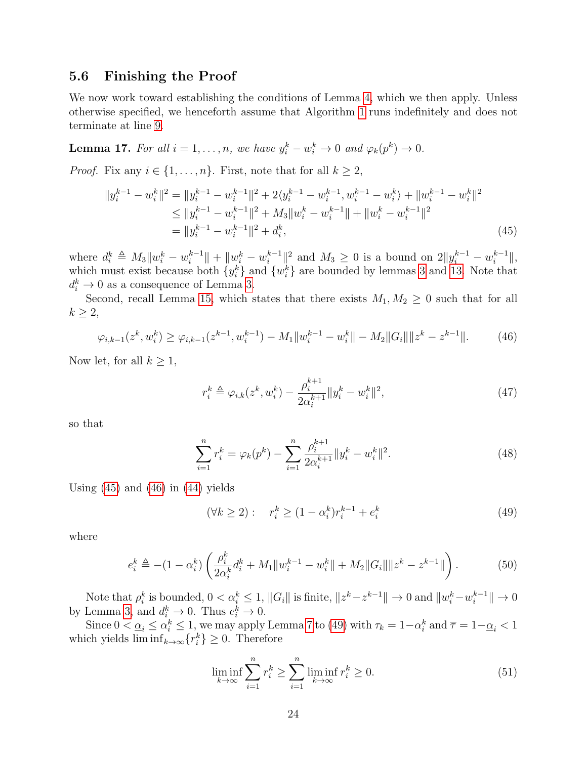#### <span id="page-23-1"></span>5.6 Finishing the Proof

We now work toward establishing the conditions of Lemma [4,](#page-13-3) which we then apply. Unless otherwise specified, we henceforth assume that Algorithm [1](#page-9-0) runs indefinitely and does not terminate at line [9.](#page-9-7)

<span id="page-23-0"></span>**Lemma 17.** For all  $i = 1, ..., n$ , we have  $y_i^k - w_i^k \to 0$  and  $\varphi_k(p^k) \to 0$ .

*Proof.* Fix any  $i \in \{1, ..., n\}$ . First, note that for all  $k \geq 2$ ,

$$
||y_i^{k-1} - w_i^k||^2 = ||y_i^{k-1} - w_i^{k-1}||^2 + 2\langle y_i^{k-1} - w_i^{k-1}, w_i^{k-1} - w_i^k \rangle + ||w_i^{k-1} - w_i^k||^2
$$
  
\n
$$
\le ||y_i^{k-1} - w_i^{k-1}||^2 + M_3||w_i^k - w_i^{k-1}|| + ||w_i^k - w_i^{k-1}||^2
$$
  
\n
$$
= ||y_i^{k-1} - w_i^{k-1}||^2 + d_i^k,
$$
\n(45)

where  $d_i^k \triangleq M_3 \| w_i^k - w_i^{k-1}$  $||u_i^{k-1}|| + ||w_i^k - w_i^{k-1}||$  $||x_i^{k-1}||^2$  and  $M_3 \geq 0$  is a bound on  $2||y_i^{k-1} - w_i^{k-1}|$  $\frac{k-1}{i}$  $\|$ , which must exist because both  $\{y_i^k\}$  and  $\{w_i^k\}$  are bounded by lemmas [3](#page-12-1) and [13.](#page-20-2) Note that  $d_i^k \to 0$  as a consequence of Lemma [3.](#page-12-1)

Second, recall Lemma [15,](#page-21-2) which states that there exists  $M_1, M_2 \geq 0$  such that for all  $k \geq 2$ ,

$$
\varphi_{i,k-1}(z^k, w_i^k) \ge \varphi_{i,k-1}(z^{k-1}, w_i^{k-1}) - M_1 \|w_i^{k-1} - w_i^k\| - M_2 \|G_i\| \|z^k - z^{k-1}\|.
$$
 (46)

Now let, for all  $k \geq 1$ ,

<span id="page-23-7"></span><span id="page-23-3"></span><span id="page-23-2"></span>
$$
r_i^k \triangleq \varphi_{i,k}(z^k, w_i^k) - \frac{\rho_i^{k+1}}{2\alpha_i^{k+1}} \|y_i^k - w_i^k\|^2, \tag{47}
$$

so that

$$
\sum_{i=1}^{n} r_i^k = \varphi_k(p^k) - \sum_{i=1}^{n} \frac{\rho_i^{k+1}}{2\alpha_i^{k+1}} \|y_i^k - w_i^k\|^2.
$$
 (48)

Using  $(45)$  and  $(46)$  in  $(44)$  yields

<span id="page-23-8"></span><span id="page-23-5"></span><span id="page-23-4"></span>
$$
(\forall k \ge 2): \quad r_i^k \ge (1 - \alpha_i^k) r_i^{k-1} + e_i^k \tag{49}
$$

where

$$
e_i^k \triangleq -(1 - \alpha_i^k) \left( \frac{\rho_i^k}{2\alpha_i^k} d_i^k + M_1 \| w_i^{k-1} - w_i^k \| + M_2 \| G_i \| \| z^k - z^{k-1} \| \right). \tag{50}
$$

Note that  $\rho_i^k$  is bounded,  $0 < \alpha_i^k \leq 1$ ,  $||G_i||$  is finite,  $||z^k - z^{k-1}|| \to 0$  and  $||w_i^k - w_i^{k-1}||$  $\|_i^{k-1}\| \to 0$ by Lemma [3,](#page-12-1) and  $d_i^k \to 0$ . Thus  $e_i^k \to 0$ .

Since  $0 < \underline{\alpha}_i \leq \alpha_i^k \leq 1$ , we may apply Lemma [7](#page-14-3) to [\(49\)](#page-23-4) with  $\tau_k = 1 - \alpha_i^k$  and  $\overline{\tau} = 1 - \underline{\alpha}_i < 1$ which yields  $\liminf_{k\to\infty} \{r_i^k\} \geq 0$ . Therefore

<span id="page-23-6"></span>
$$
\liminf_{k \to \infty} \sum_{i=1}^{n} r_i^k \ge \sum_{i=1}^{n} \liminf_{k \to \infty} r_i^k \ge 0.
$$
\n(51)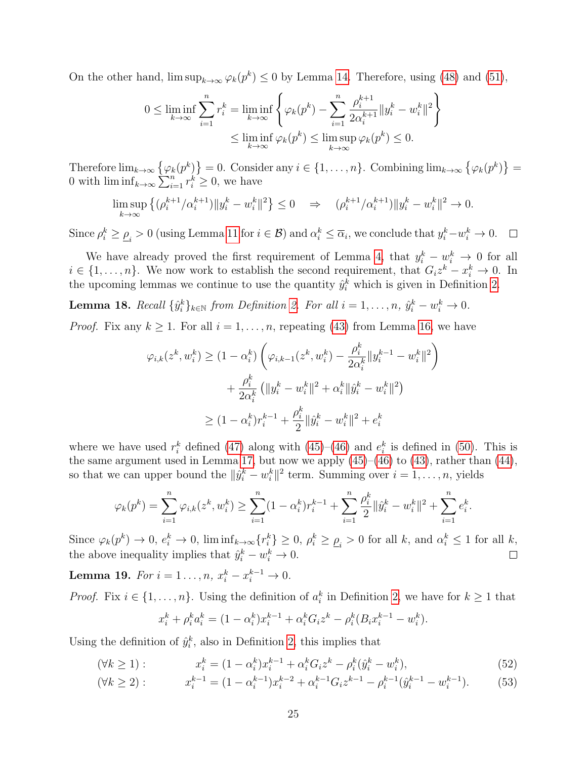On the other hand,  $\limsup_{k\to\infty} \varphi_k(p^k) \leq 0$  by Lemma [14.](#page-21-3) Therefore, using [\(48\)](#page-23-5) and [\(51\)](#page-23-6),

$$
0 \le \liminf_{k \to \infty} \sum_{i=1}^n r_i^k = \liminf_{k \to \infty} \left\{ \varphi_k(p^k) - \sum_{i=1}^n \frac{\rho_i^{k+1}}{2\alpha_i^{k+1}} \|y_i^k - w_i^k\|^2 \right\}
$$

$$
\le \liminf_{k \to \infty} \varphi_k(p^k) \le \limsup_{k \to \infty} \varphi_k(p^k) \le 0.
$$

Therefore  $\lim_{k\to\infty} \{\varphi_k(p^k)\}=0.$  Consider any  $i\in\{1,\ldots,n\}$ . Combining  $\lim_{k\to\infty} \{\varphi_k(p^k)\}=0$ 0 with  $\liminf_{k\to\infty}\sum_{i=1}^n r_i^k \geq 0$ , we have

$$
\limsup_{k \to \infty} \left\{ (\rho_i^{k+1} / \alpha_i^{k+1}) \|y_i^k - w_i^k\|^2 \right\} \le 0 \quad \Rightarrow \quad (\rho_i^{k+1} / \alpha_i^{k+1}) \|y_i^k - w_i^k\|^2 \to 0.
$$

Since  $\rho_i^k \geq \rho_i > 0$  (using Lemma [11](#page-18-3) for  $i \in \mathcal{B}$ ) and  $\alpha_i^k \leq \overline{\alpha}_i$ , we conclude that  $y_i^k - w_i^k \to 0$ .

We have already proved the first requirement of Lemma [4,](#page-13-3) that  $y_i^k - w_i^k \rightarrow 0$  for all  $i \in \{1, \ldots, n\}$ . We now work to establish the second requirement, that  $G_i z^k - x_i^k \to 0$ . In the upcoming lemmas we continue to use the quantity  $\hat{y}_i^k$  which is given in Definition [2.](#page-21-0)

<span id="page-24-1"></span>**Lemma 18.** Recall  $\{\hat{y}_i^k\}_{k \in \mathbb{N}}$  from Definition [2.](#page-21-0) For all  $i = 1, \ldots, n$ ,  $\hat{y}_i^k - w_i^k \to 0$ .

*Proof.* Fix any  $k \geq 1$ . For all  $i = 1, ..., n$ , repeating [\(43\)](#page-22-3) from Lemma [16,](#page-22-0) we have

$$
\varphi_{i,k}(z^k, w_i^k) \ge (1 - \alpha_i^k) \left( \varphi_{i,k-1}(z^k, w_i^k) - \frac{\rho_i^k}{2\alpha_i^k} \| y_i^{k-1} - w_i^k \|^2 \right) + \frac{\rho_i^k}{2\alpha_i^k} \left( \| y_i^k - w_i^k \|^2 + \alpha_i^k \| \hat{y}_i^k - w_i^k \|^2 \right) \ge (1 - \alpha_i^k) r_i^{k-1} + \frac{\rho_i^k}{2} \| \hat{y}_i^k - w_i^k \|^2 + e_i^k
$$

where we have used  $r_i^k$  defined [\(47\)](#page-23-7) along with [\(45\)](#page-23-2)–[\(46\)](#page-23-3) and  $e_i^k$  is defined in [\(50\)](#page-23-8). This is the same argument used in Lemma [17,](#page-23-0) but now we apply  $(45)–(46)$  $(45)–(46)$  $(45)–(46)$  to  $(43)$ , rather than  $(44)$ , so that we can upper bound the  $\|\hat{y}_i^k - w_i^k\|^2$  term. Summing over  $i = 1, \ldots, n$ , yields

$$
\varphi_k(p^k) = \sum_{i=1}^n \varphi_{i,k}(z^k, w_i^k) \ge \sum_{i=1}^n (1 - \alpha_i^k) r_i^{k-1} + \sum_{i=1}^n \frac{\rho_i^k}{2} \|\hat{y}_i^k - w_i^k\|^2 + \sum_{i=1}^n e_i^k.
$$

Since  $\varphi_k(p^k) \to 0$ ,  $e_i^k \to 0$ ,  $\liminf_{k \to \infty} \{r_i^k\} \ge 0$ ,  $\rho_i^k \ge \underline{\rho}_i > 0$  for all k, and  $\alpha_i^k \le 1$  for all k, the above inequality implies that  $\hat{y}_i^k - w_i^k \to 0$ .  $\Box$ 

<span id="page-24-3"></span>**Lemma 19.** For  $i = 1..., n$ ,  $x_i^k - x_i^{k-1} \to 0$ .

*Proof.* Fix  $i \in \{1, ..., n\}$ . Using the definition of  $a_i^k$  in Definition [2,](#page-21-0) we have for  $k \ge 1$  that

<span id="page-24-2"></span><span id="page-24-0"></span>
$$
x_i^k + \rho_i^k a_i^k = (1 - \alpha_i^k) x_i^{k-1} + \alpha_i^k G_i z^k - \rho_i^k (B_i x_i^{k-1} - w_i^k).
$$

Using the definition of  $\hat{y}_i^k$ , also in Definition [2,](#page-21-0) this implies that

$$
(\forall k \ge 1): \qquad x_i^k = (1 - \alpha_i^k) x_i^{k-1} + \alpha_i^k G_i z^k - \rho_i^k (\hat{y}_i^k - w_i^k), \tag{52}
$$

$$
(\forall k \ge 2): \qquad x_i^{k-1} = (1 - \alpha_i^{k-1})x_i^{k-2} + \alpha_i^{k-1}G_i z^{k-1} - \rho_i^{k-1}(\hat{y}_i^{k-1} - w_i^{k-1}). \tag{53}
$$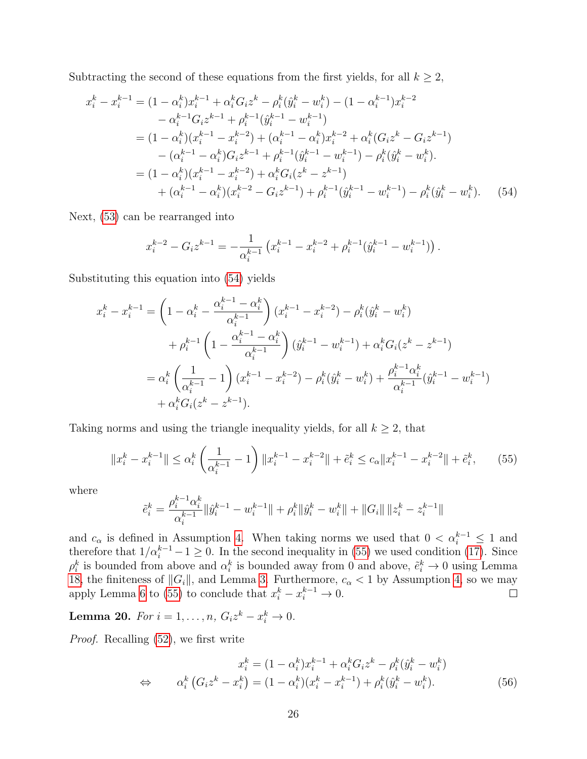Subtracting the second of these equations from the first yields, for all  $k \geq 2$ ,

$$
x_i^k - x_i^{k-1} = (1 - \alpha_i^k) x_i^{k-1} + \alpha_i^k G_i z^k - \rho_i^k (\hat{y}_i^k - w_i^k) - (1 - \alpha_i^{k-1}) x_i^{k-2}
$$
  
\n
$$
- \alpha_i^{k-1} G_i z^{k-1} + \rho_i^{k-1} (\hat{y}_i^{k-1} - w_i^{k-1})
$$
  
\n
$$
= (1 - \alpha_i^k) (x_i^{k-1} - x_i^{k-2}) + (\alpha_i^{k-1} - \alpha_i^k) x_i^{k-2} + \alpha_i^k (G_i z^k - G_i z^{k-1})
$$
  
\n
$$
- (\alpha_i^{k-1} - \alpha_i^k) G_i z^{k-1} + \rho_i^{k-1} (\hat{y}_i^{k-1} - w_i^{k-1}) - \rho_i^k (\hat{y}_i^k - w_i^k).
$$
  
\n
$$
= (1 - \alpha_i^k) (x_i^{k-1} - x_i^{k-2}) + \alpha_i^k G_i (z^k - z^{k-1})
$$
  
\n
$$
+ (\alpha_i^{k-1} - \alpha_i^k) (x_i^{k-2} - G_i z^{k-1}) + \rho_i^{k-1} (\hat{y}_i^{k-1} - w_i^{k-1}) - \rho_i^k (\hat{y}_i^k - w_i^k).
$$
 (54)

Next, [\(53\)](#page-24-0) can be rearranged into

<span id="page-25-0"></span>
$$
x_i^{k-2} - G_i z^{k-1} = -\frac{1}{\alpha_i^{k-1}} \left( x_i^{k-1} - x_i^{k-2} + \rho_i^{k-1} (\hat{y}_i^{k-1} - w_i^{k-1}) \right).
$$

Substituting this equation into [\(54\)](#page-25-0) yields

$$
x_i^k - x_i^{k-1} = \left(1 - \alpha_i^k - \frac{\alpha_i^{k-1} - \alpha_i^k}{\alpha_i^{k-1}}\right) (x_i^{k-1} - x_i^{k-2}) - \rho_i^k (\hat{y}_i^k - w_i^k)
$$
  
+ 
$$
\rho_i^{k-1} \left(1 - \frac{\alpha_i^{k-1} - \alpha_i^k}{\alpha_i^{k-1}}\right) (\hat{y}_i^{k-1} - w_i^{k-1}) + \alpha_i^k G_i (z^k - z^{k-1})
$$
  
= 
$$
\alpha_i^k \left(\frac{1}{\alpha_i^{k-1}} - 1\right) (x_i^{k-1} - x_i^{k-2}) - \rho_i^k (\hat{y}_i^k - w_i^k) + \frac{\rho_i^{k-1} \alpha_i^k}{\alpha_i^{k-1}} (\hat{y}_i^{k-1} - w_i^{k-1})
$$
  
+ 
$$
\alpha_i^k G_i (z^k - z^{k-1}).
$$

Taking norms and using the triangle inequality yields, for all  $k \geq 2$ , that

$$
||x_i^k - x_i^{k-1}|| \le \alpha_i^k \left(\frac{1}{\alpha_i^{k-1}} - 1\right) ||x_i^{k-1} - x_i^{k-2}|| + \tilde{e}_i^k \le c_\alpha ||x_i^{k-1} - x_i^{k-2}|| + \tilde{e}_i^k,
$$
 (55)

where

<span id="page-25-1"></span>
$$
\tilde{e}_i^k = \frac{\rho_i^{k-1} \alpha_i^k}{\alpha_i^{k-1}} \|\hat{y}_i^{k-1} - w_i^{k-1}\| + \rho_i^k \|\hat{y}_i^k - w_i^k\| + \|G_i\| \|z_i^k - z_i^{k-1}\|
$$

and  $c_{\alpha}$  is defined in Assumption [4.](#page-12-0) When taking norms we used that  $0 < \alpha_i^{k-1} \leq 1$  and therefore that  $1/\alpha_i^{k-1} - 1 \geq 0$ . In the second inequality in [\(55\)](#page-25-1) we used condition [\(17\)](#page-11-0). Since  $\rho_i^k$  is bounded from above and  $\alpha_i^k$  is bounded away from 0 and above,  $\tilde{e}_i^k \to 0$  using Lemma [18,](#page-24-1) the finiteness of  $||G_i||$ , and Lemma [3.](#page-12-1) Furthermore,  $c_{\alpha} < 1$  by Assumption [4,](#page-12-0) so we may apply Lemma [6](#page-14-4) to [\(55\)](#page-25-1) to conclude that  $x_i^k - x_i^{k-1} \to 0$ .

<span id="page-25-3"></span>**Lemma 20.** For  $i = 1, ..., n$ ,  $G_i z^k - x_i^k \to 0$ .

Proof. Recalling [\(52\)](#page-24-2), we first write

<span id="page-25-2"></span>
$$
x_i^k = (1 - \alpha_i^k) x_i^{k-1} + \alpha_i^k G_i z^k - \rho_i^k (\hat{y}_i^k - w_i^k)
$$
  
\n
$$
\Leftrightarrow \qquad \alpha_i^k \left( G_i z^k - x_i^k \right) = (1 - \alpha_i^k) (x_i^k - x_i^{k-1}) + \rho_i^k (\hat{y}_i^k - w_i^k). \tag{56}
$$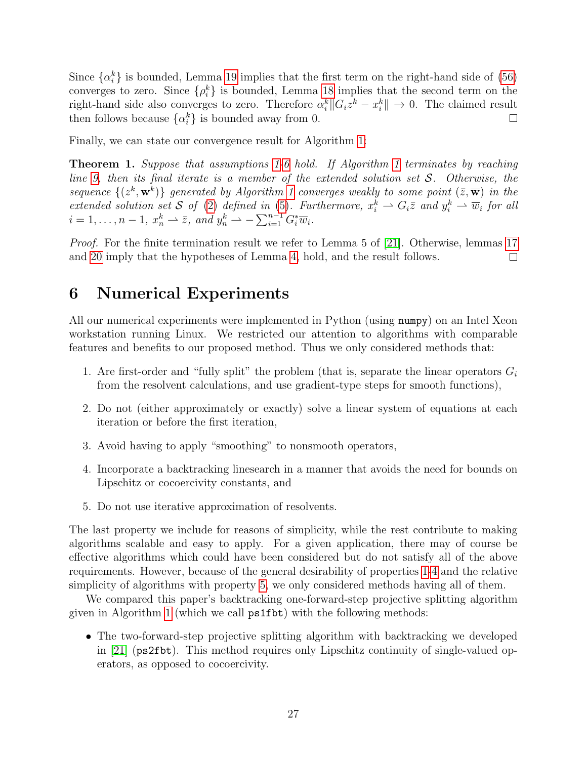Since  $\{\alpha_i^k\}$  is bounded, Lemma [19](#page-24-3) implies that the first term on the right-hand side of [\(56\)](#page-25-2) converges to zero. Since  $\{\rho_i^k\}$  is bounded, Lemma [18](#page-24-1) implies that the second term on the right-hand side also converges to zero. Therefore  $\alpha_i^k || G_i z^k - x_i^k || \to 0$ . The claimed result then follows because  $\{\alpha_i^k\}$  is bounded away from 0.  $\Box$ 

Finally, we can state our convergence result for Algorithm [1:](#page-9-0)

Theorem 1. Suppose that assumptions [1](#page-7-1)[-6](#page-22-2) hold. If Algorithm [1](#page-9-0) terminates by reaching line [9,](#page-9-7) then its final iterate is a member of the extended solution set  $S$ . Otherwise, the sequence  $\{(z^k, \mathbf{w}^k)\}\)$  generated by Algorithm [1](#page-9-0) converges weakly to some point  $(\bar{z}, \bar{\mathbf{w}})\)$  in the extended solution set S of [\(2\)](#page-0-1) defined in [\(5\)](#page-4-0). Furthermore,  $x_i^k \rightharpoonup G_i \overline{z}$  and  $y_i^k \rightharpoonup \overline{w}_i$  for all  $i = 1, \ldots, n - 1, x_n^k \longrightarrow \overline{z}, \text{ and } y_n^k \longrightarrow -\sum_{i=1}^{n-1} G_i^* \overline{w}_i.$ 

Proof. For the finite termination result we refer to Lemma 5 of [\[21\]](#page-38-3). Otherwise, lemmas [17](#page-23-0) and [20](#page-25-3) imply that the hypotheses of Lemma [4,](#page-13-3) hold, and the result follows.  $\Box$ 

## 6 Numerical Experiments

All our numerical experiments were implemented in Python (using numpy) on an Intel Xeon workstation running Linux. We restricted our attention to algorithms with comparable features and benefits to our proposed method. Thus we only considered methods that:

- <span id="page-26-0"></span>1. Are first-order and "fully split" the problem (that is, separate the linear operators  $G_i$ from the resolvent calculations, and use gradient-type steps for smooth functions),
- 2. Do not (either approximately or exactly) solve a linear system of equations at each iteration or before the first iteration,
- 3. Avoid having to apply "smoothing" to nonsmooth operators,
- <span id="page-26-1"></span>4. Incorporate a backtracking linesearch in a manner that avoids the need for bounds on Lipschitz or cocoercivity constants, and
- <span id="page-26-2"></span>5. Do not use iterative approximation of resolvents.

The last property we include for reasons of simplicity, while the rest contribute to making algorithms scalable and easy to apply. For a given application, there may of course be effective algorithms which could have been considered but do not satisfy all of the above requirements. However, because of the general desirability of properties [1](#page-26-0)[-4](#page-26-1) and the relative simplicity of algorithms with property [5,](#page-26-2) we only considered methods having all of them.

We compared this paper's backtracking one-forward-step projective splitting algorithm given in Algorithm [1](#page-9-0) (which we call ps1fbt) with the following methods:

• The two-forward-step projective splitting algorithm with backtracking we developed in [\[21\]](#page-38-3) (ps2fbt). This method requires only Lipschitz continuity of single-valued operators, as opposed to cocoercivity.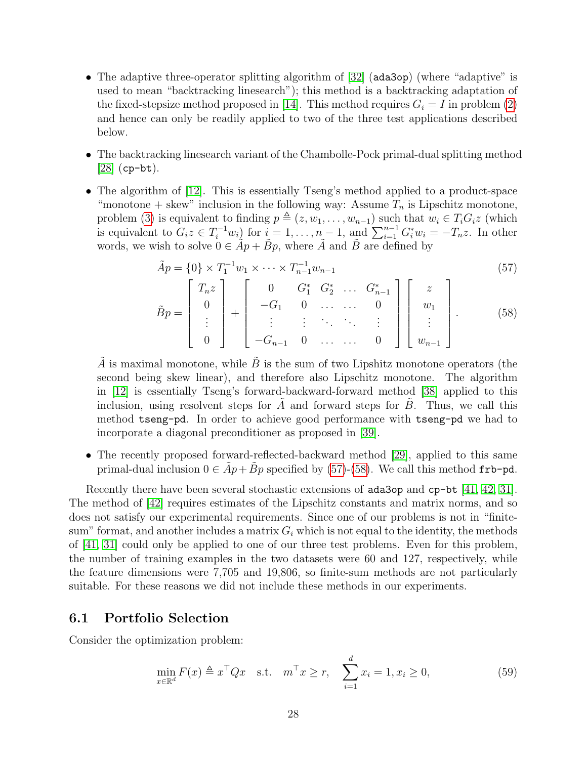- The adaptive three-operator splitting algorithm of [\[32\]](#page-39-5) (ada3op) (where "adaptive" is used to mean "backtracking linesearch"); this method is a backtracking adaptation of the fixed-stepsize method proposed in [\[14\]](#page-38-11). This method requires  $G_i = I$  in problem [\(2\)](#page-0-1) and hence can only be readily applied to two of the three test applications described below.
- The backtracking linesearch variant of the Chambolle-Pock primal-dual splitting method  $[28]$  (cp-bt).
- The algorithm of [\[12\]](#page-37-7). This is essentially Tseng's method applied to a product-space "monotone + skew" inclusion in the following way: Assume  $T_n$  is Lipschitz monotone, problem [\(3\)](#page-1-0) is equivalent to finding  $p \triangleq (z, w_1, \ldots, w_{n-1})$  such that  $w_i \in T_i G_i z$  (which is equivalent to  $G_i z \in T_i^{-1} w_i$  for  $i = 1, ..., n-1$ , and  $\sum_{i=1}^{n-1} G_i^* w_i = -T_n z$ . In other words, we wish to solve  $0 \in \tilde{A}p + \tilde{B}p$ , where  $\tilde{A}$  and  $\tilde{B}$  are defined by

$$
\tilde{A}p = \{0\} \times T_1^{-1} w_1 \times \dots \times T_{n-1}^{-1} w_{n-1}
$$
\n(57)

<span id="page-27-1"></span><span id="page-27-0"></span>
$$
\tilde{B}p = \begin{bmatrix} T_n z \\ 0 \\ \vdots \\ 0 \end{bmatrix} + \begin{bmatrix} 0 & G_1^* & G_2^* & \dots & G_{n-1}^* \\ -G_1 & 0 & \dots & \dots & 0 \\ \vdots & \vdots & \ddots & \ddots & \vdots \\ -G_{n-1} & 0 & \dots & \dots & 0 \end{bmatrix} \begin{bmatrix} z \\ w_1 \\ \vdots \\ w_{n-1} \end{bmatrix} .
$$
 (58)

 $\tilde{A}$  is maximal monotone, while  $\tilde{B}$  is the sum of two Lipshitz monotone operators (the second being skew linear), and therefore also Lipschitz monotone. The algorithm in [\[12\]](#page-37-7) is essentially Tseng's forward-backward-forward method [\[38\]](#page-39-0) applied to this inclusion, using resolvent steps for  $A$  and forward steps for  $B$ . Thus, we call this method tseng-pd. In order to achieve good performance with tseng-pd we had to incorporate a diagonal preconditioner as proposed in [\[39\]](#page-39-6).

• The recently proposed forward-reflected-backward method [\[29\]](#page-39-2), applied to this same primal-dual inclusion  $0 \in Ap + Bp$  specified by [\(57\)](#page-27-0)-[\(58\)](#page-27-1). We call this method frb-pd.

Recently there have been several stochastic extensions of ada3op and cp-bt [\[41,](#page-39-7) [42,](#page-39-8) [31\]](#page-39-9). The method of [\[42\]](#page-39-8) requires estimates of the Lipschitz constants and matrix norms, and so does not satisfy our experimental requirements. Since one of our problems is not in "finitesum" format, and another includes a matrix  $G_i$  which is not equal to the identity, the methods of [\[41,](#page-39-7) [31\]](#page-39-9) could only be applied to one of our three test problems. Even for this problem, the number of training examples in the two datasets were 60 and 127, respectively, while the feature dimensions were 7,705 and 19,806, so finite-sum methods are not particularly suitable. For these reasons we did not include these methods in our experiments.

#### 6.1 Portfolio Selection

Consider the optimization problem:

<span id="page-27-2"></span>
$$
\min_{x \in \mathbb{R}^d} F(x) \triangleq x^\top Q x \quad \text{s.t.} \quad m^\top x \ge r, \quad \sum_{i=1}^d x_i = 1, x_i \ge 0,
$$
\n
$$
(59)
$$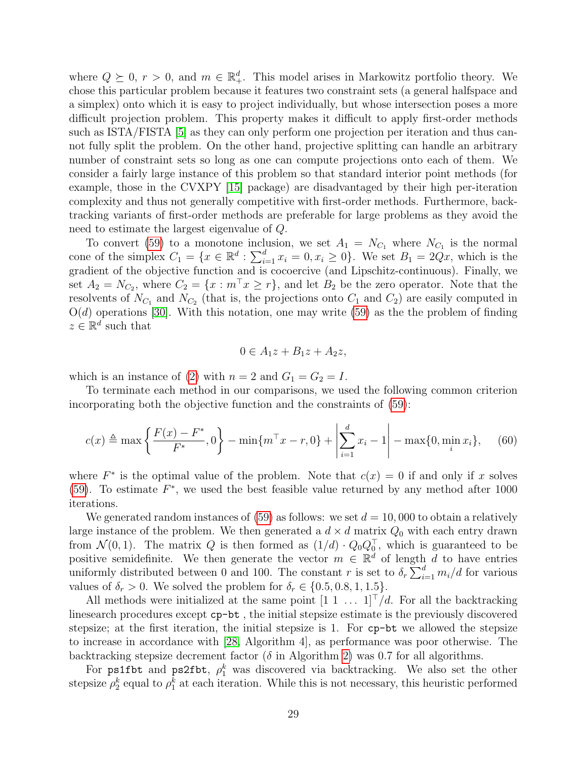where  $Q \succeq 0$ ,  $r > 0$ , and  $m \in \mathbb{R}^d_+$ . This model arises in Markowitz portfolio theory. We chose this particular problem because it features two constraint sets (a general halfspace and a simplex) onto which it is easy to project individually, but whose intersection poses a more difficult projection problem. This property makes it difficult to apply first-order methods such as ISTA/FISTA [\[5\]](#page-37-11) as they can only perform one projection per iteration and thus cannot fully split the problem. On the other hand, projective splitting can handle an arbitrary number of constraint sets so long as one can compute projections onto each of them. We consider a fairly large instance of this problem so that standard interior point methods (for example, those in the CVXPY [\[15\]](#page-38-13) package) are disadvantaged by their high per-iteration complexity and thus not generally competitive with first-order methods. Furthermore, backtracking variants of first-order methods are preferable for large problems as they avoid the need to estimate the largest eigenvalue of Q.

To convert [\(59\)](#page-27-2) to a monotone inclusion, we set  $A_1 = N_{C_1}$  where  $N_{C_1}$  is the normal cone of the simplex  $C_1 = \{x \in \mathbb{R}^d : \sum_{i=1}^d x_i = 0, x_i \ge 0\}$ . We set  $B_1 = 2Qx$ , which is the gradient of the objective function and is cocoercive (and Lipschitz-continuous). Finally, we set  $A_2 = N_{C_2}$ , where  $C_2 = \{x : m^\top x \ge r\}$ , and let  $B_2$  be the zero operator. Note that the resolvents of  $N_{C_1}$  and  $N_{C_2}$  (that is, the projections onto  $C_1$  and  $C_2$ ) are easily computed in  $O(d)$  operations [\[30\]](#page-39-10). With this notation, one may write [\(59\)](#page-27-2) as the the problem of finding  $z \in \mathbb{R}^d$  such that

<span id="page-28-0"></span>
$$
0 \in A_1 z + B_1 z + A_2 z,
$$

which is an instance of [\(2\)](#page-0-1) with  $n = 2$  and  $G_1 = G_2 = I$ .

To terminate each method in our comparisons, we used the following common criterion incorporating both the objective function and the constraints of [\(59\)](#page-27-2):

$$
c(x) \triangleq \max\left\{\frac{F(x) - F^*}{F^*}, 0\right\} - \min\{m^\top x - r, 0\} + \left|\sum_{i=1}^d x_i - 1\right| - \max\{0, \min_i x_i\},\tag{60}
$$

where  $F^*$  is the optimal value of the problem. Note that  $c(x) = 0$  if and only if x solves [\(59\)](#page-27-2). To estimate  $F^*$ , we used the best feasible value returned by any method after 1000 iterations.

We generated random instances of  $(59)$  as follows: we set  $d = 10,000$  to obtain a relatively large instance of the problem. We then generated a  $d \times d$  matrix  $Q_0$  with each entry drawn from  $\mathcal{N}(0,1)$ . The matrix Q is then formed as  $(1/d) \cdot Q_0 Q_0^{\top}$ , which is guaranteed to be positive semidefinite. We then generate the vector  $m \in \mathbb{R}^d$  of length d to have entries uniformly distributed between 0 and 100. The constant r is set to  $\delta_r \sum_{i=1}^d m_i/d$  for various values of  $\delta_r > 0$ . We solved the problem for  $\delta_r \in \{0.5, 0.8, 1, 1.5\}$ .

All methods were initialized at the same point  $[1 \ 1 \ \ldots \ 1]^T/d$ . For all the backtracking linesearch procedures except cp-bt , the initial stepsize estimate is the previously discovered stepsize; at the first iteration, the initial stepsize is 1. For cp-bt we allowed the stepsize to increase in accordance with [\[28,](#page-38-12) Algorithm 4], as performance was poor otherwise. The backtracking stepsize decrement factor ( $\delta$  in Algorithm [2\)](#page-9-0) was 0.7 for all algorithms.

For ps1fbt and ps2fbt,  $\rho_1^k$  was discovered via backtracking. We also set the other stepsize  $\rho_2^k$  equal to  $\rho_1^k$  at each iteration. While this is not necessary, this heuristic performed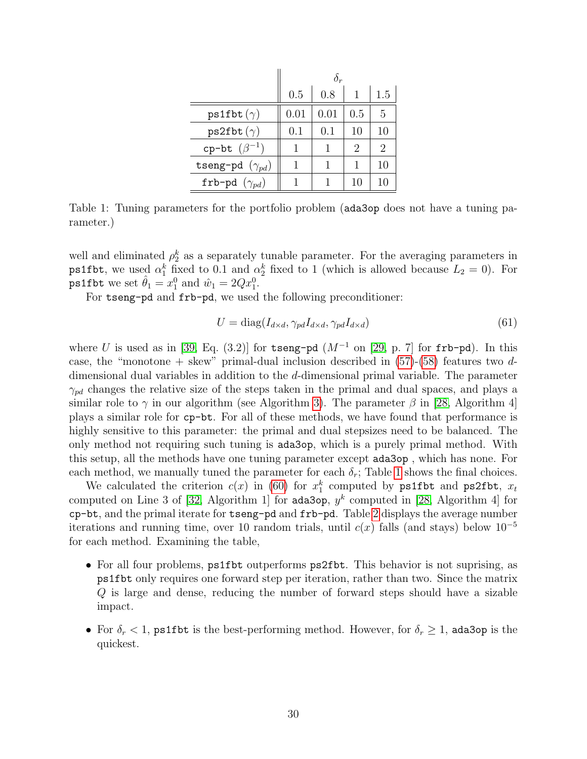|                          | 0.5  | 0.8       |                             | 1.5 |  |
|--------------------------|------|-----------|-----------------------------|-----|--|
| $ps1fbt (\gamma)$        | 0.01 | 0.01      | 0.5                         | 5   |  |
| $ps2fbt(\gamma)$         | 0.1  | $(1)$ . 1 | 10                          | 10  |  |
| cp-bt $(\beta^{-1})$     | 1    |           | $\mathcal{D}_{\mathcal{L}}$ | 2   |  |
| tseng-pd $(\gamma_{pd})$ |      |           |                             | 10  |  |
| frb-pd $(\gamma_{pd})$   |      |           | 10                          | 10  |  |

<span id="page-29-0"></span>Table 1: Tuning parameters for the portfolio problem (ada3op does not have a tuning parameter.)

well and eliminated  $\rho_2^k$  as a separately tunable parameter. For the averaging parameters in ps1fbt, we used  $\alpha_1^k$  fixed to 0.1 and  $\alpha_2^k$  fixed to 1 (which is allowed because  $L_2 = 0$ ). For **ps1fbt** we set  $\hat{\theta}_1 = x_1^0$  and  $\hat{w}_1 = 2Qx_1^0$ .

For tseng-pd and frb-pd, we used the following preconditioner:

<span id="page-29-1"></span>
$$
U = \text{diag}(I_{d \times d}, \gamma_{pd} I_{d \times d}, \gamma_{pd} I_{d \times d})
$$
\n(61)

where U is used as in [\[39,](#page-39-6) Eq. (3.2)] for tseng-pd  $(M^{-1}$  on [\[29,](#page-39-2) p. 7] for frb-pd). In this case, the "monotone + skew" primal-dual inclusion described in  $(57)-(58)$  $(57)-(58)$  $(57)-(58)$  features two ddimensional dual variables in addition to the d-dimensional primal variable. The parameter  $\gamma_{pd}$  changes the relative size of the steps taken in the primal and dual spaces, and plays a similar role to  $\gamma$  in our algorithm (see Algorithm [3\)](#page-10-0). The parameter  $\beta$  in [\[28,](#page-38-12) Algorithm 4] plays a similar role for cp-bt. For all of these methods, we have found that performance is highly sensitive to this parameter: the primal and dual stepsizes need to be balanced. The only method not requiring such tuning is ada3op, which is a purely primal method. With this setup, all the methods have one tuning parameter except ada3op , which has none. For each method, we manually tuned the parameter for each  $\delta_r$ ; Table [1](#page-29-0) shows the final choices.

We calculated the criterion  $c(x)$  in [\(60\)](#page-28-0) for  $x_1^k$  computed by ps1fbt and ps2fbt,  $x_t$ computed on Line 3 of [\[32,](#page-39-5) Algorithm 1] for ada3op,  $y^k$  computed in [\[28,](#page-38-12) Algorithm 4] for cp-bt, and the primal iterate for tseng-pd and frb-pd. Table [2](#page-30-0) displays the average number iterations and running time, over 10 random trials, until  $c(x)$  falls (and stays) below 10<sup>-5</sup> for each method. Examining the table,

- For all four problems, ps1fbt outperforms ps2fbt. This behavior is not suprising, as ps1fbt only requires one forward step per iteration, rather than two. Since the matrix Q is large and dense, reducing the number of forward steps should have a sizable impact.
- For  $\delta_r < 1$ , ps1fbt is the best-performing method. However, for  $\delta_r \geq 1$ , ada3op is the quickest.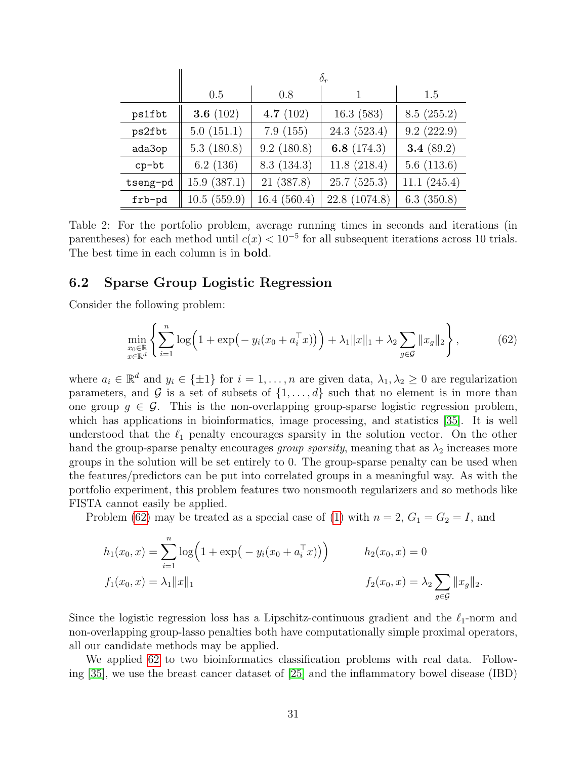|          | $\delta_r$  |             |               |              |  |  |
|----------|-------------|-------------|---------------|--------------|--|--|
|          | 0.5         | 0.8         |               | 1.5          |  |  |
| ps1fbt   | 3.6 $(102)$ | 4.7 $(102)$ | 16.3(583)     | 8.5(255.2)   |  |  |
| ps2fbt   | 5.0(151.1)  | 7.9(155)    | 24.3 (523.4)  | 9.2(222.9)   |  |  |
| ada3op   | 5.3(180.8)  | 9.2(180.8)  | 6.8 $(174.3)$ | 3.4 $(89.2)$ |  |  |
| $cp-bt$  | 6.2(136)    | 8.3(134.3)  | 11.8(218.4)   | 5.6(113.6)   |  |  |
| tseng-pd | 15.9(387.1) | 21(387.8)   | 25.7(525.3)   | 11.1(245.4)  |  |  |
| frb-pd   | 10.5(559.9) | 16.4(560.4) | 22.8 (1074.8) | 6.3(350.8)   |  |  |

<span id="page-30-0"></span>Table 2: For the portfolio problem, average running times in seconds and iterations (in parentheses) for each method until  $c(x) < 10^{-5}$  for all subsequent iterations across 10 trials. The best time in each column is in bold.

#### 6.2 Sparse Group Logistic Regression

Consider the following problem:

<span id="page-30-1"></span>
$$
\min_{\substack{x_0 \in \mathbb{R} \\ x \in \mathbb{R}^d}} \left\{ \sum_{i=1}^n \log \left( 1 + \exp \left( -y_i (x_0 + a_i^\top x) \right) \right) + \lambda_1 \|x\|_1 + \lambda_2 \sum_{g \in \mathcal{G}} \|x_g\|_2 \right\},\tag{62}
$$

where  $a_i \in \mathbb{R}^d$  and  $y_i \in \{\pm 1\}$  for  $i = 1, \ldots, n$  are given data,  $\lambda_1, \lambda_2 \geq 0$  are regularization parameters, and G is a set of subsets of  $\{1, \ldots, d\}$  such that no element is in more than one group  $g \in \mathcal{G}$ . This is the non-overlapping group-sparse logistic regression problem, which has applications in bioinformatics, image processing, and statistics [\[35\]](#page-39-11). It is well understood that the  $\ell_1$  penalty encourages sparsity in the solution vector. On the other hand the group-sparse penalty encourages group sparsity, meaning that as  $\lambda_2$  increases more groups in the solution will be set entirely to 0. The group-sparse penalty can be used when the features/predictors can be put into correlated groups in a meaningful way. As with the portfolio experiment, this problem features two nonsmooth regularizers and so methods like FISTA cannot easily be applied.

Problem [\(62\)](#page-30-1) may be treated as a special case of [\(1\)](#page-0-0) with  $n = 2$ ,  $G_1 = G_2 = I$ , and

$$
h_1(x_0, x) = \sum_{i=1}^n \log \left( 1 + \exp \left( -y_i(x_0 + a_i^\top x) \right) \right) \qquad h_2(x_0, x) = 0
$$
  

$$
f_1(x_0, x) = \lambda_1 \|x\|_1 \qquad f_2(x_0, x) = \lambda_2 \sum_{g \in \mathcal{G}} \|x_g\|_2.
$$

Since the logistic regression loss has a Lipschitz-continuous gradient and the  $\ell_1$ -norm and non-overlapping group-lasso penalties both have computationally simple proximal operators, all our candidate methods may be applied.

We applied [62](#page-30-1) to two bioinformatics classification problems with real data. Following [\[35\]](#page-39-11), we use the breast cancer dataset of [\[25\]](#page-38-14) and the inflammatory bowel disease (IBD)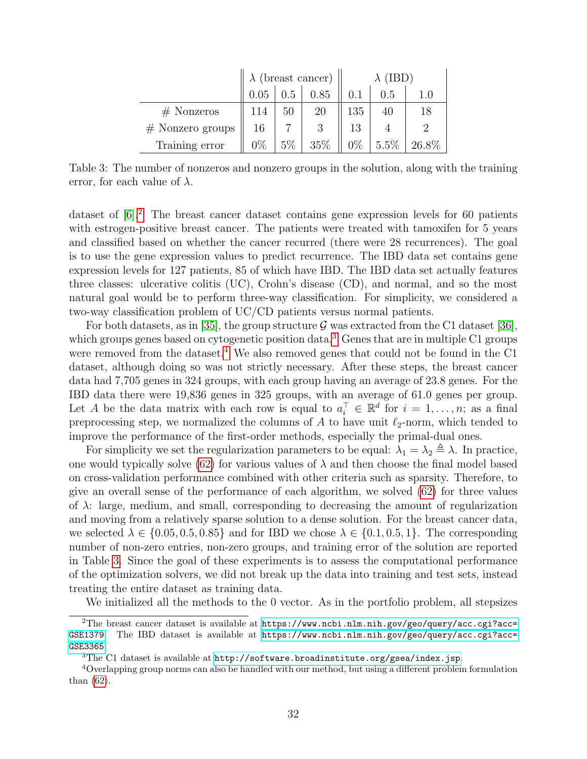|                    | $\lambda$ (breast cancer) |       |      |       |      |       |  |  |
|--------------------|---------------------------|-------|------|-------|------|-------|--|--|
|                    | 0.05                      | 0.5   | 0.85 |       | U.5  |       |  |  |
| $#$ Nonzeros       | 114                       | 50    | 20   | 135   |      | 18    |  |  |
| $#$ Nonzero groups | 16                        |       |      |       |      |       |  |  |
| Training error     | $0\%$                     | $5\%$ | 35%  | $0\%$ | 5.5% | 26.8% |  |  |

<span id="page-31-3"></span>Table 3: The number of nonzeros and nonzero groups in the solution, along with the training error, for each value of  $\lambda$ .

dataset of  $[6]^2$  $[6]^2$  $[6]^2$ . The breast cancer dataset contains gene expression levels for 60 patients with estrogen-positive breast cancer. The patients were treated with tamoxifen for 5 years and classified based on whether the cancer recurred (there were 28 recurrences). The goal is to use the gene expression values to predict recurrence. The IBD data set contains gene expression levels for 127 patients, 85 of which have IBD. The IBD data set actually features three classes: ulcerative colitis (UC), Crohn's disease (CD), and normal, and so the most natural goal would be to perform three-way classification. For simplicity, we considered a two-way classification problem of UC/CD patients versus normal patients.

For both datasets, as in [\[35\]](#page-39-11), the group structure  $\mathcal G$  was extracted from the C1 dataset [\[36\]](#page-39-12). which groups genes based on cytogenetic position data.<sup>[3](#page-31-1)</sup> Genes that are in multiple C1 groups were removed from the dataset.<sup>[4](#page-31-2)</sup> We also removed genes that could not be found in the C1 dataset, although doing so was not strictly necessary. After these steps, the breast cancer data had 7,705 genes in 324 groups, with each group having an average of 23.8 genes. For the IBD data there were 19,836 genes in 325 groups, with an average of 61.0 genes per group. Let A be the data matrix with each row is equal to  $a_i^{\top} \in \mathbb{R}^d$  for  $i = 1, \ldots, n$ ; as a final preprocessing step, we normalized the columns of A to have unit  $\ell_2$ -norm, which tended to improve the performance of the first-order methods, especially the primal-dual ones.

For simplicity we set the regularization parameters to be equal:  $\lambda_1 = \lambda_2 \triangleq \lambda$ . In practice, one would typically solve [\(62\)](#page-30-1) for various values of  $\lambda$  and then choose the final model based on cross-validation performance combined with other criteria such as sparsity. Therefore, to give an overall sense of the performance of each algorithm, we solved [\(62\)](#page-30-1) for three values of  $\lambda$ : large, medium, and small, corresponding to decreasing the amount of regularization and moving from a relatively sparse solution to a dense solution. For the breast cancer data, we selected  $\lambda \in \{0.05, 0.5, 0.85\}$  and for IBD we chose  $\lambda \in \{0.1, 0.5, 1\}$ . The corresponding number of non-zero entries, non-zero groups, and training error of the solution are reported in Table [3.](#page-31-3) Since the goal of these experiments is to assess the computational performance of the optimization solvers, we did not break up the data into training and test sets, instead treating the entire dataset as training data.

<span id="page-31-0"></span>We initialized all the methods to the 0 vector. As in the portfolio problem, all stepsizes

<sup>&</sup>lt;sup>2</sup>The breast cancer dataset is available at [https://www.ncbi.nlm.nih.gov/geo/query/acc.cgi?acc=](https://www.ncbi.nlm.nih.gov/geo/query/acc.cgi?acc=GSE1379) [GSE1379](https://www.ncbi.nlm.nih.gov/geo/query/acc.cgi?acc=GSE1379). The IBD dataset is available at [https://www.ncbi.nlm.nih.gov/geo/query/acc.cgi?acc=](https://www.ncbi.nlm.nih.gov/geo/query/acc.cgi?acc=GSE3365) [GSE3365](https://www.ncbi.nlm.nih.gov/geo/query/acc.cgi?acc=GSE3365).

<span id="page-31-2"></span><span id="page-31-1"></span> $3$ The C1 dataset is available at <http://software.broadinstitute.org/gsea/index.jsp>.

<sup>4</sup>Overlapping group norms can also be handled with our method, but using a different problem formulation than [\(62\)](#page-30-1).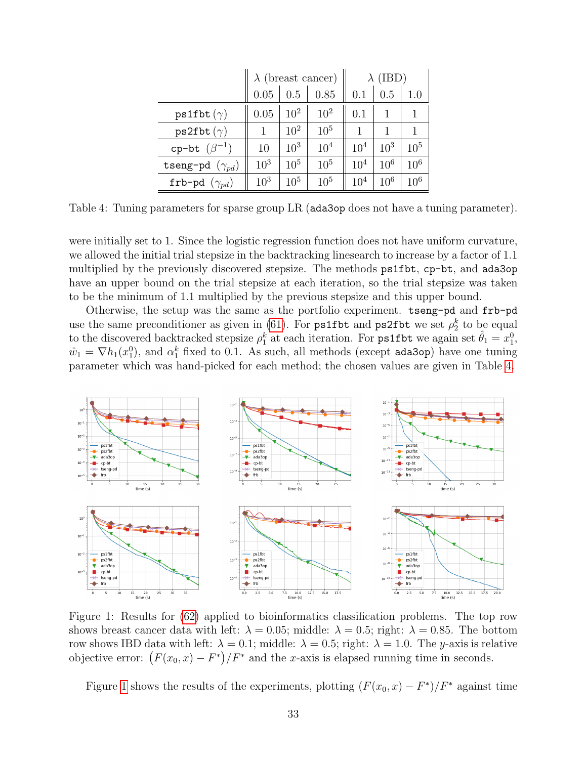|                          | $\lambda$ (breast cancer) |          |                 |                 | $\lambda$ (IBD) |          |  |
|--------------------------|---------------------------|----------|-----------------|-----------------|-----------------|----------|--|
|                          | 0.05                      | 0.5      | 0.85            | 0.1             | 0.5             | 1.0      |  |
| $ps1fbt (\gamma)$        | 0.05                      | $10^{2}$ | $10^{2}$        | 0.1             |                 |          |  |
| $ps2fbt (\gamma)$        |                           | $10^{2}$ | $10^{5}$        |                 |                 |          |  |
| cp-bt $(\beta^{-1})$     | 10                        | $10^{3}$ | 10 <sup>4</sup> | 10 <sup>4</sup> | $10^{3}$        | $10^{5}$ |  |
| tseng-pd $(\gamma_{pd})$ | $10^{3}$                  | $10^{5}$ | $10^{5}$        | 10 <sup>4</sup> | $10^{6}$        | $10^{6}$ |  |
| frb-pd $(\gamma_{pd})$   | $10^{3}$                  | $10^{5}$ | $10^{5}$        | 10 <sup>4</sup> | $10^{6}$        | $10^{6}$ |  |

<span id="page-32-0"></span>Table 4: Tuning parameters for sparse group LR (ada3op does not have a tuning parameter).

were initially set to 1. Since the logistic regression function does not have uniform curvature, we allowed the initial trial stepsize in the backtracking linesearch to increase by a factor of 1.1 multiplied by the previously discovered stepsize. The methods ps1fbt, cp-bt, and ada3op have an upper bound on the trial stepsize at each iteration, so the trial stepsize was taken to be the minimum of 1.1 multiplied by the previous stepsize and this upper bound.

Otherwise, the setup was the same as the portfolio experiment. tseng-pd and frb-pd use the same preconditioner as given in [\(61\)](#page-29-1). For **ps1fbt** and **ps2fbt** we set  $\rho_2^k$  to be equal to the discovered backtracked stepsize  $\rho_1^k$  at each iteration. For **ps1fbt** we again set  $\hat{\theta}_1 = x_1^0$ ,  $\hat{w}_1 = \nabla h_1(x_1^0)$ , and  $\alpha_1^k$  fixed to 0.1. As such, all methods (except ada3op) have one tuning parameter which was hand-picked for each method; the chosen values are given in Table [4.](#page-32-0)



<span id="page-32-1"></span>Figure 1: Results for [\(62\)](#page-30-1) applied to bioinformatics classification problems. The top row shows breast cancer data with left:  $\lambda = 0.05$ ; middle:  $\lambda = 0.5$ ; right:  $\lambda = 0.85$ . The bottom row shows IBD data with left:  $\lambda = 0.1$ ; middle:  $\lambda = 0.5$ ; right:  $\lambda = 1.0$ . The y-axis is relative objective error:  $(F(x_0, x) - F^*)/F^*$  and the x-axis is elapsed running time in seconds.

Figure [1](#page-32-1) shows the results of the experiments, plotting  $(F(x_0, x) - F^*)/F^*$  against time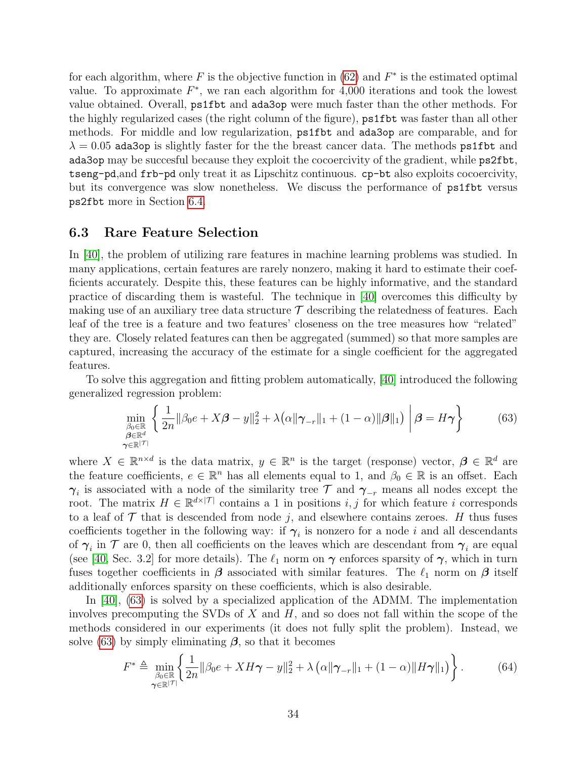for each algorithm, where  $F$  is the objective function in [\(62\)](#page-30-1) and  $F^*$  is the estimated optimal value. To approximate  $F^*$ , we ran each algorithm for 4,000 iterations and took the lowest value obtained. Overall, ps1fbt and ada3op were much faster than the other methods. For the highly regularized cases (the right column of the figure), ps1fbt was faster than all other methods. For middle and low regularization, ps1fbt and ada3op are comparable, and for  $\lambda = 0.05$  ada3op is slightly faster for the the breast cancer data. The methods ps1fbt and ada3op may be succesful because they exploit the cocoercivity of the gradient, while ps2fbt, tseng-pd,and frb-pd only treat it as Lipschitz continuous. cp-bt also exploits cocoercivity, but its convergence was slow nonetheless. We discuss the performance of ps1fbt versus ps2fbt more in Section [6.4.](#page-36-0)

#### <span id="page-33-2"></span>6.3 Rare Feature Selection

In [\[40\]](#page-39-13), the problem of utilizing rare features in machine learning problems was studied. In many applications, certain features are rarely nonzero, making it hard to estimate their coefficients accurately. Despite this, these features can be highly informative, and the standard practice of discarding them is wasteful. The technique in [\[40\]](#page-39-13) overcomes this difficulty by making use of an auxiliary tree data structure  $\mathcal T$  describing the relatedness of features. Each leaf of the tree is a feature and two features' closeness on the tree measures how "related" they are. Closely related features can then be aggregated (summed) so that more samples are captured, increasing the accuracy of the estimate for a single coefficient for the aggregated features.

To solve this aggregation and fitting problem automatically, [\[40\]](#page-39-13) introduced the following generalized regression problem:

<span id="page-33-0"></span>
$$
\min_{\substack{\beta_0 \in \mathbb{R}^d \\ \rho \in \mathbb{R}^d}} \left\{ \frac{1}{2n} \|\beta_0 e + X\beta - y\|_2^2 + \lambda \left( \alpha \|\boldsymbol{\gamma}_{-r}\|_1 + (1 - \alpha) \|\boldsymbol{\beta}\|_1 \right) \ \middle| \ \boldsymbol{\beta} = H\boldsymbol{\gamma} \right\} \tag{63}
$$

where  $X \in \mathbb{R}^{n \times d}$  is the data matrix,  $y \in \mathbb{R}^n$  is the target (response) vector,  $\boldsymbol{\beta} \in \mathbb{R}^d$  are the feature coefficients,  $e \in \mathbb{R}^n$  has all elements equal to 1, and  $\beta_0 \in \mathbb{R}$  is an offset. Each  $\gamma_i$  is associated with a node of the similarity tree  $\mathcal T$  and  $\gamma_{-r}$  means all nodes except the root. The matrix  $H \in \mathbb{R}^{d \times |\mathcal{T}|}$  contains a 1 in positions i, j for which feature i corresponds to a leaf of  $\mathcal T$  that is descended from node j, and elsewhere contains zeroes. H thus fuses coefficients together in the following way: if  $\gamma_i$  is nonzero for a node i and all descendants of  $\gamma_i$  in  $\mathcal T$  are 0, then all coefficients on the leaves which are descendant from  $\gamma_i$  are equal (see [\[40,](#page-39-13) Sec. 3.2] for more details). The  $\ell_1$  norm on  $\gamma$  enforces sparsity of  $\gamma$ , which in turn fuses together coefficients in  $\beta$  associated with similar features. The  $\ell_1$  norm on  $\beta$  itself additionally enforces sparsity on these coefficients, which is also desirable.

In [\[40\]](#page-39-13), [\(63\)](#page-33-0) is solved by a specialized application of the ADMM. The implementation involves precomputing the SVDs of  $X$  and  $H$ , and so does not fall within the scope of the methods considered in our experiments (it does not fully split the problem). Instead, we solve [\(63\)](#page-33-0) by simply eliminating  $\beta$ , so that it becomes

<span id="page-33-1"></span>
$$
F^* \triangleq \min_{\substack{\beta_0 \in \mathbb{R} \\ \gamma \in \mathbb{R}^{|\mathcal{T}|}}} \left\{ \frac{1}{2n} \|\beta_0 e + X H \gamma - y\|_2^2 + \lambda \left( \alpha \|\gamma_{-r}\|_1 + (1 - \alpha) \|H \gamma\|_1 \right) \right\}.
$$
 (64)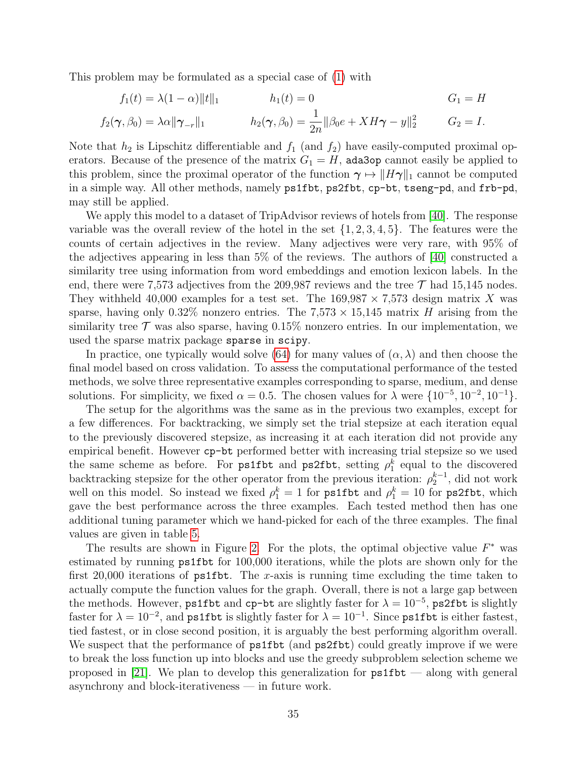This problem may be formulated as a special case of [\(1\)](#page-0-0) with

$$
f_1(t) = \lambda(1 - \alpha) ||t||_1 \qquad h_1(t) = 0 \qquad G_1 = H
$$
  

$$
f_2(\gamma, \beta_0) = \lambda \alpha ||\gamma_{-r}||_1 \qquad h_2(\gamma, \beta_0) = \frac{1}{2n} ||\beta_0 e + X H \gamma - y||_2^2 \qquad G_2 = I.
$$

Note that  $h_2$  is Lipschitz differentiable and  $f_1$  (and  $f_2$ ) have easily-computed proximal operators. Because of the presence of the matrix  $G_1 = H$ , ada3op cannot easily be applied to this problem, since the proximal operator of the function  $\gamma \mapsto ||H\gamma||_1$  cannot be computed in a simple way. All other methods, namely ps1fbt, ps2fbt, cp-bt, tseng-pd, and frb-pd, may still be applied.

We apply this model to a dataset of TripAdvisor reviews of hotels from [\[40\]](#page-39-13). The response variable was the overall review of the hotel in the set  $\{1, 2, 3, 4, 5\}$ . The features were the counts of certain adjectives in the review. Many adjectives were very rare, with 95% of the adjectives appearing in less than 5% of the reviews. The authors of [\[40\]](#page-39-13) constructed a similarity tree using information from word embeddings and emotion lexicon labels. In the end, there were 7,573 adjectives from the 209,987 reviews and the tree  $\mathcal T$  had 15,145 nodes. They withheld 40,000 examples for a test set. The  $169,987 \times 7,573$  design matrix X was sparse, having only 0.32% nonzero entries. The  $7.573 \times 15,145$  matrix H arising from the similarity tree  $\mathcal T$  was also sparse, having 0.15% nonzero entries. In our implementation, we used the sparse matrix package sparse in scipy.

In practice, one typically would solve [\(64\)](#page-33-1) for many values of  $(\alpha, \lambda)$  and then choose the final model based on cross validation. To assess the computational performance of the tested methods, we solve three representative examples corresponding to sparse, medium, and dense solutions. For simplicity, we fixed  $\alpha = 0.5$ . The chosen values for  $\lambda$  were  $\{10^{-5}, 10^{-2}, 10^{-1}\}.$ 

The setup for the algorithms was the same as in the previous two examples, except for a few differences. For backtracking, we simply set the trial stepsize at each iteration equal to the previously discovered stepsize, as increasing it at each iteration did not provide any empirical benefit. However cp-bt performed better with increasing trial stepsize so we used the same scheme as before. For **ps1fbt** and **ps2fbt**, setting  $\rho_1^k$  equal to the discovered backtracking stepsize for the other operator from the previous iteration:  $\rho_2^{k-1}$ , did not work well on this model. So instead we fixed  $\rho_1^k = 1$  for  ${\sf ps1fbt}$  and  $\rho_1^k = 10$  for  ${\sf ps2fbt}$ , which gave the best performance across the three examples. Each tested method then has one additional tuning parameter which we hand-picked for each of the three examples. The final values are given in table [5.](#page-35-0)

The results are shown in Figure [2.](#page-35-1) For the plots, the optimal objective value  $F^*$  was estimated by running ps1fbt for 100,000 iterations, while the plots are shown only for the first 20,000 iterations of  $ps1fbt$ . The x-axis is running time excluding the time taken to actually compute the function values for the graph. Overall, there is not a large gap between the methods. However, ps1fbt and cp-bt are slightly faster for  $\lambda = 10^{-5}$ , ps2fbt is slightly faster for  $\lambda = 10^{-2}$ , and ps1fbt is slightly faster for  $\lambda = 10^{-1}$ . Since ps1fbt is either fastest, tied fastest, or in close second position, it is arguably the best performing algorithm overall. We suspect that the performance of **ps1fbt** (and **ps2fbt**) could greatly improve if we were to break the loss function up into blocks and use the greedy subproblem selection scheme we proposed in [\[21\]](#page-38-3). We plan to develop this generalization for  $ps1fbt$  — along with general asynchrony and block-iterativeness — in future work.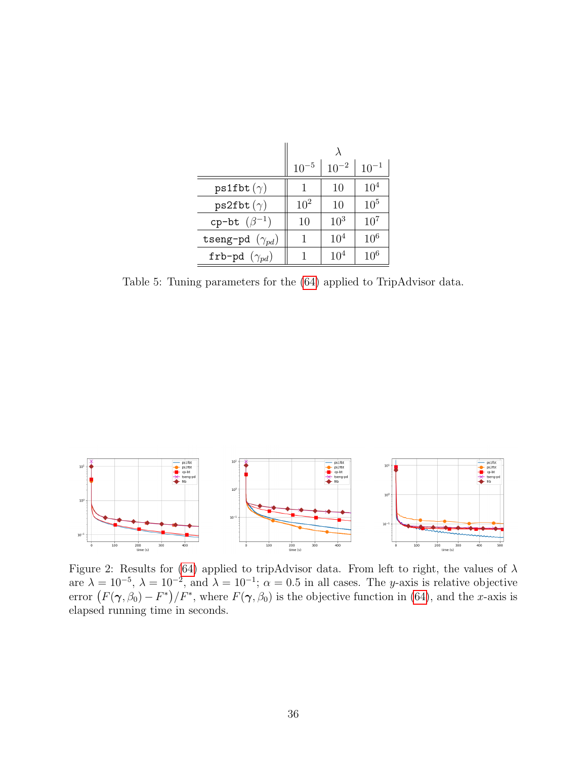|                          | $10^{-5}$ | $10^{-2}$       | $10^{-1}$       |  |
|--------------------------|-----------|-----------------|-----------------|--|
| $ps1fbt (\gamma)$        |           | 10              | $10^{4}$        |  |
| $ps2fbt (\gamma)$        | $10^{2}$  | 10              | 10 <sup>5</sup> |  |
| cp-bt $(\beta^{-1})$     | 10        | 10 <sup>3</sup> | $10^{7}$        |  |
| tseng-pd $(\gamma_{pd})$ | 1         | $10^{4}$        | $10^{6}$        |  |
| frb-pd $(\gamma_{pd})$   |           | $10^{4}$        | 10 <sup>6</sup> |  |

<span id="page-35-0"></span>Table 5: Tuning parameters for the [\(64\)](#page-33-1) applied to TripAdvisor data.



<span id="page-35-1"></span>Figure 2: Results for [\(64\)](#page-33-1) applied to tripAdvisor data. From left to right, the values of  $\lambda$ are  $\lambda = 10^{-5}$ ,  $\lambda = 10^{-2}$ , and  $\lambda = 10^{-1}$ ;  $\alpha = 0.5$  in all cases. The y-axis is relative objective error  $(F(\gamma, \beta_0) - F^*)/F^*$ , where  $F(\gamma, \beta_0)$  is the objective function in [\(64\)](#page-33-1), and the x-axis is elapsed running time in seconds.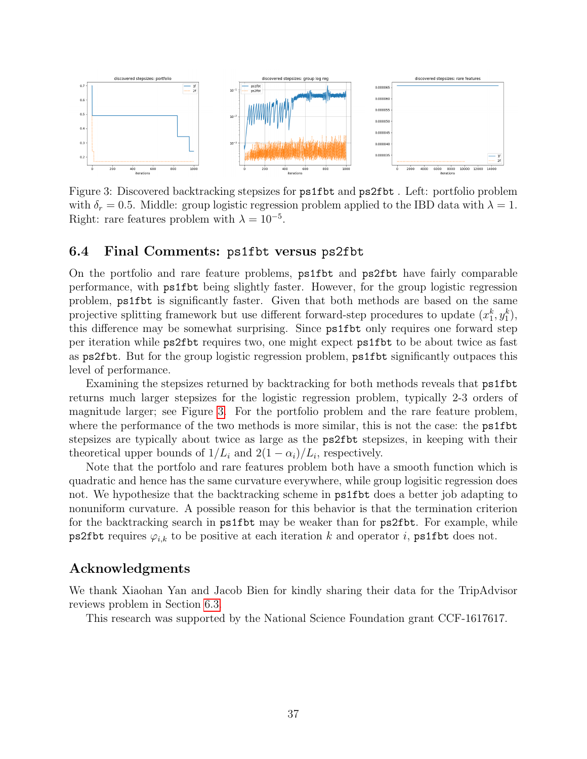

<span id="page-36-1"></span>Figure 3: Discovered backtracking stepsizes for ps1fbt and ps2fbt . Left: portfolio problem with  $\delta_r = 0.5$ . Middle: group logistic regression problem applied to the IBD data with  $\lambda = 1$ . Right: rare features problem with  $\lambda = 10^{-5}$ .

#### <span id="page-36-0"></span>6.4 Final Comments: ps1fbt versus ps2fbt

On the portfolio and rare feature problems, ps1fbt and ps2fbt have fairly comparable performance, with ps1fbt being slightly faster. However, for the group logistic regression problem, ps1fbt is significantly faster. Given that both methods are based on the same projective splitting framework but use different forward-step procedures to update  $(x_1^k, y_1^k)$ , this difference may be somewhat surprising. Since ps1fbt only requires one forward step per iteration while ps2fbt requires two, one might expect ps1fbt to be about twice as fast as ps2fbt. But for the group logistic regression problem, ps1fbt significantly outpaces this level of performance.

Examining the stepsizes returned by backtracking for both methods reveals that ps1fbt returns much larger stepsizes for the logistic regression problem, typically 2-3 orders of magnitude larger; see Figure [3.](#page-36-1) For the portfolio problem and the rare feature problem, where the performance of the two methods is more similar, this is not the case: the **ps1fbt** stepsizes are typically about twice as large as the ps2fbt stepsizes, in keeping with their theoretical upper bounds of  $1/L_i$  and  $2(1 - \alpha_i)/L_i$ , respectively.

Note that the portfolo and rare features problem both have a smooth function which is quadratic and hence has the same curvature everywhere, while group logisitic regression does not. We hypothesize that the backtracking scheme in ps1fbt does a better job adapting to nonuniform curvature. A possible reason for this behavior is that the termination criterion for the backtracking search in ps1fbt may be weaker than for ps2fbt. For example, while ps2fbt requires  $\varphi_{i,k}$  to be positive at each iteration k and operator i, ps1fbt does not.

### Acknowledgments

We thank Xiaohan Yan and Jacob Bien for kindly sharing their data for the TripAdvisor reviews problem in Section [6.3.](#page-33-2)

This research was supported by the National Science Foundation grant CCF-1617617.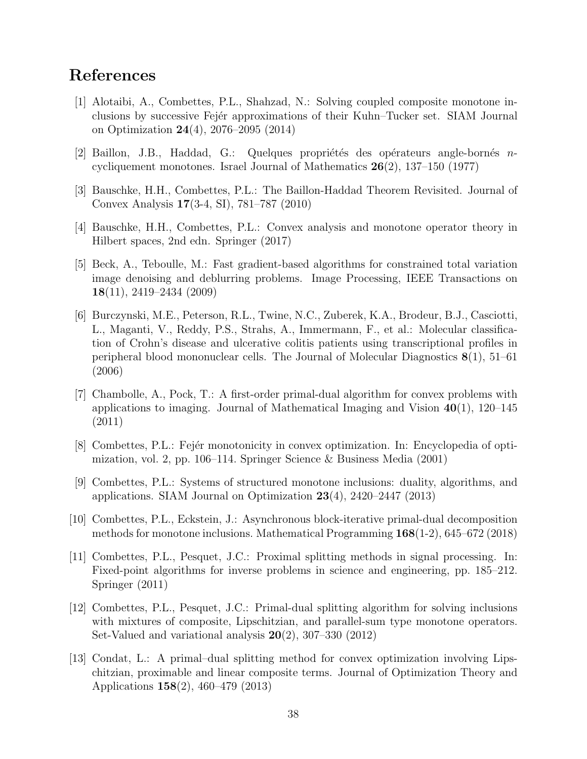## References

- <span id="page-37-2"></span>[1] Alotaibi, A., Combettes, P.L., Shahzad, N.: Solving coupled composite monotone inclusions by successive Fej´er approximations of their Kuhn–Tucker set. SIAM Journal on Optimization 24(4), 2076–2095 (2014)
- <span id="page-37-4"></span>[2] Baillon, J.B., Haddad, G.: Quelques propriétés des opérateurs angle-bornés  $n$ cycliquement monotones. Israel Journal of Mathematics  $26(2)$ , 137–150 (1977)
- <span id="page-37-5"></span>[3] Bauschke, H.H., Combettes, P.L.: The Baillon-Haddad Theorem Revisited. Journal of Convex Analysis 17(3-4, SI), 781–787 (2010)
- <span id="page-37-9"></span>[4] Bauschke, H.H., Combettes, P.L.: Convex analysis and monotone operator theory in Hilbert spaces, 2nd edn. Springer (2017)
- <span id="page-37-11"></span>[5] Beck, A., Teboulle, M.: Fast gradient-based algorithms for constrained total variation image denoising and deblurring problems. Image Processing, IEEE Transactions on 18(11), 2419–2434 (2009)
- <span id="page-37-12"></span>[6] Burczynski, M.E., Peterson, R.L., Twine, N.C., Zuberek, K.A., Brodeur, B.J., Casciotti, L., Maganti, V., Reddy, P.S., Strahs, A., Immermann, F., et al.: Molecular classification of Crohn's disease and ulcerative colitis patients using transcriptional profiles in peripheral blood mononuclear cells. The Journal of Molecular Diagnostics 8(1), 51–61 (2006)
- <span id="page-37-8"></span>[7] Chambolle, A., Pock, T.: A first-order primal-dual algorithm for convex problems with applications to imaging. Journal of Mathematical Imaging and Vision  $40(1)$ , 120–145 (2011)
- <span id="page-37-10"></span>[8] Combettes, P.L.: Fejér monotonicity in convex optimization. In: Encyclopedia of optimization, vol. 2, pp. 106–114. Springer Science & Business Media (2001)
- <span id="page-37-0"></span>[9] Combettes, P.L.: Systems of structured monotone inclusions: duality, algorithms, and applications. SIAM Journal on Optimization 23(4), 2420–2447 (2013)
- <span id="page-37-3"></span>[10] Combettes, P.L., Eckstein, J.: Asynchronous block-iterative primal-dual decomposition methods for monotone inclusions. Mathematical Programming 168(1-2), 645–672 (2018)
- <span id="page-37-1"></span>[11] Combettes, P.L., Pesquet, J.C.: Proximal splitting methods in signal processing. In: Fixed-point algorithms for inverse problems in science and engineering, pp. 185–212. Springer (2011)
- <span id="page-37-7"></span>[12] Combettes, P.L., Pesquet, J.C.: Primal-dual splitting algorithm for solving inclusions with mixtures of composite, Lipschitzian, and parallel-sum type monotone operators. Set-Valued and variational analysis 20(2), 307–330 (2012)
- <span id="page-37-6"></span>[13] Condat, L.: A primal–dual splitting method for convex optimization involving Lipschitzian, proximable and linear composite terms. Journal of Optimization Theory and Applications 158(2), 460–479 (2013)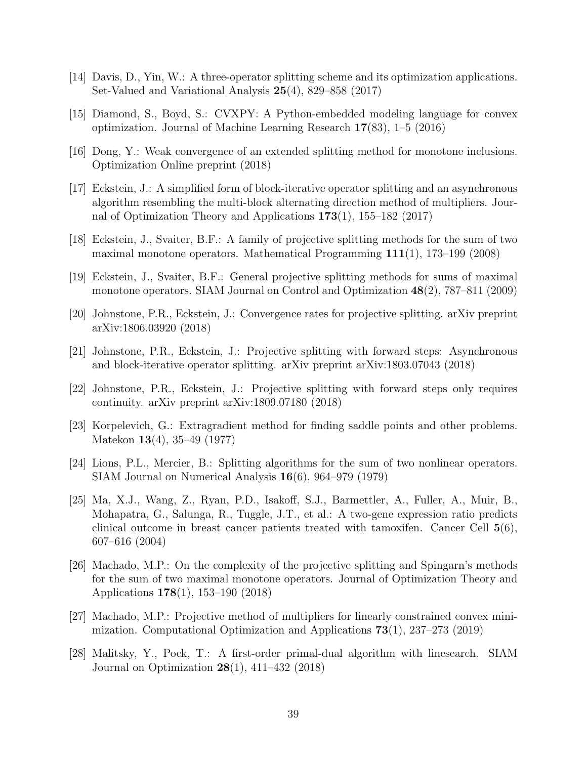- <span id="page-38-11"></span>[14] Davis, D., Yin, W.: A three-operator splitting scheme and its optimization applications. Set-Valued and Variational Analysis 25(4), 829–858 (2017)
- <span id="page-38-13"></span>[15] Diamond, S., Boyd, S.: CVXPY: A Python-embedded modeling language for convex optimization. Journal of Machine Learning Research 17(83), 1–5 (2016)
- <span id="page-38-10"></span>[16] Dong, Y.: Weak convergence of an extended splitting method for monotone inclusions. Optimization Online preprint (2018)
- <span id="page-38-9"></span>[17] Eckstein, J.: A simplified form of block-iterative operator splitting and an asynchronous algorithm resembling the multi-block alternating direction method of multipliers. Journal of Optimization Theory and Applications 173(1), 155–182 (2017)
- <span id="page-38-1"></span>[18] Eckstein, J., Svaiter, B.F.: A family of projective splitting methods for the sum of two maximal monotone operators. Mathematical Programming  $111(1)$ , 173–199 (2008)
- <span id="page-38-2"></span>[19] Eckstein, J., Svaiter, B.F.: General projective splitting methods for sums of maximal monotone operators. SIAM Journal on Control and Optimization 48(2), 787–811 (2009)
- <span id="page-38-4"></span>[20] Johnstone, P.R., Eckstein, J.: Convergence rates for projective splitting. arXiv preprint arXiv:1806.03920 (2018)
- <span id="page-38-3"></span>[21] Johnstone, P.R., Eckstein, J.: Projective splitting with forward steps: Asynchronous and block-iterative operator splitting. arXiv preprint arXiv:1803.07043 (2018)
- <span id="page-38-5"></span>[22] Johnstone, P.R., Eckstein, J.: Projective splitting with forward steps only requires continuity. arXiv preprint arXiv:1809.07180 (2018)
- <span id="page-38-8"></span>[23] Korpelevich, G.: Extragradient method for finding saddle points and other problems. Matekon 13(4), 35–49 (1977)
- <span id="page-38-0"></span>[24] Lions, P.L., Mercier, B.: Splitting algorithms for the sum of two nonlinear operators. SIAM Journal on Numerical Analysis 16(6), 964–979 (1979)
- <span id="page-38-14"></span>[25] Ma, X.J., Wang, Z., Ryan, P.D., Isakoff, S.J., Barmettler, A., Fuller, A., Muir, B., Mohapatra, G., Salunga, R., Tuggle, J.T., et al.: A two-gene expression ratio predicts clinical outcome in breast cancer patients treated with tamoxifen. Cancer Cell 5(6), 607–616 (2004)
- <span id="page-38-7"></span>[26] Machado, M.P.: On the complexity of the projective splitting and Spingarn's methods for the sum of two maximal monotone operators. Journal of Optimization Theory and Applications 178(1), 153–190 (2018)
- <span id="page-38-6"></span>[27] Machado, M.P.: Projective method of multipliers for linearly constrained convex minimization. Computational Optimization and Applications 73(1), 237–273 (2019)
- <span id="page-38-12"></span>[28] Malitsky, Y., Pock, T.: A first-order primal-dual algorithm with linesearch. SIAM Journal on Optimization 28(1), 411–432 (2018)